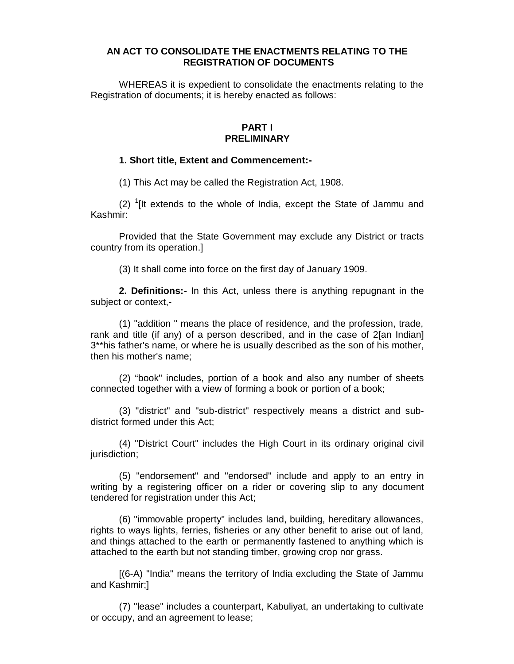## **AN ACT TO CONSOLIDATE THE ENACTMENTS RELATING TO THE REGISTRATION OF DOCUMENTS**

WHEREAS it is expedient to consolidate the enactments relating to the Registration of documents; it is hereby enacted as follows:

#### **PART I PRELIMINARY**

#### **1. Short title, Extent and Commencement:-**

(1) This Act may be called the Registration Act, 1908.

(2)  $1$ [It extends to the whole of India, except the State of Jammu and Kashmir:

Provided that the State Government may exclude any District or tracts country from its operation.]

(3) It shall come into force on the first day of January 1909.

**2. Definitions:-** In this Act, unless there is anything repugnant in the subject or context,-

(1) "addition " means the place of residence, and the profession, trade, rank and title (if any) of a person described, and in the case of 2[an Indian] 3\*\*his father's name, or where he is usually described as the son of his mother, then his mother's name;

(2) "book" includes, portion of a book and also any number of sheets connected together with a view of forming a book or portion of a book;

(3) "district" and "sub-district" respectively means a district and subdistrict formed under this Act;

(4) "District Court" includes the High Court in its ordinary original civil jurisdiction;

(5) "endorsement" and "endorsed" include and apply to an entry in writing by a registering officer on a rider or covering slip to any document tendered for registration under this Act;

(6) "immovable property" includes land, building, hereditary allowances, rights to ways lights, ferries, fisheries or any other benefit to arise out of land, and things attached to the earth or permanently fastened to anything which is attached to the earth but not standing timber, growing crop nor grass.

[(6-A) "India" means the territory of India excluding the State of Jammu and Kashmir;]

(7) "lease" includes a counterpart, Kabuliyat, an undertaking to cultivate or occupy, and an agreement to lease;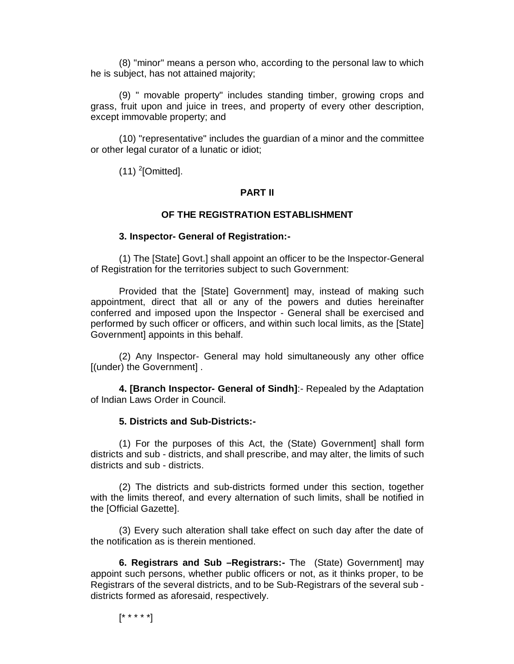(8) "minor" means a person who, according to the personal law to which he is subject, has not attained majority;

(9) " movable property" includes standing timber, growing crops and grass, fruit upon and juice in trees, and property of every other description, except immovable property; and

(10) "representative" includes the guardian of a minor and the committee or other legal curator of a lunatic or idiot;

 $(11)$ <sup>2</sup>[Omitted].

#### **PART II**

#### **OF THE REGISTRATION ESTABLISHMENT**

#### **3. Inspector- General of Registration:-**

(1) The [State] Govt.] shall appoint an officer to be the Inspector-General of Registration for the territories subject to such Government:

Provided that the [State] Government] may, instead of making such appointment, direct that all or any of the powers and duties hereinafter conferred and imposed upon the Inspector - General shall be exercised and performed by such officer or officers, and within such local limits, as the [State] Government] appoints in this behalf.

(2) Any Inspector- General may hold simultaneously any other office [(under) the Government] .

**4. [Branch Inspector- General of Sindh]**:- Repealed by the Adaptation of Indian Laws Order in Council.

#### **5. Districts and Sub-Districts:-**

(1) For the purposes of this Act, the (State) Government] shall form districts and sub - districts, and shall prescribe, and may alter, the limits of such districts and sub - districts.

(2) The districts and sub-districts formed under this section, together with the limits thereof, and every alternation of such limits, shall be notified in the [Official Gazette].

(3) Every such alteration shall take effect on such day after the date of the notification as is therein mentioned.

**6. Registrars and Sub –Registrars:-** The (State) Government] may appoint such persons, whether public officers or not, as it thinks proper, to be Registrars of the several districts, and to be Sub-Registrars of the several sub districts formed as aforesaid, respectively.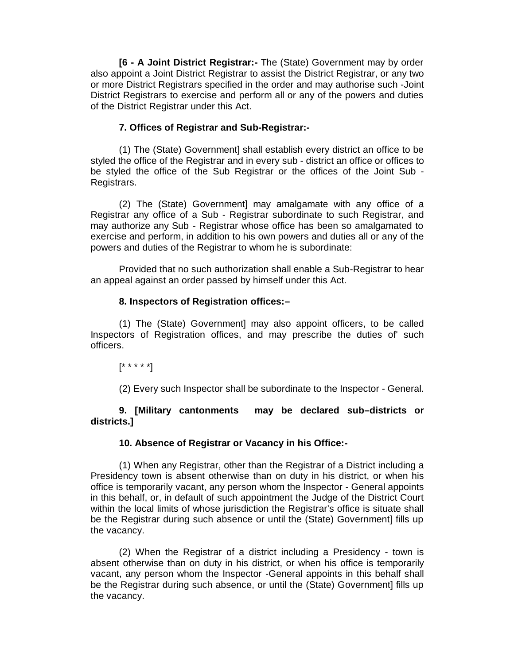**[6 - A Joint District Registrar:-** The (State) Government may by order also appoint a Joint District Registrar to assist the District Registrar, or any two or more District Registrars specified in the order and may authorise such -Joint District Registrars to exercise and perform all or any of the powers and duties of the District Registrar under this Act.

# **7. Offices of Registrar and Sub-Registrar:-**

(1) The (State) Government] shall establish every district an office to be styled the office of the Registrar and in every sub - district an office or offices to be styled the office of the Sub Registrar or the offices of the Joint Sub - Registrars.

(2) The (State) Government] may amalgamate with any office of a Registrar any office of a Sub - Registrar subordinate to such Registrar, and may authorize any Sub - Registrar whose office has been so amalgamated to exercise and perform, in addition to his own powers and duties all or any of the powers and duties of the Registrar to whom he is subordinate:

Provided that no such authorization shall enable a Sub-Registrar to hear an appeal against an order passed by himself under this Act.

# **8. Inspectors of Registration offices:–**

(1) The (State) Government] may also appoint officers, to be called Inspectors of Registration offices, and may prescribe the duties of' such officers.

 $[*****]$ 

(2) Every such Inspector shall be subordinate to the Inspector - General.

# **9. [Military cantonments may be declared sub–districts or districts.]**

# **10. Absence of Registrar or Vacancy in his Office:-**

(1) When any Registrar, other than the Registrar of a District including a Presidency town is absent otherwise than on duty in his district, or when his office is temporarily vacant, any person whom the Inspector - General appoints in this behalf, or, in default of such appointment the Judge of the District Court within the local limits of whose jurisdiction the Registrar's office is situate shall be the Registrar during such absence or until the (State) Government] fills up the vacancy.

(2) When the Registrar of a district including a Presidency - town is absent otherwise than on duty in his district, or when his office is temporarily vacant, any person whom the Inspector -General appoints in this behalf shall be the Registrar during such absence, or until the (State) Government] fills up the vacancy.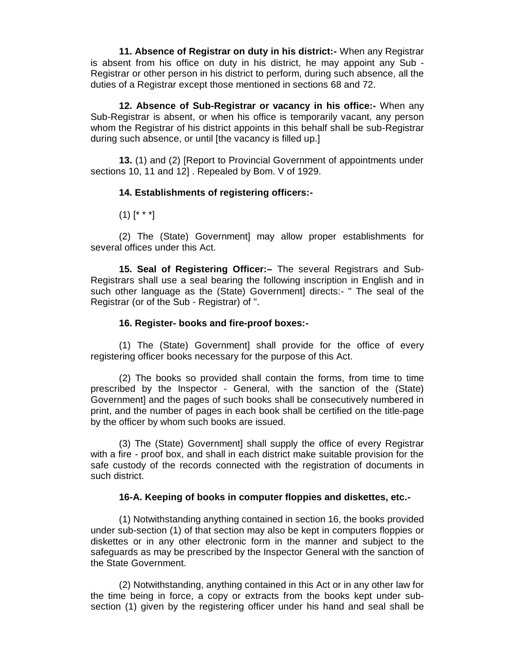**11. Absence of Registrar on duty in his district:-** When any Registrar is absent from his office on duty in his district, he may appoint any Sub - Registrar or other person in his district to perform, during such absence, all the duties of a Registrar except those mentioned in sections 68 and 72.

**12. Absence of Sub-Registrar or vacancy in his office:-** When any Sub-Registrar is absent, or when his office is temporarily vacant, any person whom the Registrar of his district appoints in this behalf shall be sub-Registrar during such absence, or until [the vacancy is filled up.]

**13.** (1) and (2) [Report to Provincial Government of appointments under sections 10, 11 and 12] . Repealed by Bom. V of 1929.

# **14. Establishments of registering officers:-**

 $(1)$  [\* \* \*]

(2) The (State) Government] may allow proper establishments for several offices under this Act.

**15. Seal of Registering Officer:–** The several Registrars and Sub-Registrars shall use a seal bearing the following inscription in English and in such other language as the (State) Government] directs:- " The seal of the Registrar (or of the Sub - Registrar) of ".

# **16. Register- books and fire-proof boxes:-**

(1) The (State) Government] shall provide for the office of every registering officer books necessary for the purpose of this Act.

(2) The books so provided shall contain the forms, from time to time prescribed by the Inspector - General, with the sanction of the (State) Government] and the pages of such books shall be consecutively numbered in print, and the number of pages in each book shall be certified on the title-page by the officer by whom such books are issued.

(3) The (State) Government] shall supply the office of every Registrar with a fire - proof box, and shall in each district make suitable provision for the safe custody of the records connected with the registration of documents in such district.

# **16-A. Keeping of books in computer floppies and diskettes, etc.-**

(1) Notwithstanding anything contained in section 16, the books provided under sub-section (1) of that section may also be kept in computers floppies or diskettes or in any other electronic form in the manner and subject to the safeguards as may be prescribed by the Inspector General with the sanction of the State Government.

(2) Notwithstanding, anything contained in this Act or in any other law for the time being in force, a copy or extracts from the books kept under subsection (1) given by the registering officer under his hand and seal shall be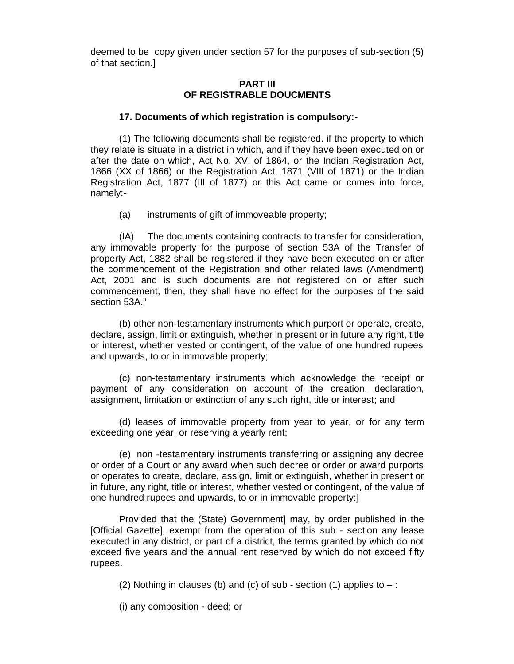deemed to be copy given under section 57 for the purposes of sub-section (5) of that section.]

### **PART III OF REGISTRABLE DOUCMENTS**

### **17. Documents of which registration is compulsory:-**

(1) The following documents shall be registered. if the property to which they relate is situate in a district in which, and if they have been executed on or after the date on which, Act No. XVI of 1864, or the Indian Registration Act, 1866 (XX of 1866) or the Registration Act, 1871 (VIII of 1871) or the Indian Registration Act, 1877 (III of 1877) or this Act came or comes into force, namely:-

(a) instruments of gift of immoveable property;

(IA) The documents containing contracts to transfer for consideration, any immovable property for the purpose of section 53A of the Transfer of property Act, 1882 shall be registered if they have been executed on or after the commencement of the Registration and other related laws (Amendment) Act, 2001 and is such documents are not registered on or after such commencement, then, they shall have no effect for the purposes of the said section 53A."

(b) other non-testamentary instruments which purport or operate, create, declare, assign, limit or extinguish, whether in present or in future any right, title or interest, whether vested or contingent, of the value of one hundred rupees and upwards, to or in immovable property;

(c) non-testamentary instruments which acknowledge the receipt or payment of any consideration on account of the creation, declaration, assignment, limitation or extinction of any such right, title or interest; and

(d) leases of immovable property from year to year, or for any term exceeding one year, or reserving a yearly rent;

(e) non -testamentary instruments transferring or assigning any decree or order of a Court or any award when such decree or order or award purports or operates to create, declare, assign, limit or extinguish, whether in present or in future, any right, title or interest, whether vested or contingent, of the value of one hundred rupees and upwards, to or in immovable property:]

Provided that the (State) Government] may, by order published in the [Official Gazette], exempt from the operation of this sub - section any lease executed in any district, or part of a district, the terms granted by which do not exceed five years and the annual rent reserved by which do not exceed fifty rupees.

(2) Nothing in clauses (b) and (c) of sub - section (1) applies to  $-$  :

(i) any composition - deed; or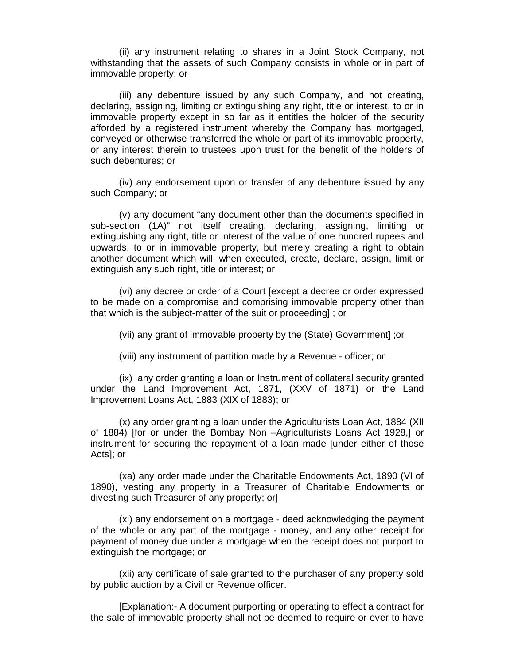(ii) any instrument relating to shares in a Joint Stock Company, not withstanding that the assets of such Company consists in whole or in part of immovable property; or

(iii) any debenture issued by any such Company, and not creating, declaring, assigning, limiting or extinguishing any right, title or interest, to or in immovable property except in so far as it entitles the holder of the security afforded by a registered instrument whereby the Company has mortgaged, conveyed or otherwise transferred the whole or part of its immovable property, or any interest therein to trustees upon trust for the benefit of the holders of such debentures; or

(iv) any endorsement upon or transfer of any debenture issued by any such Company; or

(v) any document "any document other than the documents specified in sub-section (1A)" not itself creating, declaring, assigning, limiting or extinguishing any right, title or interest of the value of one hundred rupees and upwards, to or in immovable property, but merely creating a right to obtain another document which will, when executed, create, declare, assign, limit or extinguish any such right, title or interest; or

(vi) any decree or order of a Court [except a decree or order expressed to be made on a compromise and comprising immovable property other than that which is the subject-matter of the suit or proceeding] ; or

(vii) any grant of immovable property by the (State) Government] ;or

(viii) any instrument of partition made by a Revenue - officer; or

(ix) any order granting a loan or Instrument of collateral security granted under the Land Improvement Act, 1871, (XXV of 1871) or the Land Improvement Loans Act, 1883 (XIX of 1883); or

(x) any order granting a loan under the Agriculturists Loan Act, 1884 (XII of 1884) [for or under the Bombay Non –Agriculturists Loans Act 1928,] or instrument for securing the repayment of a loan made [under either of those Acts]; or

(xa) any order made under the Charitable Endowments Act, 1890 (VI of 1890), vesting any property in a Treasurer of Charitable Endowments or divesting such Treasurer of any property; or]

(xi) any endorsement on a mortgage - deed acknowledging the payment of the whole or any part of the mortgage - money, and any other receipt for payment of money due under a mortgage when the receipt does not purport to extinguish the mortgage; or

(xii) any certificate of sale granted to the purchaser of any property sold by public auction by a Civil or Revenue officer.

[Explanation:- A document purporting or operating to effect a contract for the sale of immovable property shall not be deemed to require or ever to have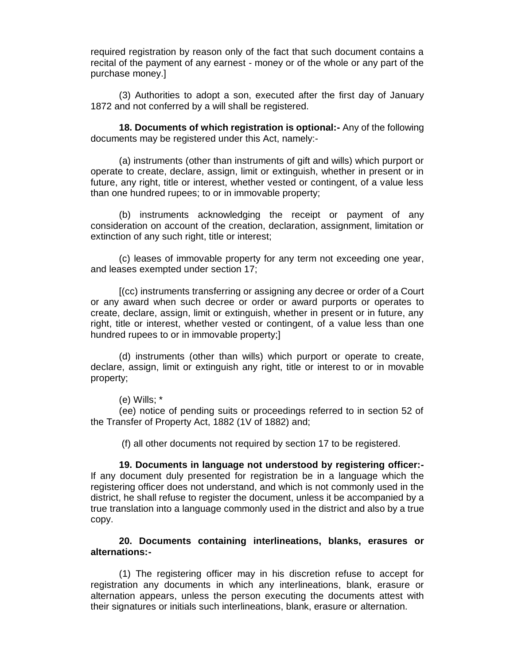required registration by reason only of the fact that such document contains a recital of the payment of any earnest - money or of the whole or any part of the purchase money.]

(3) Authorities to adopt a son, executed after the first day of January 1872 and not conferred by a will shall be registered.

**18. Documents of which registration is optional:-** Any of the following documents may be registered under this Act, namely:-

(a) instruments (other than instruments of gift and wills) which purport or operate to create, declare, assign, limit or extinguish, whether in present or in future, any right, title or interest, whether vested or contingent, of a value less than one hundred rupees; to or in immovable property;

(b) instruments acknowledging the receipt or payment of any consideration on account of the creation, declaration, assignment, limitation or extinction of any such right, title or interest;

(c) leases of immovable property for any term not exceeding one year, and leases exempted under section 17;

[(cc) instruments transferring or assigning any decree or order of a Court or any award when such decree or order or award purports or operates to create, declare, assign, limit or extinguish, whether in present or in future, any right, title or interest, whether vested or contingent, of a value less than one hundred rupees to or in immovable property;]

(d) instruments (other than wills) which purport or operate to create, declare, assign, limit or extinguish any right, title or interest to or in movable property;

(e) Wills; \*

(ee) notice of pending suits or proceedings referred to in section 52 of the Transfer of Property Act, 1882 (1V of 1882) and;

(f) all other documents not required by section 17 to be registered.

**19. Documents in language not understood by registering officer:-** If any document duly presented for registration be in a language which the registering officer does not understand, and which is not commonly used in the district, he shall refuse to register the document, unless it be accompanied by a true translation into a language commonly used in the district and also by a true copy.

## **20. Documents containing interlineations, blanks, erasures or alternations:-**

(1) The registering officer may in his discretion refuse to accept for registration any documents in which any interlineations, blank, erasure or alternation appears, unless the person executing the documents attest with their signatures or initials such interlineations, blank, erasure or alternation.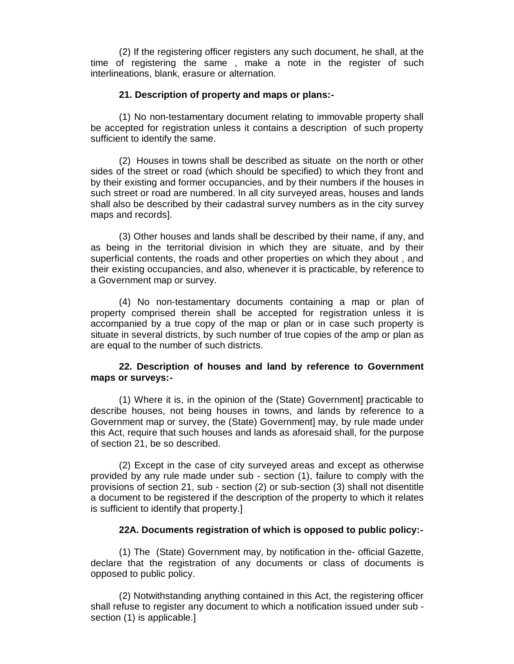(2) If the registering officer registers any such document, he shall, at the time of registering the same , make a note in the register of such interlineations, blank, erasure or alternation.

## **21. Description of property and maps or plans:-**

(1) No non-testamentary document relating to immovable property shall be accepted for registration unless it contains a description of such property sufficient to identify the same.

(2) Houses in towns shall be described as situate on the north or other sides of the street or road (which should be specified) to which they front and by their existing and former occupancies, and by their numbers if the houses in such street or road are numbered. In all city surveyed areas, houses and lands shall also be described by their cadastral survey numbers as in the city survey maps and records].

(3) Other houses and lands shall be described by their name, if any, and as being in the territorial division in which they are situate, and by their superficial contents, the roads and other properties on which they about , and their existing occupancies, and also, whenever it is practicable, by reference to a Government map or survey.

(4) No non-testamentary documents containing a map or plan of property comprised therein shall be accepted for registration unless it is accompanied by a true copy of the map or plan or in case such property is situate in several districts, by such number of true copies of the amp or plan as are equal to the number of such districts.

# **22. Description of houses and land by reference to Government maps or surveys:-**

(1) Where it is, in the opinion of the (State) Government] practicable to describe houses, not being houses in towns, and lands by reference to a Government map or survey, the (State) Government] may, by rule made under this Act, require that such houses and lands as aforesaid shall, for the purpose of section 21, be so described.

(2) Except in the case of city surveyed areas and except as otherwise provided by any rule made under sub - section (1), failure to comply with the provisions of section 21, sub - section (2) or sub-section (3) shall not disentitle a document to be registered if the description of the property to which it relates is sufficient to identify that property.]

# **22A. Documents registration of which is opposed to public policy:-**

(1) The (State) Government may, by notification in the- official Gazette, declare that the registration of any documents or class of documents is opposed to public policy.

(2) Notwithstanding anything contained in this Act, the registering officer shall refuse to register any document to which a notification issued under sub section (1) is applicable.]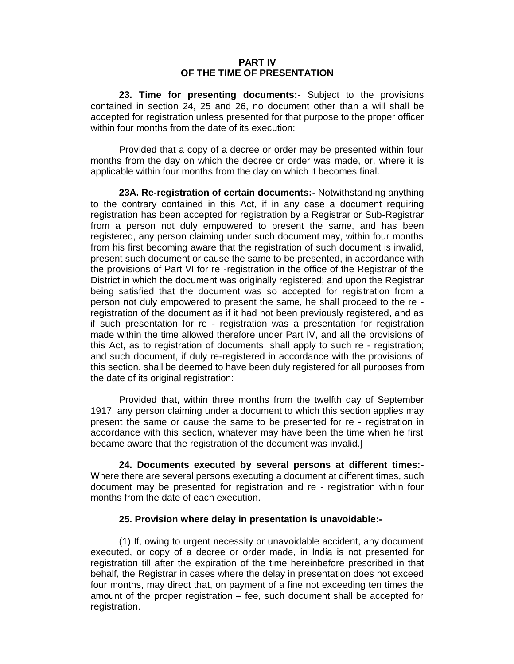#### **PART IV OF THE TIME OF PRESENTATION**

**23. Time for presenting documents:-** Subject to the provisions contained in section 24, 25 and 26, no document other than a will shall be accepted for registration unless presented for that purpose to the proper officer within four months from the date of its execution:

Provided that a copy of a decree or order may be presented within four months from the day on which the decree or order was made, or, where it is applicable within four months from the day on which it becomes final.

**23A. Re-registration of certain documents:-** Notwithstanding anything to the contrary contained in this Act, if in any case a document requiring registration has been accepted for registration by a Registrar or Sub-Registrar from a person not duly empowered to present the same, and has been registered, any person claiming under such document may, within four months from his first becoming aware that the registration of such document is invalid, present such document or cause the same to be presented, in accordance with the provisions of Part VI for re -registration in the office of the Registrar of the District in which the document was originally registered; and upon the Registrar being satisfied that the document was so accepted for registration from a person not duly empowered to present the same, he shall proceed to the re registration of the document as if it had not been previously registered, and as if such presentation for re - registration was a presentation for registration made within the time allowed therefore under Part IV, and all the provisions of this Act, as to registration of documents, shall apply to such re - registration; and such document, if duly re-registered in accordance with the provisions of this section, shall be deemed to have been duly registered for all purposes from the date of its original registration:

Provided that, within three months from the twelfth day of September 1917, any person claiming under a document to which this section applies may present the same or cause the same to be presented for re - registration in accordance with this section, whatever may have been the time when he first became aware that the registration of the document was invalid.]

**24. Documents executed by several persons at different times:-** Where there are several persons executing a document at different times, such document may be presented for registration and re - registration within four months from the date of each execution.

#### **25. Provision where delay in presentation is unavoidable:-**

(1) If, owing to urgent necessity or unavoidable accident, any document executed, or copy of a decree or order made, in India is not presented for registration till after the expiration of the time hereinbefore prescribed in that behalf, the Registrar in cases where the delay in presentation does not exceed four months, may direct that, on payment of a fine not exceeding ten times the amount of the proper registration – fee, such document shall be accepted for registration.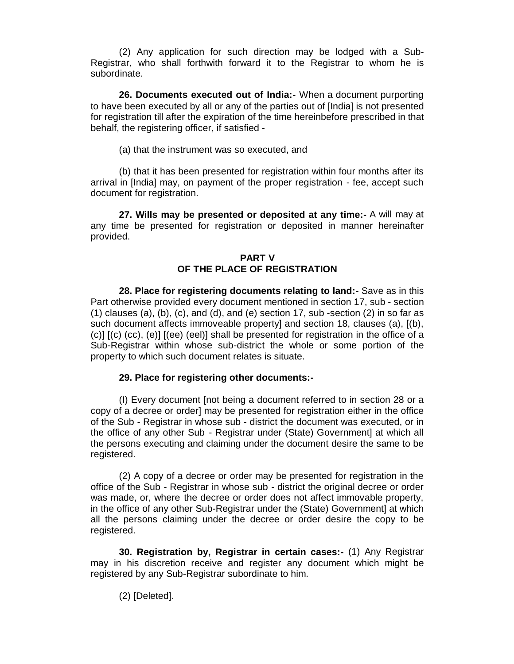(2) Any application for such direction may be lodged with a Sub-Registrar, who shall forthwith forward it to the Registrar to whom he is subordinate.

**26. Documents executed out of India:-** When a document purporting to have been executed by all or any of the parties out of [India] is not presented for registration till after the expiration of the time hereinbefore prescribed in that behalf, the registering officer, if satisfied -

(a) that the instrument was so executed, and

(b) that it has been presented for registration within four months after its arrival in [India] may, on payment of the proper registration - fee, accept such document for registration.

**27. Wills may be presented or deposited at any time:-** A will may at any time be presented for registration or deposited in manner hereinafter provided.

# **PART V OF THE PLACE OF REGISTRATION**

**28. Place for registering documents relating to land:-** Save as in this Part otherwise provided every document mentioned in section 17, sub - section  $(1)$  clauses  $(a)$ ,  $(b)$ ,  $(c)$ , and  $(d)$ , and  $(e)$  section 17, sub -section  $(2)$  in so far as such document affects immoveable property] and section 18, clauses (a), [(b), (c)] [(c) (cc), (e)] [(ee) (eel)] shall be presented for registration in the office of a Sub-Registrar within whose sub-district the whole or some portion of the property to which such document relates is situate.

# **29. Place for registering other documents:-**

(I) Every document [not being a document referred to in section 28 or a copy of a decree or order] may be presented for registration either in the office of the Sub - Registrar in whose sub - district the document was executed, or in the office of any other Sub - Registrar under (State) Government] at which all the persons executing and claiming under the document desire the same to be registered.

(2) A copy of a decree or order may be presented for registration in the office of the Sub - Registrar in whose sub - district the original decree or order was made, or, where the decree or order does not affect immovable property, in the office of any other Sub-Registrar under the (State) Government] at which all the persons claiming under the decree or order desire the copy to be registered.

**30. Registration by, Registrar in certain cases:-** (1) Any Registrar may in his discretion receive and register any document which might be registered by any Sub-Registrar subordinate to him.

(2) [Deleted].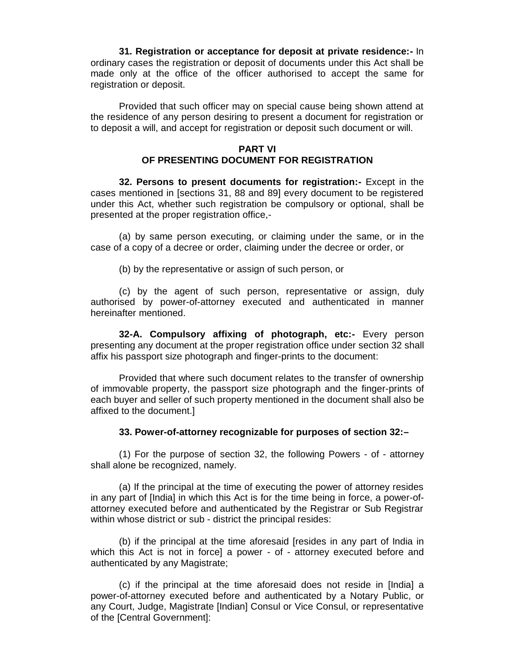**31. Registration or acceptance for deposit at private residence:-** In ordinary cases the registration or deposit of documents under this Act shall be made only at the office of the officer authorised to accept the same for registration or deposit.

Provided that such officer may on special cause being shown attend at the residence of any person desiring to present a document for registration or to deposit a will, and accept for registration or deposit such document or will.

## **PART VI OF PRESENTING DOCUMENT FOR REGISTRATION**

**32. Persons to present documents for registration:-** Except in the cases mentioned in [sections 31, 88 and 89] every document to be registered under this Act, whether such registration be compulsory or optional, shall be presented at the proper registration office,-

(a) by same person executing, or claiming under the same, or in the case of a copy of a decree or order, claiming under the decree or order, or

(b) by the representative or assign of such person, or

(c) by the agent of such person, representative or assign, duly authorised by power-of-attorney executed and authenticated in manner hereinafter mentioned.

**32-A. Compulsory affixing of photograph, etc:-** Every person presenting any document at the proper registration office under section 32 shall affix his passport size photograph and finger-prints to the document:

Provided that where such document relates to the transfer of ownership of immovable property, the passport size photograph and the finger-prints of each buyer and seller of such property mentioned in the document shall also be affixed to the document.]

#### **33. Power-of-attorney recognizable for purposes of section 32:–**

(1) For the purpose of section 32, the following Powers - of - attorney shall alone be recognized, namely.

(a) If the principal at the time of executing the power of attorney resides in any part of [India] in which this Act is for the time being in force, a power-ofattorney executed before and authenticated by the Registrar or Sub Registrar within whose district or sub - district the principal resides:

(b) if the principal at the time aforesaid [resides in any part of India in which this Act is not in force] a power - of - attorney executed before and authenticated by any Magistrate;

(c) if the principal at the time aforesaid does not reside in [India] a power-of-attorney executed before and authenticated by a Notary Public, or any Court, Judge, Magistrate [Indian] Consul or Vice Consul, or representative of the [Central Government]: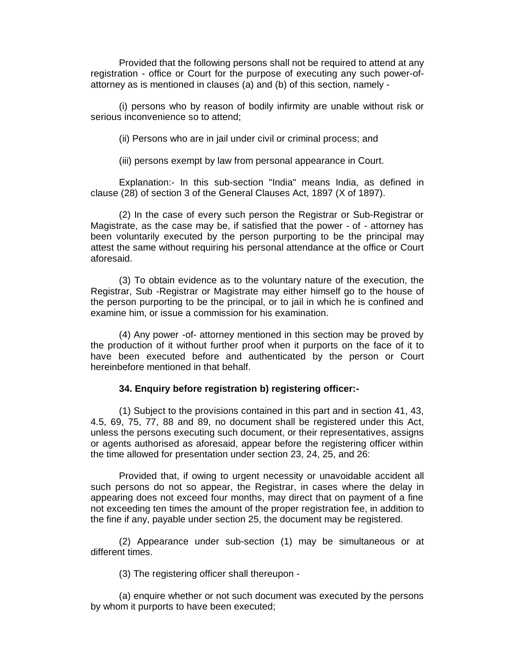Provided that the following persons shall not be required to attend at any registration - office or Court for the purpose of executing any such power-ofattorney as is mentioned in clauses (a) and (b) of this section, namely -

(i) persons who by reason of bodily infirmity are unable without risk or serious inconvenience so to attend;

(ii) Persons who are in jail under civil or criminal process; and

(iii) persons exempt by law from personal appearance in Court.

Explanation:- In this sub-section "India" means India, as defined in clause (28) of section 3 of the General Clauses Act, 1897 (X of 1897).

(2) In the case of every such person the Registrar or Sub-Registrar or Magistrate, as the case may be, if satisfied that the power - of - attorney has been voluntarily executed by the person purporting to be the principal may attest the same without requiring his personal attendance at the office or Court aforesaid.

(3) To obtain evidence as to the voluntary nature of the execution, the Registrar, Sub -Registrar or Magistrate may either himself go to the house of the person purporting to be the principal, or to jail in which he is confined and examine him, or issue a commission for his examination.

(4) Any power -of- attorney mentioned in this section may be proved by the production of it without further proof when it purports on the face of it to have been executed before and authenticated by the person or Court hereinbefore mentioned in that behalf.

#### **34. Enquiry before registration b) registering officer:-**

(1) Subject to the provisions contained in this part and in section 41, 43, 4.5, 69, 75, 77, 88 and 89, no document shall be registered under this Act, unless the persons executing such document, or their representatives, assigns or agents authorised as aforesaid, appear before the registering officer within the time allowed for presentation under section 23, 24, 25, and 26:

Provided that, if owing to urgent necessity or unavoidable accident all such persons do not so appear, the Registrar, in cases where the delay in appearing does not exceed four months, may direct that on payment of a fine not exceeding ten times the amount of the proper registration fee, in addition to the fine if any, payable under section 25, the document may be registered.

(2) Appearance under sub-section (1) may be simultaneous or at different times.

(3) The registering officer shall thereupon -

(a) enquire whether or not such document was executed by the persons by whom it purports to have been executed;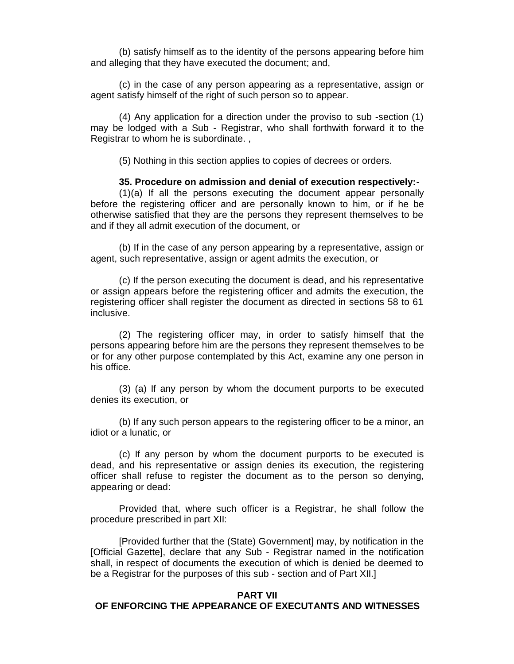(b) satisfy himself as to the identity of the persons appearing before him and alleging that they have executed the document; and,

(c) in the case of any person appearing as a representative, assign or agent satisfy himself of the right of such person so to appear.

(4) Any application for a direction under the proviso to sub -section (1) may be lodged with a Sub - Registrar, who shall forthwith forward it to the Registrar to whom he is subordinate. ,

(5) Nothing in this section applies to copies of decrees or orders.

#### **35. Procedure on admission and denial of execution respectively:-**

(1)(a) If all the persons executing the document appear personally before the registering officer and are personally known to him, or if he be otherwise satisfied that they are the persons they represent themselves to be and if they all admit execution of the document, or

(b) If in the case of any person appearing by a representative, assign or agent, such representative, assign or agent admits the execution, or

(c) If the person executing the document is dead, and his representative or assign appears before the registering officer and admits the execution, the registering officer shall register the document as directed in sections 58 to 61 inclusive.

(2) The registering officer may, in order to satisfy himself that the persons appearing before him are the persons they represent themselves to be or for any other purpose contemplated by this Act, examine any one person in his office.

(3) (a) If any person by whom the document purports to be executed denies its execution, or

(b) If any such person appears to the registering officer to be a minor, an idiot or a lunatic, or

(c) If any person by whom the document purports to be executed is dead, and his representative or assign denies its execution, the registering officer shall refuse to register the document as to the person so denying, appearing or dead:

Provided that, where such officer is a Registrar, he shall follow the procedure prescribed in part XII:

[Provided further that the (State) Government] may, by notification in the [Official Gazette], declare that any Sub - Registrar named in the notification shall, in respect of documents the execution of which is denied be deemed to be a Registrar for the purposes of this sub - section and of Part XII.]

#### **PART VII**

#### **OF ENFORCING THE APPEARANCE OF EXECUTANTS AND WITNESSES**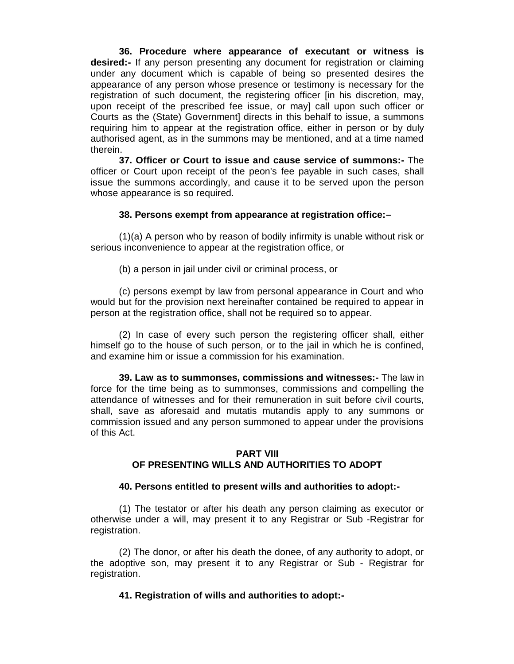**36. Procedure where appearance of executant or witness is desired:-** If any person presenting any document for registration or claiming under any document which is capable of being so presented desires the appearance of any person whose presence or testimony is necessary for the registration of such document, the registering officer [in his discretion, may, upon receipt of the prescribed fee issue, or may] call upon such officer or Courts as the (State) Government] directs in this behalf to issue, a summons requiring him to appear at the registration office, either in person or by duly authorised agent, as in the summons may be mentioned, and at a time named therein.

**37. Officer or Court to issue and cause service of summons:-** The officer or Court upon receipt of the peon's fee payable in such cases, shall issue the summons accordingly, and cause it to be served upon the person whose appearance is so required.

## **38. Persons exempt from appearance at registration office:–**

(1)(a) A person who by reason of bodily infirmity is unable without risk or serious inconvenience to appear at the registration office, or

(b) a person in jail under civil or criminal process, or

(c) persons exempt by law from personal appearance in Court and who would but for the provision next hereinafter contained be required to appear in person at the registration office, shall not be required so to appear.

(2) In case of every such person the registering officer shall, either himself go to the house of such person, or to the jail in which he is confined, and examine him or issue a commission for his examination.

**39. Law as to summonses, commissions and witnesses:-** The law in force for the time being as to summonses, commissions and compelling the attendance of witnesses and for their remuneration in suit before civil courts, shall, save as aforesaid and mutatis mutandis apply to any summons or commission issued and any person summoned to appear under the provisions of this Act.

#### **PART VIII**

# **OF PRESENTING WILLS AND AUTHORITIES TO ADOPT**

# **40. Persons entitled to present wills and authorities to adopt:-**

(1) The testator or after his death any person claiming as executor or otherwise under a will, may present it to any Registrar or Sub -Registrar for registration.

(2) The donor, or after his death the donee, of any authority to adopt, or the adoptive son, may present it to any Registrar or Sub - Registrar for registration.

# **41. Registration of wills and authorities to adopt:-**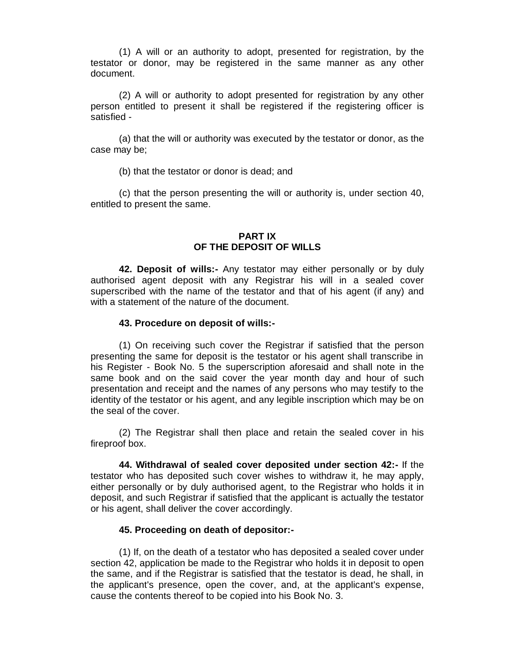(1) A will or an authority to adopt, presented for registration, by the testator or donor, may be registered in the same manner as any other document.

(2) A will or authority to adopt presented for registration by any other person entitled to present it shall be registered if the registering officer is satisfied -

(a) that the will or authority was executed by the testator or donor, as the case may be;

(b) that the testator or donor is dead; and

(c) that the person presenting the will or authority is, under section 40, entitled to present the same.

## **PART IX OF THE DEPOSIT OF WILLS**

**42. Deposit of wills:-** Any testator may either personally or by duly authorised agent deposit with any Registrar his will in a sealed cover superscribed with the name of the testator and that of his agent (if any) and with a statement of the nature of the document.

## **43. Procedure on deposit of wills:-**

(1) On receiving such cover the Registrar if satisfied that the person presenting the same for deposit is the testator or his agent shall transcribe in his Register - Book No. 5 the superscription aforesaid and shall note in the same book and on the said cover the year month day and hour of such presentation and receipt and the names of any persons who may testify to the identity of the testator or his agent, and any legible inscription which may be on the seal of the cover.

(2) The Registrar shall then place and retain the sealed cover in his fireproof box.

**44. Withdrawal of sealed cover deposited under section 42:-** If the testator who has deposited such cover wishes to withdraw it, he may apply, either personally or by duly authorised agent, to the Registrar who holds it in deposit, and such Registrar if satisfied that the applicant is actually the testator or his agent, shall deliver the cover accordingly.

#### **45. Proceeding on death of depositor:-**

(1) If, on the death of a testator who has deposited a sealed cover under section 42, application be made to the Registrar who holds it in deposit to open the same, and if the Registrar is satisfied that the testator is dead, he shall, in the applicant's presence, open the cover, and, at the applicant's expense, cause the contents thereof to be copied into his Book No. 3.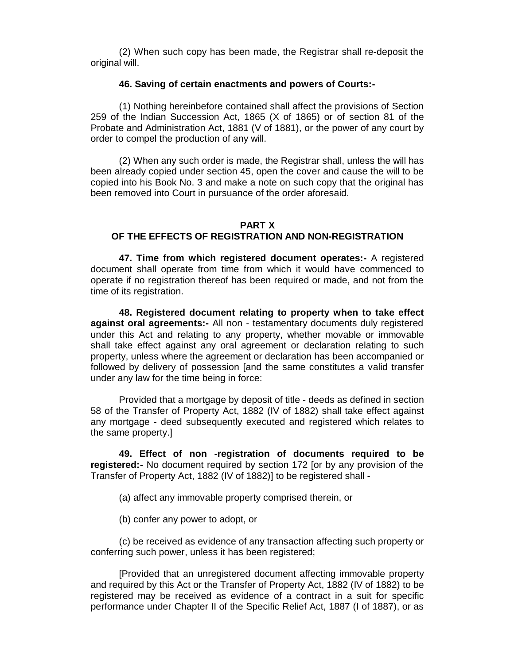(2) When such copy has been made, the Registrar shall re-deposit the original will.

#### **46. Saving of certain enactments and powers of Courts:-**

(1) Nothing hereinbefore contained shall affect the provisions of Section 259 of the Indian Succession Act, 1865 (X of 1865) or of section 81 of the Probate and Administration Act, 1881 (V of 1881), or the power of any court by order to compel the production of any will.

(2) When any such order is made, the Registrar shall, unless the will has been already copied under section 45, open the cover and cause the will to be copied into his Book No. 3 and make a note on such copy that the original has been removed into Court in pursuance of the order aforesaid.

#### **PART X OF THE EFFECTS OF REGISTRATION AND NON-REGISTRATION**

**47. Time from which registered document operates:-** A registered document shall operate from time from which it would have commenced to operate if no registration thereof has been required or made, and not from the time of its registration.

**48. Registered document relating to property when to take effect against oral agreements:-** All non - testamentary documents duly registered under this Act and relating to any property, whether movable or immovable shall take effect against any oral agreement or declaration relating to such property, unless where the agreement or declaration has been accompanied or followed by delivery of possession [and the same constitutes a valid transfer under any law for the time being in force:

Provided that a mortgage by deposit of title - deeds as defined in section 58 of the Transfer of Property Act, 1882 (IV of 1882) shall take effect against any mortgage - deed subsequently executed and registered which relates to the same property.]

**49. Effect of non -registration of documents required to be registered:-** No document required by section 172 [or by any provision of the Transfer of Property Act, 1882 (IV of 1882)] to be registered shall -

(a) affect any immovable property comprised therein, or

(b) confer any power to adopt, or

(c) be received as evidence of any transaction affecting such property or conferring such power, unless it has been registered;

[Provided that an unregistered document affecting immovable property and required by this Act or the Transfer of Property Act, 1882 (IV of 1882) to be registered may be received as evidence of a contract in a suit for specific performance under Chapter II of the Specific Relief Act, 1887 (I of 1887), or as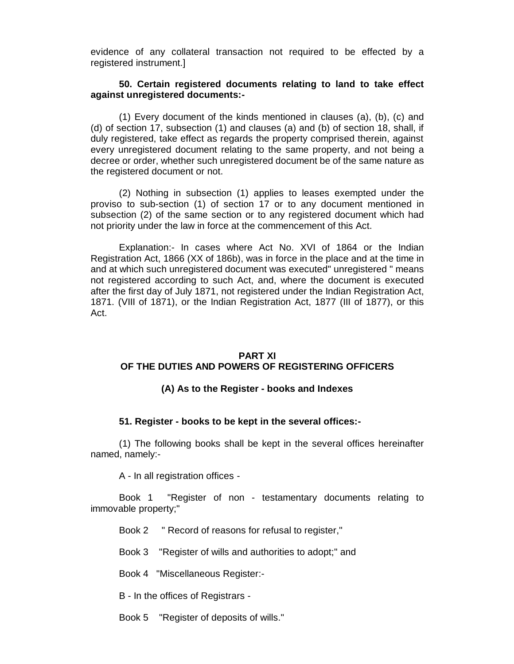evidence of any collateral transaction not required to be effected by a registered instrument.]

#### **50. Certain registered documents relating to land to take effect against unregistered documents:-**

(1) Every document of the kinds mentioned in clauses (a), (b), (c) and (d) of section 17, subsection (1) and clauses (a) and (b) of section 18, shall, if duly registered, take effect as regards the property comprised therein, against every unregistered document relating to the same property, and not being a decree or order, whether such unregistered document be of the same nature as the registered document or not.

(2) Nothing in subsection (1) applies to leases exempted under the proviso to sub-section (1) of section 17 or to any document mentioned in subsection (2) of the same section or to any registered document which had not priority under the law in force at the commencement of this Act.

Explanation:- In cases where Act No. XVI of 1864 or the Indian Registration Act, 1866 (XX of 186b), was in force in the place and at the time in and at which such unregistered document was executed" unregistered " means not registered according to such Act, and, where the document is executed after the first day of July 1871, not registered under the Indian Registration Act, 1871. (VIII of 1871), or the Indian Registration Act, 1877 (III of 1877), or this Act.

#### **PART XI OF THE DUTIES AND POWERS OF REGISTERING OFFICERS**

#### **(A) As to the Register - books and Indexes**

#### **51. Register - books to be kept in the several offices:-**

(1) The following books shall be kept in the several offices hereinafter named, namely:-

A - In all registration offices -

Book 1 "Register of non - testamentary documents relating to immovable property;"

Book 2 " Record of reasons for refusal to register,"

Book 3 "Register of wills and authorities to adopt;" and

Book 4 "Miscellaneous Register:-

B - In the offices of Registrars -

Book 5 "Register of deposits of wills."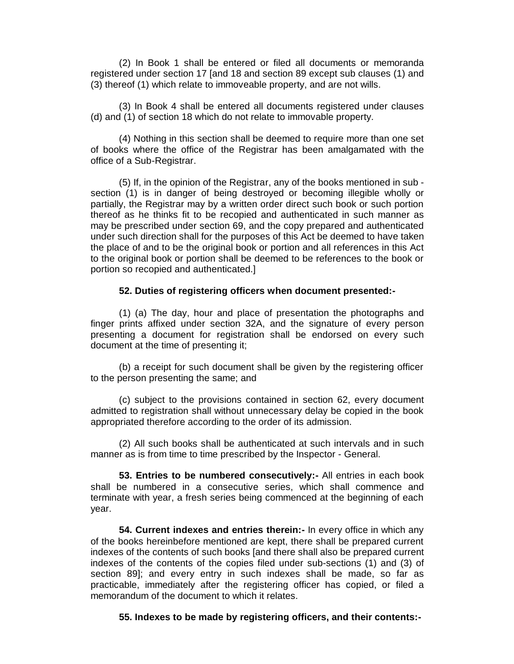(2) In Book 1 shall be entered or filed all documents or memoranda registered under section 17 [and 18 and section 89 except sub clauses (1) and (3) thereof (1) which relate to immoveable property, and are not wills.

(3) In Book 4 shall be entered all documents registered under clauses (d) and (1) of section 18 which do not relate to immovable property.

(4) Nothing in this section shall be deemed to require more than one set of books where the office of the Registrar has been amalgamated with the office of a Sub-Registrar.

(5) If, in the opinion of the Registrar, any of the books mentioned in sub section (1) is in danger of being destroyed or becoming illegible wholly or partially, the Registrar may by a written order direct such book or such portion thereof as he thinks fit to be recopied and authenticated in such manner as may be prescribed under section 69, and the copy prepared and authenticated under such direction shall for the purposes of this Act be deemed to have taken the place of and to be the original book or portion and all references in this Act to the original book or portion shall be deemed to be references to the book or portion so recopied and authenticated.]

#### **52. Duties of registering officers when document presented:-**

(1) (a) The day, hour and place of presentation the photographs and finger prints affixed under section 32A, and the signature of every person presenting a document for registration shall be endorsed on every such document at the time of presenting it;

(b) a receipt for such document shall be given by the registering officer to the person presenting the same; and

(c) subject to the provisions contained in section 62, every document admitted to registration shall without unnecessary delay be copied in the book appropriated therefore according to the order of its admission.

(2) All such books shall be authenticated at such intervals and in such manner as is from time to time prescribed by the Inspector - General.

**53. Entries to be numbered consecutively:-** All entries in each book shall be numbered in a consecutive series, which shall commence and terminate with year, a fresh series being commenced at the beginning of each year.

**54. Current indexes and entries therein:-** In every office in which any of the books hereinbefore mentioned are kept, there shall be prepared current indexes of the contents of such books [and there shall also be prepared current indexes of the contents of the copies filed under sub-sections (1) and (3) of section 89]; and every entry in such indexes shall be made, so far as practicable, immediately after the registering officer has copied, or filed a memorandum of the document to which it relates.

**55. Indexes to be made by registering officers, and their contents:-**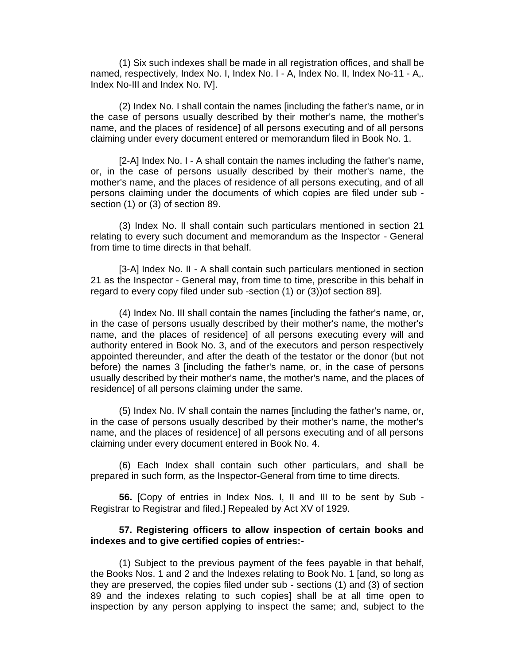(1) Six such indexes shall be made in all registration offices, and shall be named, respectively, Index No. I, Index No. l - A, Index No. II, Index No-11 - A,. Index No-III and Index No. IV].

(2) Index No. I shall contain the names [including the father's name, or in the case of persons usually described by their mother's name, the mother's name, and the places of residence] of all persons executing and of all persons claiming under every document entered or memorandum filed in Book No. 1.

[2-A] Index No. I - A shall contain the names including the father's name, or, in the case of persons usually described by their mother's name, the mother's name, and the places of residence of all persons executing, and of all persons claiming under the documents of which copies are filed under sub section (1) or (3) of section 89.

(3) Index No. II shall contain such particulars mentioned in section 21 relating to every such document and memorandum as the Inspector - General from time to time directs in that behalf.

[3-A] Index No. II - A shall contain such particulars mentioned in section 21 as the Inspector - General may, from time to time, prescribe in this behalf in regard to every copy filed under sub -section (1) or (3))of section 89].

(4) Index No. III shall contain the names [including the father's name, or, in the case of persons usually described by their mother's name, the mother's name, and the places of residence] of all persons executing every will and authority entered in Book No. 3, and of the executors and person respectively appointed thereunder, and after the death of the testator or the donor (but not before) the names 3 [including the father's name, or, in the case of persons usually described by their mother's name, the mother's name, and the places of residence] of all persons claiming under the same.

(5) Index No. IV shall contain the names [including the father's name, or, in the case of persons usually described by their mother's name, the mother's name, and the places of residence] of all persons executing and of all persons claiming under every document entered in Book No. 4.

(6) Each Index shall contain such other particulars, and shall be prepared in such form, as the Inspector-General from time to time directs.

**56.** [Copy of entries in Index Nos. I, II and III to be sent by Sub - Registrar to Registrar and filed.] Repealed by Act XV of 1929.

### **57. Registering officers to allow inspection of certain books and indexes and to give certified copies of entries:-**

(1) Subject to the previous payment of the fees payable in that behalf, the Books Nos. 1 and 2 and the Indexes relating to Book No. 1 [and, so long as they are preserved, the copies filed under sub - sections (1) and (3) of section 89 and the indexes relating to such copies] shall be at all time open to inspection by any person applying to inspect the same; and, subject to the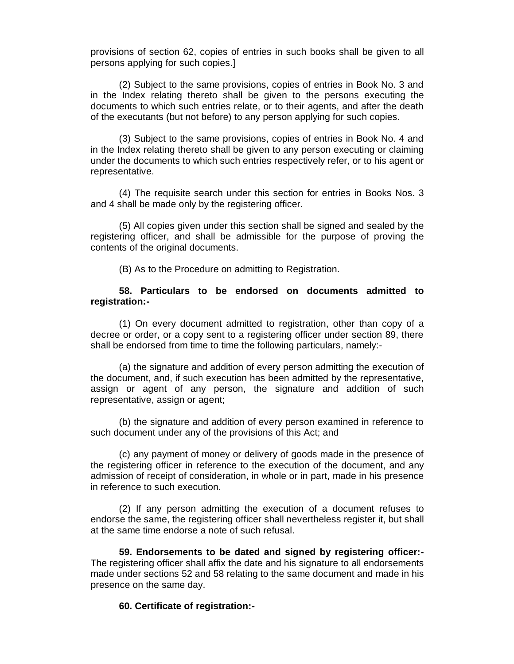provisions of section 62, copies of entries in such books shall be given to all persons applying for such copies.]

(2) Subject to the same provisions, copies of entries in Book No. 3 and in the Index relating thereto shall be given to the persons executing the documents to which such entries relate, or to their agents, and after the death of the executants (but not before) to any person applying for such copies.

(3) Subject to the same provisions, copies of entries in Book No. 4 and in the Index relating thereto shall be given to any person executing or claiming under the documents to which such entries respectively refer, or to his agent or representative.

(4) The requisite search under this section for entries in Books Nos. 3 and 4 shall be made only by the registering officer.

(5) All copies given under this section shall be signed and sealed by the registering officer, and shall be admissible for the purpose of proving the contents of the original documents.

(B) As to the Procedure on admitting to Registration.

## **58. Particulars to be endorsed on documents admitted to registration:-**

(1) On every document admitted to registration, other than copy of a decree or order, or a copy sent to a registering officer under section 89, there shall be endorsed from time to time the following particulars, namely:-

(a) the signature and addition of every person admitting the execution of the document, and, if such execution has been admitted by the representative, assign or agent of any person, the signature and addition of such representative, assign or agent;

(b) the signature and addition of every person examined in reference to such document under any of the provisions of this Act; and

(c) any payment of money or delivery of goods made in the presence of the registering officer in reference to the execution of the document, and any admission of receipt of consideration, in whole or in part, made in his presence in reference to such execution.

(2) If any person admitting the execution of a document refuses to endorse the same, the registering officer shall nevertheless register it, but shall at the same time endorse a note of such refusal.

**59. Endorsements to be dated and signed by registering officer:-** The registering officer shall affix the date and his signature to all endorsements made under sections 52 and 58 relating to the same document and made in his presence on the same day.

## **60. Certificate of registration:-**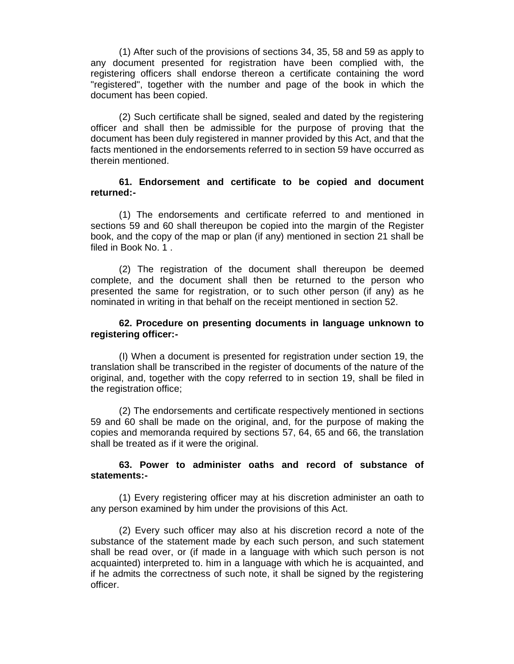(1) After such of the provisions of sections 34, 35, 58 and 59 as apply to any document presented for registration have been complied with, the registering officers shall endorse thereon a certificate containing the word "registered", together with the number and page of the book in which the document has been copied.

(2) Such certificate shall be signed, sealed and dated by the registering officer and shall then be admissible for the purpose of proving that the document has been duly registered in manner provided by this Act, and that the facts mentioned in the endorsements referred to in section 59 have occurred as therein mentioned.

### **61. Endorsement and certificate to be copied and document returned:-**

(1) The endorsements and certificate referred to and mentioned in sections 59 and 60 shall thereupon be copied into the margin of the Register book, and the copy of the map or plan (if any) mentioned in section 21 shall be filed in Book No. 1 .

(2) The registration of the document shall thereupon be deemed complete, and the document shall then be returned to the person who presented the same for registration, or to such other person (if any) as he nominated in writing in that behalf on the receipt mentioned in section 52.

## **62. Procedure on presenting documents in language unknown to registering officer:-**

(I) When a document is presented for registration under section 19, the translation shall be transcribed in the register of documents of the nature of the original, and, together with the copy referred to in section 19, shall be filed in the registration office;

(2) The endorsements and certificate respectively mentioned in sections 59 and 60 shall be made on the original, and, for the purpose of making the copies and memoranda required by sections 57, 64, 65 and 66, the translation shall be treated as if it were the original.

## **63. Power to administer oaths and record of substance of statements:-**

(1) Every registering officer may at his discretion administer an oath to any person examined by him under the provisions of this Act.

(2) Every such officer may also at his discretion record a note of the substance of the statement made by each such person, and such statement shall be read over, or (if made in a language with which such person is not acquainted) interpreted to. him in a language with which he is acquainted, and if he admits the correctness of such note, it shall be signed by the registering officer.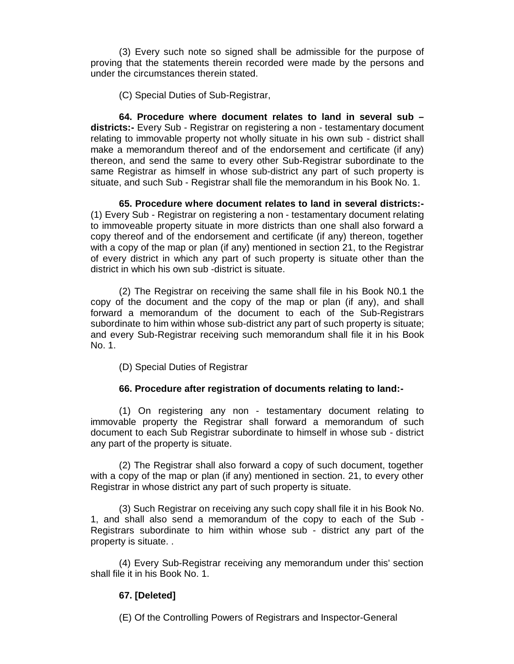(3) Every such note so signed shall be admissible for the purpose of proving that the statements therein recorded were made by the persons and under the circumstances therein stated.

(C) Special Duties of Sub-Registrar,

**64. Procedure where document relates to land in several sub – districts:-** Every Sub - Registrar on registering a non - testamentary document relating to immovable property not wholly situate in his own sub - district shall make a memorandum thereof and of the endorsement and certificate (if any) thereon, and send the same to every other Sub-Registrar subordinate to the same Registrar as himself in whose sub-district any part of such property is situate, and such Sub - Registrar shall file the memorandum in his Book No. 1.

**65. Procedure where document relates to land in several districts:-** (1) Every Sub - Registrar on registering a non - testamentary document relating to immoveable property situate in more districts than one shall also forward a copy thereof and of the endorsement and certificate (if any) thereon, together with a copy of the map or plan (if any) mentioned in section 21, to the Registrar of every district in which any part of such property is situate other than the district in which his own sub -district is situate.

(2) The Registrar on receiving the same shall file in his Book N0.1 the copy of the document and the copy of the map or plan (if any), and shall forward a memorandum of the document to each of the Sub-Registrars subordinate to him within whose sub-district any part of such property is situate; and every Sub-Registrar receiving such memorandum shall file it in his Book No. 1.

(D) Special Duties of Registrar

#### **66. Procedure after registration of documents relating to land:-**

(1) On registering any non - testamentary document relating to immovable property the Registrar shall forward a memorandum of such document to each Sub Registrar subordinate to himself in whose sub - district any part of the property is situate.

(2) The Registrar shall also forward a copy of such document, together with a copy of the map or plan (if any) mentioned in section. 21, to every other Registrar in whose district any part of such property is situate.

(3) Such Registrar on receiving any such copy shall file it in his Book No. 1, and shall also send a memorandum of the copy to each of the Sub - Registrars subordinate to him within whose sub - district any part of the property is situate. .

(4) Every Sub-Registrar receiving any memorandum under this' section shall file it in his Book No. 1.

# **67. [Deleted]**

(E) Of the Controlling Powers of Registrars and Inspector-General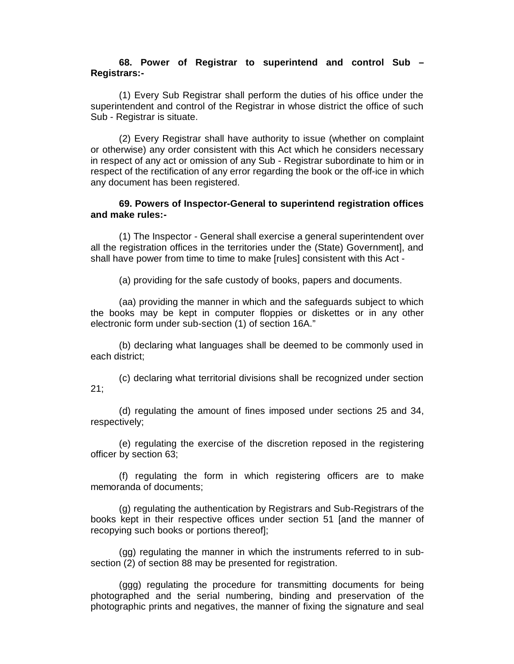## **68. Power of Registrar to superintend and control Sub – Registrars:-**

(1) Every Sub Registrar shall perform the duties of his office under the superintendent and control of the Registrar in whose district the office of such Sub - Registrar is situate.

(2) Every Registrar shall have authority to issue (whether on complaint or otherwise) any order consistent with this Act which he considers necessary in respect of any act or omission of any Sub - Registrar subordinate to him or in respect of the rectification of any error regarding the book or the off-ice in which any document has been registered.

## **69. Powers of Inspector-General to superintend registration offices and make rules:-**

(1) The Inspector - General shall exercise a general superintendent over all the registration offices in the territories under the (State) Government], and shall have power from time to time to make [rules] consistent with this Act -

(a) providing for the safe custody of books, papers and documents.

(aa) providing the manner in which and the safeguards subject to which the books may be kept in computer floppies or diskettes or in any other electronic form under sub-section (1) of section 16A."

(b) declaring what languages shall be deemed to be commonly used in each district;

(c) declaring what territorial divisions shall be recognized under section 21;

(d) regulating the amount of fines imposed under sections 25 and 34, respectively;

(e) regulating the exercise of the discretion reposed in the registering officer by section 63;

(f) regulating the form in which registering officers are to make memoranda of documents;

(g) regulating the authentication by Registrars and Sub-Registrars of the books kept in their respective offices under section 51 [and the manner of recopying such books or portions thereof];

(gg) regulating the manner in which the instruments referred to in subsection (2) of section 88 may be presented for registration.

(ggg) regulating the procedure for transmitting documents for being photographed and the serial numbering, binding and preservation of the photographic prints and negatives, the manner of fixing the signature and seal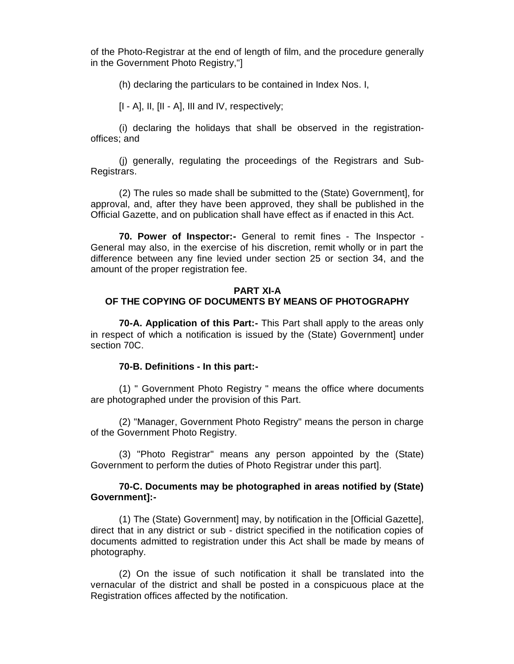of the Photo-Registrar at the end of length of film, and the procedure generally in the Government Photo Registry,"]

(h) declaring the particulars to be contained in Index Nos. I,

[I - A], II, [II - A], III and IV, respectively;

(i) declaring the holidays that shall be observed in the registrationoffices; and

(j) generally, regulating the proceedings of the Registrars and Sub-Registrars.

(2) The rules so made shall be submitted to the (State) Government], for approval, and, after they have been approved, they shall be published in the Official Gazette, and on publication shall have effect as if enacted in this Act.

**70. Power of Inspector:-** General to remit fines - The Inspector - General may also, in the exercise of his discretion, remit wholly or in part the difference between any fine levied under section 25 or section 34, and the amount of the proper registration fee.

## **PART XI-A OF THE COPYING OF DOCUMENTS BY MEANS OF PHOTOGRAPHY**

**70-A. Application of this Part:-** This Part shall apply to the areas only in respect of which a notification is issued by the (State) Governmentl under section 70C.

#### **70-B. Definitions - In this part:-**

(1) " Government Photo Registry " means the office where documents are photographed under the provision of this Part.

(2) "Manager, Government Photo Registry" means the person in charge of the Government Photo Registry.

(3) "Photo Registrar" means any person appointed by the (State) Government to perform the duties of Photo Registrar under this part].

#### **70-C. Documents may be photographed in areas notified by (State) Government]:-**

(1) The (State) Government] may, by notification in the [Official Gazette], direct that in any district or sub - district specified in the notification copies of documents admitted to registration under this Act shall be made by means of photography.

(2) On the issue of such notification it shall be translated into the vernacular of the district and shall be posted in a conspicuous place at the Registration offices affected by the notification.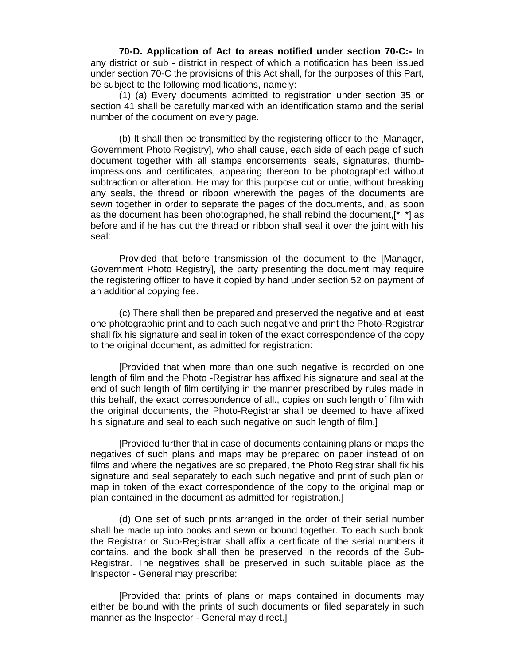**70-D. Application of Act to areas notified under section 70-C:-** In any district or sub - district in respect of which a notification has been issued under section 70-C the provisions of this Act shall, for the purposes of this Part, be subject to the following modifications, namely:

(1) (a) Every documents admitted to registration under section 35 or section 41 shall be carefully marked with an identification stamp and the serial number of the document on every page.

(b) It shall then be transmitted by the registering officer to the [Manager, Government Photo Registry], who shall cause, each side of each page of such document together with all stamps endorsements, seals, signatures, thumbimpressions and certificates, appearing thereon to be photographed without subtraction or alteration. He may for this purpose cut or untie, without breaking any seals, the thread or ribbon wherewith the pages of the documents are sewn together in order to separate the pages of the documents, and, as soon as the document has been photographed, he shall rebind the document,[\* \*] as before and if he has cut the thread or ribbon shall seal it over the joint with his seal:

Provided that before transmission of the document to the [Manager, Government Photo Registry], the party presenting the document may require the registering officer to have it copied by hand under section 52 on payment of an additional copying fee.

(c) There shall then be prepared and preserved the negative and at least one photographic print and to each such negative and print the Photo-Registrar shall fix his signature and seal in token of the exact correspondence of the copy to the original document, as admitted for registration:

[Provided that when more than one such negative is recorded on one length of film and the Photo -Registrar has affixed his signature and seal at the end of such length of film certifying in the manner prescribed by rules made in this behalf, the exact correspondence of all., copies on such length of film with the original documents, the Photo-Registrar shall be deemed to have affixed his signature and seal to each such negative on such length of film.]

[Provided further that in case of documents containing plans or maps the negatives of such plans and maps may be prepared on paper instead of on films and where the negatives are so prepared, the Photo Registrar shall fix his signature and seal separately to each such negative and print of such plan or map in token of the exact correspondence of the copy to the original map or plan contained in the document as admitted for registration.]

(d) One set of such prints arranged in the order of their serial number shall be made up into books and sewn or bound together. To each such book the Registrar or Sub-Registrar shall affix a certificate of the serial numbers it contains, and the book shall then be preserved in the records of the Sub-Registrar. The negatives shall be preserved in such suitable place as the Inspector - General may prescribe:

[Provided that prints of plans or maps contained in documents may either be bound with the prints of such documents or filed separately in such manner as the Inspector - General may direct.]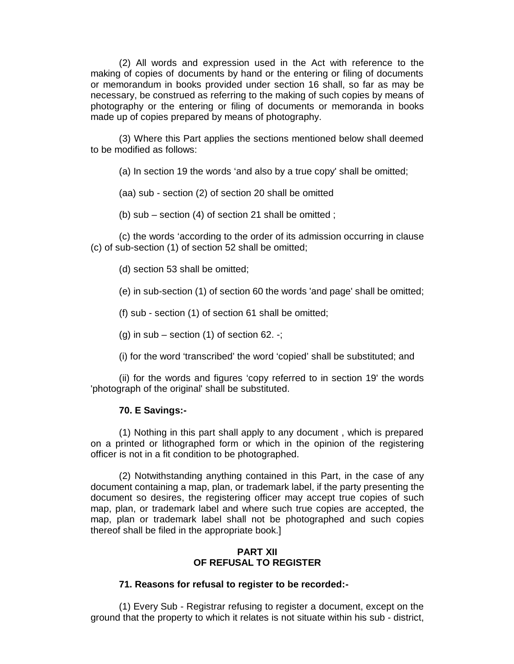(2) All words and expression used in the Act with reference to the making of copies of documents by hand or the entering or filing of documents or memorandum in books provided under section 16 shall, so far as may be necessary, be construed as referring to the making of such copies by means of photography or the entering or filing of documents or memoranda in books made up of copies prepared by means of photography.

(3) Where this Part applies the sections mentioned below shall deemed to be modified as follows:

(a) In section 19 the words 'and also by a true copy' shall be omitted;

(aa) sub - section (2) of section 20 shall be omitted

(b) sub – section  $(4)$  of section 21 shall be omitted ;

(c) the words 'according to the order of its admission occurring in clause (c) of sub-section (1) of section 52 shall be omitted;

(d) section 53 shall be omitted;

(e) in sub-section (1) of section 60 the words 'and page' shall be omitted;

(f) sub - section (1) of section 61 shall be omitted;

(g) in sub – section  $(1)$  of section 62. -;

(i) for the word 'transcribed' the word 'copied' shall be substituted; and

(ii) for the words and figures 'copy referred to in section 19' the words 'photograph of the original' shall be substituted.

#### **70. E Savings:-**

(1) Nothing in this part shall apply to any document , which is prepared on a printed or lithographed form or which in the opinion of the registering officer is not in a fit condition to be photographed.

(2) Notwithstanding anything contained in this Part, in the case of any document containing a map, plan, or trademark label, if the party presenting the document so desires, the registering officer may accept true copies of such map, plan, or trademark label and where such true copies are accepted, the map, plan or trademark label shall not be photographed and such copies thereof shall be filed in the appropriate book.]

## **PART XII OF REFUSAL TO REGISTER**

# **71. Reasons for refusal to register to be recorded:-**

(1) Every Sub - Registrar refusing to register a document, except on the ground that the property to which it relates is not situate within his sub - district,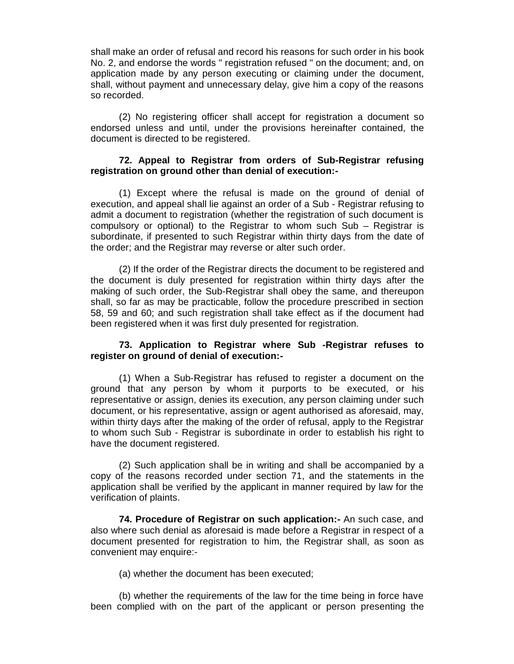shall make an order of refusal and record his reasons for such order in his book No. 2, and endorse the words " registration refused " on the document; and, on application made by any person executing or claiming under the document, shall, without payment and unnecessary delay, give him a copy of the reasons so recorded.

(2) No registering officer shall accept for registration a document so endorsed unless and until, under the provisions hereinafter contained, the document is directed to be registered.

### **72. Appeal to Registrar from orders of Sub-Registrar refusing registration on ground other than denial of execution:-**

(1) Except where the refusal is made on the ground of denial of execution, and appeal shall lie against an order of a Sub - Registrar refusing to admit a document to registration (whether the registration of such document is compulsory or optional) to the Registrar to whom such Sub – Registrar is subordinate, if presented to such Registrar within thirty days from the date of the order; and the Registrar may reverse or alter such order.

(2) If the order of the Registrar directs the document to be registered and the document is duly presented for registration within thirty days after the making of such order, the Sub-Registrar shall obey the same, and thereupon shall, so far as may be practicable, follow the procedure prescribed in section 58, 59 and 60; and such registration shall take effect as if the document had been registered when it was first duly presented for registration.

## **73. Application to Registrar where Sub -Registrar refuses to register on ground of denial of execution:-**

(1) When a Sub-Registrar has refused to register a document on the ground that any person by whom it purports to be executed, or his representative or assign, denies its execution, any person claiming under such document, or his representative, assign or agent authorised as aforesaid, may, within thirty days after the making of the order of refusal, apply to the Registrar to whom such Sub - Registrar is subordinate in order to establish his right to have the document registered.

(2) Such application shall be in writing and shall be accompanied by a copy of the reasons recorded under section 71, and the statements in the application shall be verified by the applicant in manner required by law for the verification of plaints.

**74. Procedure of Registrar on such application:-** An such case, and also where such denial as aforesaid is made before a Registrar in respect of a document presented for registration to him, the Registrar shall, as soon as convenient may enquire:-

(a) whether the document has been executed;

(b) whether the requirements of the law for the time being in force have been complied with on the part of the applicant or person presenting the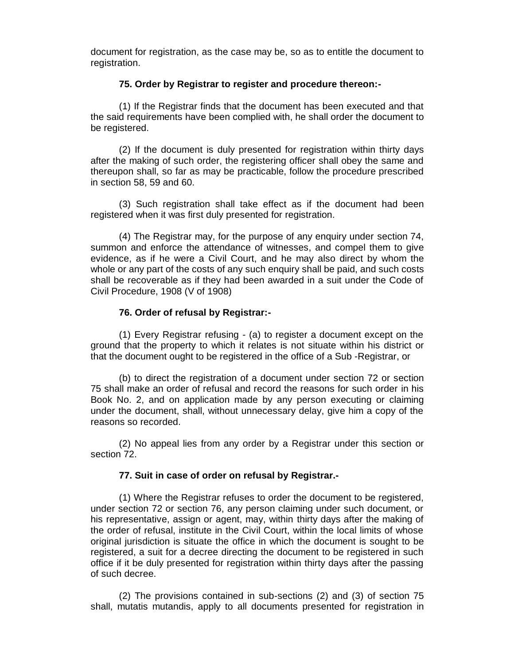document for registration, as the case may be, so as to entitle the document to registration.

#### **75. Order by Registrar to register and procedure thereon:-**

(1) If the Registrar finds that the document has been executed and that the said requirements have been complied with, he shall order the document to be registered.

(2) If the document is duly presented for registration within thirty days after the making of such order, the registering officer shall obey the same and thereupon shall, so far as may be practicable, follow the procedure prescribed in section 58, 59 and 60.

(3) Such registration shall take effect as if the document had been registered when it was first duly presented for registration.

(4) The Registrar may, for the purpose of any enquiry under section 74, summon and enforce the attendance of witnesses, and compel them to give evidence, as if he were a Civil Court, and he may also direct by whom the whole or any part of the costs of any such enquiry shall be paid, and such costs shall be recoverable as if they had been awarded in a suit under the Code of Civil Procedure, 1908 (V of 1908)

## **76. Order of refusal by Registrar:-**

(1) Every Registrar refusing - (a) to register a document except on the ground that the property to which it relates is not situate within his district or that the document ought to be registered in the office of a Sub -Registrar, or

(b) to direct the registration of a document under section 72 or section 75 shall make an order of refusal and record the reasons for such order in his Book No. 2, and on application made by any person executing or claiming under the document, shall, without unnecessary delay, give him a copy of the reasons so recorded.

(2) No appeal lies from any order by a Registrar under this section or section 72.

#### **77. Suit in case of order on refusal by Registrar.-**

(1) Where the Registrar refuses to order the document to be registered, under section 72 or section 76, any person claiming under such document, or his representative, assign or agent, may, within thirty days after the making of the order of refusal, institute in the Civil Court, within the local limits of whose original jurisdiction is situate the office in which the document is sought to be registered, a suit for a decree directing the document to be registered in such office if it be duly presented for registration within thirty days after the passing of such decree.

(2) The provisions contained in sub-sections (2) and (3) of section 75 shall, mutatis mutandis, apply to all documents presented for registration in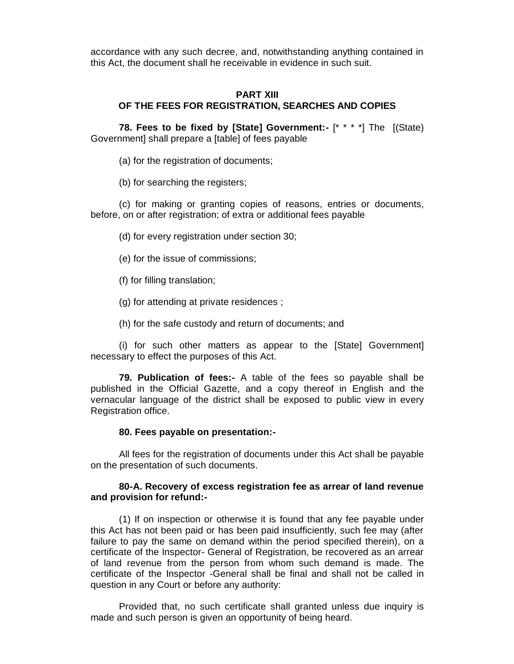accordance with any such decree, and, notwithstanding anything contained in this Act, the document shall he receivable in evidence in such suit.

#### **PART XIII**

#### **OF THE FEES FOR REGISTRATION, SEARCHES AND COPIES**

**78. Fees to be fixed by [State] Government:-** [\* \* \* \*] The [(State) Government] shall prepare a [table] of fees payable

(a) for the registration of documents;

(b) for searching the registers;

(c) for making or granting copies of reasons, entries or documents, before, on or after registration; of extra or additional fees payable

- (d) for every registration under section 30;
- (e) for the issue of commissions;
- (f) for filling translation;
- (g) for attending at private residences ;
- (h) for the safe custody and return of documents; and

(i) for such other matters as appear to the [State] Government] necessary to effect the purposes of this Act.

**79. Publication of fees:-** A table of the fees so payable shall be published in the Official Gazette, and a copy thereof in English and the vernacular language of the district shall be exposed to public view in every Registration office.

#### **80. Fees payable on presentation:-**

All fees for the registration of documents under this Act shall be payable on the presentation of such documents.

#### **80-A. Recovery of excess registration fee as arrear of land revenue and provision for refund:-**

(1) If on inspection or otherwise it is found that any fee payable under this Act has not been paid or has been paid insufficiently, such fee may (after failure to pay the same on demand within the period specified therein), on a certificate of the Inspector- General of Registration, be recovered as an arrear of land revenue from the person from whom such demand is made. The certificate of the Inspector -General shall be final and shall not be called in question in any Court or before any authority:

Provided that, no such certificate shall granted unless due inquiry is made and such person is given an opportunity of being heard.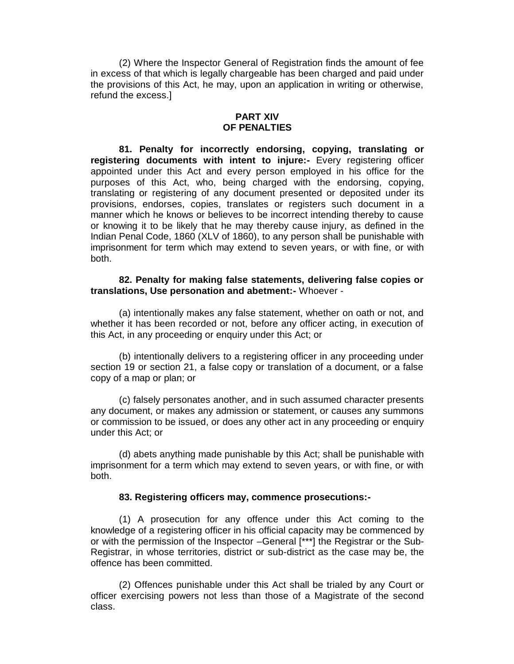(2) Where the Inspector General of Registration finds the amount of fee in excess of that which is legally chargeable has been charged and paid under the provisions of this Act, he may, upon an application in writing or otherwise, refund the excess.]

#### **PART XIV OF PENALTIES**

**81. Penalty for incorrectly endorsing, copying, translating or registering documents with intent to injure:-** Every registering officer appointed under this Act and every person employed in his office for the purposes of this Act, who, being charged with the endorsing, copying, translating or registering of any document presented or deposited under its provisions, endorses, copies, translates or registers such document in a manner which he knows or believes to be incorrect intending thereby to cause or knowing it to be likely that he may thereby cause injury, as defined in the Indian Penal Code, 1860 (XLV of 1860), to any person shall be punishable with imprisonment for term which may extend to seven years, or with fine, or with both.

**82. Penalty for making false statements, delivering false copies or translations, Use personation and abetment:-** Whoever -

(a) intentionally makes any false statement, whether on oath or not, and whether it has been recorded or not, before any officer acting, in execution of this Act, in any proceeding or enquiry under this Act; or

(b) intentionally delivers to a registering officer in any proceeding under section 19 or section 21, a false copy or translation of a document, or a false copy of a map or plan; or

(c) falsely personates another, and in such assumed character presents any document, or makes any admission or statement, or causes any summons or commission to be issued, or does any other act in any proceeding or enquiry under this Act; or

(d) abets anything made punishable by this Act; shall be punishable with imprisonment for a term which may extend to seven years, or with fine, or with both.

### **83. Registering officers may, commence prosecutions:-**

(1) A prosecution for any offence under this Act coming to the knowledge of a registering officer in his official capacity may be commenced by or with the permission of the Inspector –General [\*\*\*] the Registrar or the Sub-Registrar, in whose territories, district or sub-district as the case may be, the offence has been committed.

(2) Offences punishable under this Act shall be trialed by any Court or officer exercising powers not less than those of a Magistrate of the second class.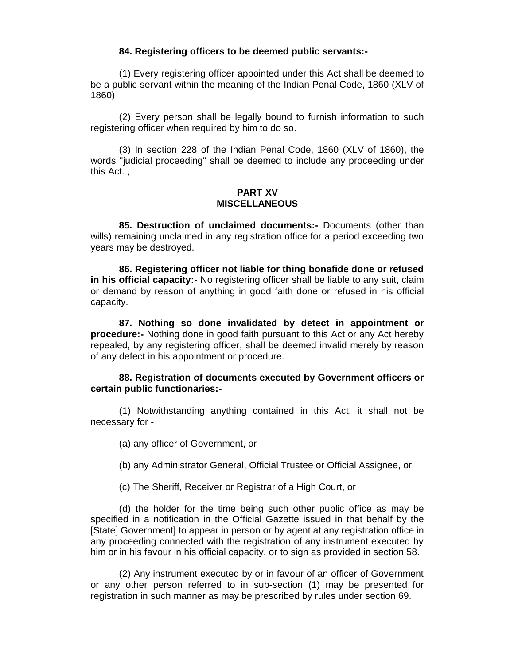### **84. Registering officers to be deemed public servants:-**

(1) Every registering officer appointed under this Act shall be deemed to be a public servant within the meaning of the Indian Penal Code, 1860 (XLV of 1860)

(2) Every person shall be legally bound to furnish information to such registering officer when required by him to do so.

(3) In section 228 of the Indian Penal Code, 1860 (XLV of 1860), the words "judicial proceeding" shall be deemed to include any proceeding under this Act. ,

### **PART XV MISCELLANEOUS**

**85. Destruction of unclaimed documents:-** Documents (other than wills) remaining unclaimed in any registration office for a period exceeding two years may be destroyed.

**86. Registering officer not liable for thing bonafide done or refused in his official capacity:-** No registering officer shall be liable to any suit, claim or demand by reason of anything in good faith done or refused in his official capacity.

**87. Nothing so done invalidated by detect in appointment or procedure:-** Nothing done in good faith pursuant to this Act or any Act hereby repealed, by any registering officer, shall be deemed invalid merely by reason of any defect in his appointment or procedure.

**88. Registration of documents executed by Government officers or certain public functionaries:-**

(1) Notwithstanding anything contained in this Act, it shall not be necessary for -

(a) any officer of Government, or

(b) any Administrator General, Official Trustee or Official Assignee, or

(c) The Sheriff, Receiver or Registrar of a High Court, or

(d) the holder for the time being such other public office as may be specified in a notification in the Official Gazette issued in that behalf by the [State] Government] to appear in person or by agent at any registration office in any proceeding connected with the registration of any instrument executed by him or in his favour in his official capacity, or to sign as provided in section 58.

(2) Any instrument executed by or in favour of an officer of Government or any other person referred to in sub-section (1) may be presented for registration in such manner as may be prescribed by rules under section 69.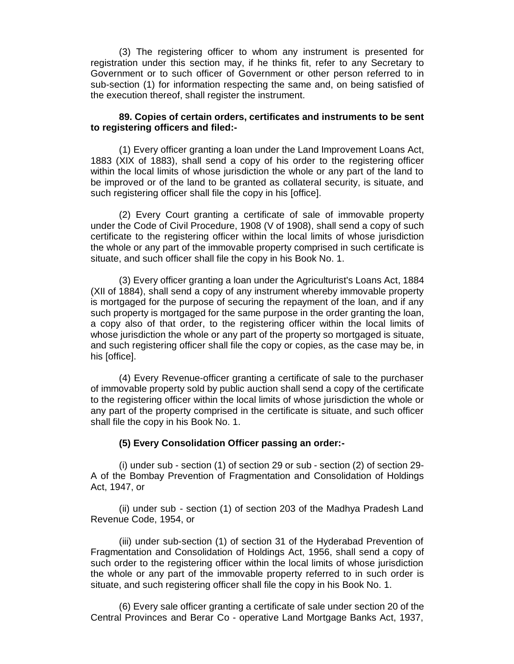(3) The registering officer to whom any instrument is presented for registration under this section may, if he thinks fit, refer to any Secretary to Government or to such officer of Government or other person referred to in sub-section (1) for information respecting the same and, on being satisfied of the execution thereof, shall register the instrument.

## **89. Copies of certain orders, certificates and instruments to be sent to registering officers and filed:-**

(1) Every officer granting a loan under the Land Improvement Loans Act, 1883 (XIX of 1883), shall send a copy of his order to the registering officer within the local limits of whose jurisdiction the whole or any part of the land to be improved or of the land to be granted as collateral security, is situate, and such registering officer shall file the copy in his [office].

(2) Every Court granting a certificate of sale of immovable property under the Code of Civil Procedure, 1908 (V of 1908), shall send a copy of such certificate to the registering officer within the local limits of whose jurisdiction the whole or any part of the immovable property comprised in such certificate is situate, and such officer shall file the copy in his Book No. 1.

(3) Every officer granting a loan under the Agriculturist's Loans Act, 1884 (XII of 1884), shall send a copy of any instrument whereby immovable property is mortgaged for the purpose of securing the repayment of the loan, and if any such property is mortgaged for the same purpose in the order granting the loan, a copy also of that order, to the registering officer within the local limits of whose jurisdiction the whole or any part of the property so mortgaged is situate, and such registering officer shall file the copy or copies, as the case may be, in his [office].

(4) Every Revenue-officer granting a certificate of sale to the purchaser of immovable property sold by public auction shall send a copy of the certificate to the registering officer within the local limits of whose jurisdiction the whole or any part of the property comprised in the certificate is situate, and such officer shall file the copy in his Book No. 1.

#### **(5) Every Consolidation Officer passing an order:-**

(i) under sub - section (1) of section 29 or sub - section (2) of section 29- A of the Bombay Prevention of Fragmentation and Consolidation of Holdings Act, 1947, or

(ii) under sub - section (1) of section 203 of the Madhya Pradesh Land Revenue Code, 1954, or

(iii) under sub-section (1) of section 31 of the Hyderabad Prevention of Fragmentation and Consolidation of Holdings Act, 1956, shall send a copy of such order to the registering officer within the local limits of whose jurisdiction the whole or any part of the immovable property referred to in such order is situate, and such registering officer shall file the copy in his Book No. 1.

(6) Every sale officer granting a certificate of sale under section 20 of the Central Provinces and Berar Co - operative Land Mortgage Banks Act, 1937,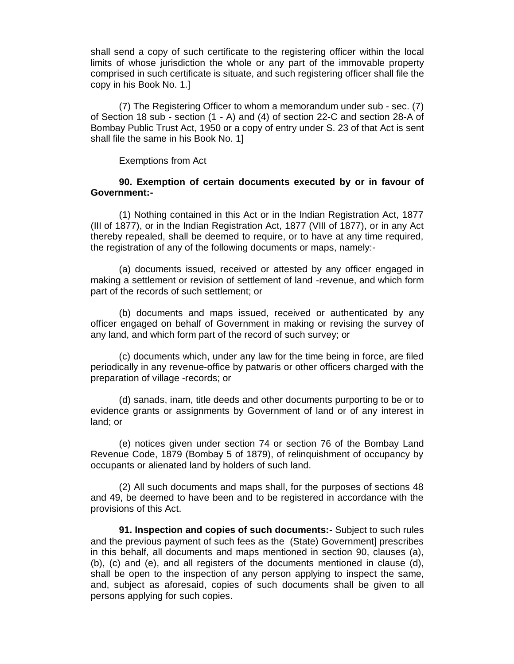shall send a copy of such certificate to the registering officer within the local limits of whose jurisdiction the whole or any part of the immovable property comprised in such certificate is situate, and such registering officer shall file the copy in his Book No. 1.]

(7) The Registering Officer to whom a memorandum under sub - sec. (7) of Section 18 sub - section (1 - A) and (4) of section 22-C and section 28-A of Bombay Public Trust Act, 1950 or a copy of entry under S. 23 of that Act is sent shall file the same in his Book No. 1]

Exemptions from Act

#### **90. Exemption of certain documents executed by or in favour of Government:-**

(1) Nothing contained in this Act or in the Indian Registration Act, 1877 (III of 1877), or in the Indian Registration Act, 1877 (VIII of 1877), or in any Act thereby repealed, shall be deemed to require, or to have at any time required, the registration of any of the following documents or maps, namely:-

(a) documents issued, received or attested by any officer engaged in making a settlement or revision of settlement of land -revenue, and which form part of the records of such settlement; or

(b) documents and maps issued, received or authenticated by any officer engaged on behalf of Government in making or revising the survey of any land, and which form part of the record of such survey; or

(c) documents which, under any law for the time being in force, are filed periodically in any revenue-office by patwaris or other officers charged with the preparation of village -records; or

(d) sanads, inam, title deeds and other documents purporting to be or to evidence grants or assignments by Government of land or of any interest in land; or

(e) notices given under section 74 or section 76 of the Bombay Land Revenue Code, 1879 (Bombay 5 of 1879), of relinquishment of occupancy by occupants or alienated land by holders of such land.

(2) All such documents and maps shall, for the purposes of sections 48 and 49, be deemed to have been and to be registered in accordance with the provisions of this Act.

**91. Inspection and copies of such documents:-** Subject to such rules and the previous payment of such fees as the (State) Government] prescribes in this behalf, all documents and maps mentioned in section 90, clauses (a), (b), (c) and (e), and all registers of the documents mentioned in clause (d), shall be open to the inspection of any person applying to inspect the same, and, subject as aforesaid, copies of such documents shall be given to all persons applying for such copies.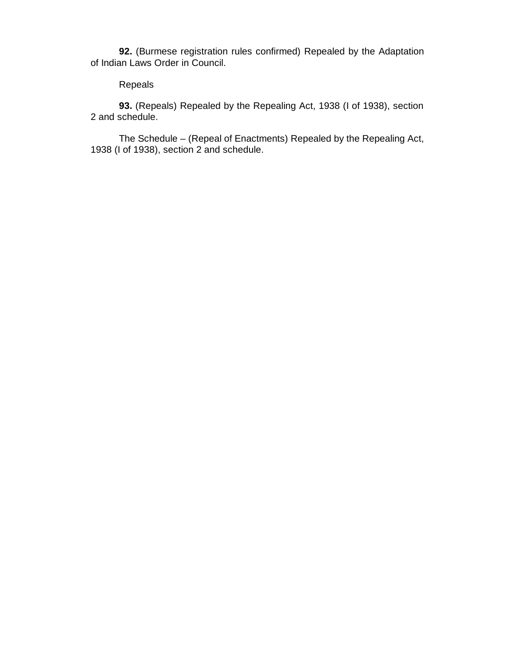**92.** (Burmese registration rules confirmed) Repealed by the Adaptation of Indian Laws Order in Council.

### Repeals

**93.** (Repeals) Repealed by the Repealing Act, 1938 (I of 1938), section 2 and schedule.

The Schedule – (Repeal of Enactments) Repealed by the Repealing Act, 1938 (I of 1938), section 2 and schedule.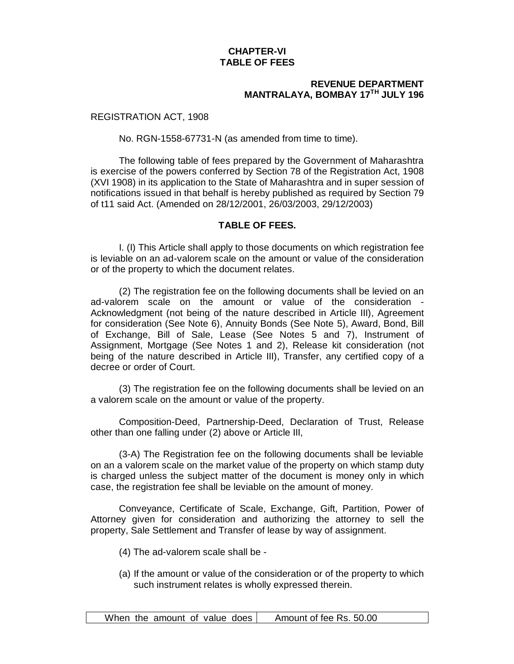# **CHAPTER-VI TABLE OF FEES**

## **REVENUE DEPARTMENT MANTRALAYA, BOMBAY 17TH JULY 196**

#### REGISTRATION ACT, 1908

No. RGN-1558-67731-N (as amended from time to time).

The following table of fees prepared by the Government of Maharashtra is exercise of the powers conferred by Section 78 of the Registration Act, 1908 (XVI 1908) in its application to the State of Maharashtra and in super session of notifications issued in that behalf is hereby published as required by Section 79 of t11 said Act. (Amended on 28/12/2001, 26/03/2003, 29/12/2003)

## **TABLE OF FEES.**

I. (I) This Article shall apply to those documents on which registration fee is leviable on an ad-valorem scale on the amount or value of the consideration or of the property to which the document relates.

(2) The registration fee on the following documents shall be levied on an ad-valorem scale on the amount or value of the consideration Acknowledgment (not being of the nature described in Article III), Agreement for consideration (See Note 6), Annuity Bonds (See Note 5), Award, Bond, Bill of Exchange, Bill of Sale, Lease (See Notes 5 and 7), Instrument of Assignment, Mortgage (See Notes 1 and 2), Release kit consideration (not being of the nature described in Article III), Transfer, any certified copy of a decree or order of Court.

(3) The registration fee on the following documents shall be levied on an a valorem scale on the amount or value of the property.

Composition-Deed, Partnership-Deed, Declaration of Trust, Release other than one falling under (2) above or Article III,

(3-A) The Registration fee on the following documents shall be leviable on an a valorem scale on the market value of the property on which stamp duty is charged unless the subject matter of the document is money only in which case, the registration fee shall be leviable on the amount of money.

Conveyance, Certificate of Scale, Exchange, Gift, Partition, Power of Attorney given for consideration and authorizing the attorney to sell the property, Sale Settlement and Transfer of lease by way of assignment.

- (4) The ad-valorem scale shall be -
- (a) If the amount or value of the consideration or of the property to which such instrument relates is wholly expressed therein.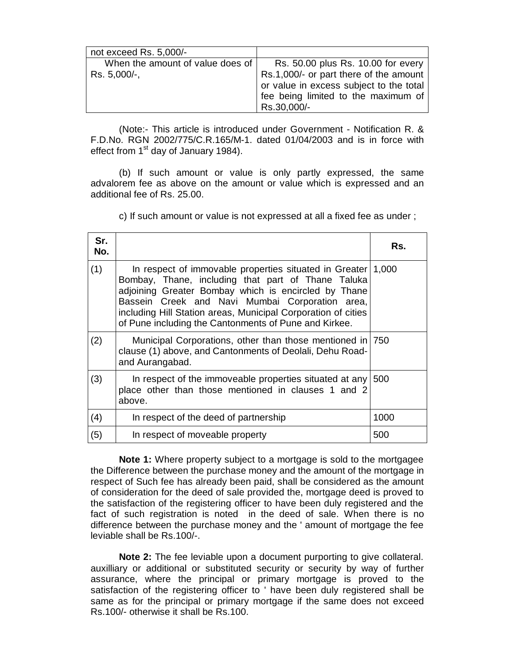| not exceed Rs. 5,000/-           |                                         |  |
|----------------------------------|-----------------------------------------|--|
| When the amount of value does of | Rs. 50.00 plus Rs. 10.00 for every      |  |
| $Rs. 5,000-.$                    | Rs.1,000/- or part there of the amount  |  |
|                                  | or value in excess subject to the total |  |
|                                  | fee being limited to the maximum of     |  |
|                                  | Rs.30,000/-                             |  |

(Note:- This article is introduced under Government - Notification R. & F.D.No. RGN 2002/775/C.R.165/M-1. dated 01/04/2003 and is in force with effect from 1<sup>st</sup> day of January 1984).

(b) If such amount or value is only partly expressed, the same advalorem fee as above on the amount or value which is expressed and an additional fee of Rs. 25.00.

c) If such amount or value is not expressed at all a fixed fee as under ;

| Sr.<br>No. |                                                                                                                                                                                                                                                                                                                                                           | Rs.  |
|------------|-----------------------------------------------------------------------------------------------------------------------------------------------------------------------------------------------------------------------------------------------------------------------------------------------------------------------------------------------------------|------|
| (1)        | In respect of immovable properties situated in Greater   1,000<br>Bombay, Thane, including that part of Thane Taluka<br>adjoining Greater Bombay which is encircled by Thane<br>Bassein Creek and Navi Mumbai Corporation area,<br>including Hill Station areas, Municipal Corporation of cities<br>of Pune including the Cantonments of Pune and Kirkee. |      |
| (2)        | Municipal Corporations, other than those mentioned in 750<br>clause (1) above, and Cantonments of Deolali, Dehu Road-<br>and Aurangabad.                                                                                                                                                                                                                  |      |
| (3)        | In respect of the immoveable properties situated at any $ 500\rangle$<br>place other than those mentioned in clauses 1 and 2<br>above.                                                                                                                                                                                                                    |      |
| (4)        | In respect of the deed of partnership                                                                                                                                                                                                                                                                                                                     | 1000 |
| (5)        | In respect of moveable property                                                                                                                                                                                                                                                                                                                           | 500  |

**Note 1:** Where property subject to a mortgage is sold to the mortgagee the Difference between the purchase money and the amount of the mortgage in respect of Such fee has already been paid, shall be considered as the amount of consideration for the deed of sale provided the, mortgage deed is proved to the satisfaction of the registering officer to have been duly registered and the fact of such registration is noted in the deed of sale. When there is no difference between the purchase money and the ' amount of mortgage the fee leviable shall be Rs.100/-.

**Note 2:** The fee leviable upon a document purporting to give collateral. auxilliary or additional or substituted security or security by way of further assurance, where the principal or primary mortgage is proved to the satisfaction of the registering officer to ' have been duly registered shall be same as for the principal or primary mortgage if the same does not exceed Rs.100/- otherwise it shall be Rs.100.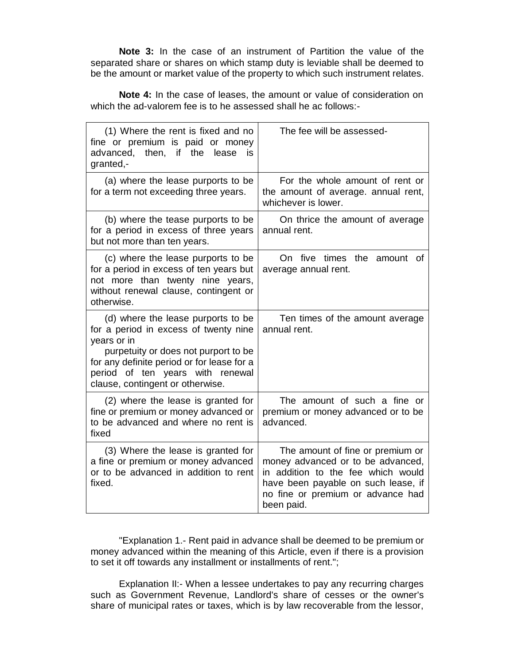**Note 3:** In the case of an instrument of Partition the value of the separated share or shares on which stamp duty is leviable shall be deemed to be the amount or market value of the property to which such instrument relates.

**Note 4:** In the case of leases, the amount or value of consideration on which the ad-valorem fee is to he assessed shall he ac follows:-

| (1) Where the rent is fixed and no<br>fine or premium is paid or money<br>advanced, then, if the<br>lease<br>is.<br>granted,-                                                                                                                            | The fee will be assessed-                                                                                                                                                                             |
|----------------------------------------------------------------------------------------------------------------------------------------------------------------------------------------------------------------------------------------------------------|-------------------------------------------------------------------------------------------------------------------------------------------------------------------------------------------------------|
| (a) where the lease purports to be<br>for a term not exceeding three years.                                                                                                                                                                              | For the whole amount of rent or<br>the amount of average. annual rent,<br>whichever is lower.                                                                                                         |
| (b) where the tease purports to be<br>for a period in excess of three years<br>but not more than ten years.                                                                                                                                              | On thrice the amount of average<br>annual rent.                                                                                                                                                       |
| (c) where the lease purports to be<br>for a period in excess of ten years but<br>not more than twenty nine years,<br>without renewal clause, contingent or<br>otherwise.                                                                                 | On five times the<br>amount of<br>average annual rent.                                                                                                                                                |
| (d) where the lease purports to be<br>for a period in excess of twenty nine<br>years or in<br>purpetuity or does not purport to be<br>for any definite period or for lease for a<br>period of ten years with renewal<br>clause, contingent or otherwise. | Ten times of the amount average<br>annual rent.                                                                                                                                                       |
| (2) where the lease is granted for<br>fine or premium or money advanced or<br>to be advanced and where no rent is<br>fixed                                                                                                                               | The amount of such a fine or<br>premium or money advanced or to be<br>advanced.                                                                                                                       |
| (3) Where the lease is granted for<br>a fine or premium or money advanced<br>or to be advanced in addition to rent<br>fixed.                                                                                                                             | The amount of fine or premium or<br>money advanced or to be advanced,<br>in addition to the fee which would<br>have been payable on such lease, if<br>no fine or premium or advance had<br>been paid. |

"Explanation 1.- Rent paid in advance shall be deemed to be premium or money advanced within the meaning of this Article, even if there is a provision to set it off towards any installment or installments of rent.";

Explanation II:- When a lessee undertakes to pay any recurring charges such as Government Revenue, Landlord's share of cesses or the owner's share of municipal rates or taxes, which is by law recoverable from the lessor,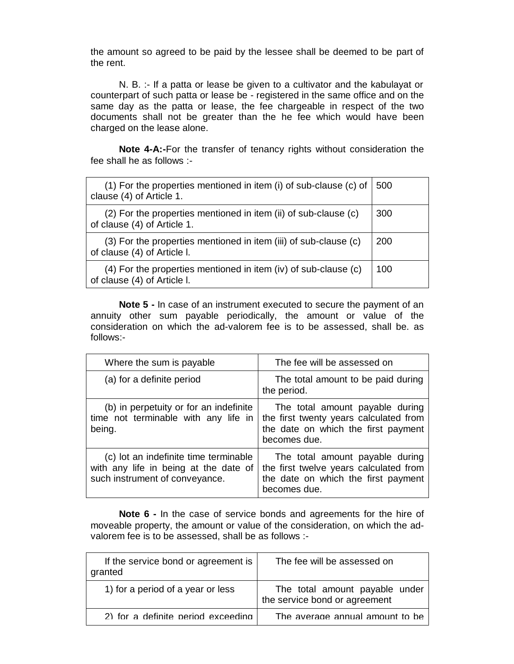the amount so agreed to be paid by the lessee shall be deemed to be part of the rent.

N. B. :- If a patta or lease be given to a cultivator and the kabulayat or counterpart of such patta or lease be - registered in the same office and on the same day as the patta or lease, the fee chargeable in respect of the two documents shall not be greater than the he fee which would have been charged on the lease alone.

**Note 4-A:-**For the transfer of tenancy rights without consideration the fee shall he as follows :-

| (1) For the properties mentioned in item (i) of sub-clause (c) of<br>clause (4) of Article 1.      | l 500 |
|----------------------------------------------------------------------------------------------------|-------|
| (2) For the properties mentioned in item (ii) of sub-clause (c)<br>of clause (4) of Article 1.     | 300   |
| (3) For the properties mentioned in item (iii) of sub-clause (c)<br>of clause (4) of Article I.    | 200   |
| $(4)$ For the properties mentioned in item (iv) of sub-clause $(c)$<br>of clause (4) of Article I. | 100   |

**Note 5 -** In case of an instrument executed to secure the payment of an annuity other sum payable periodically, the amount or value of the consideration on which the ad-valorem fee is to be assessed, shall be. as follows:-

| Where the sum is payable                                                                                         | The fee will be assessed on                                                                                                      |
|------------------------------------------------------------------------------------------------------------------|----------------------------------------------------------------------------------------------------------------------------------|
| (a) for a definite period                                                                                        | The total amount to be paid during<br>the period.                                                                                |
| (b) in perpetuity or for an indefinite<br>time not terminable with any life in<br>being.                         | The total amount payable during<br>the first twenty years calculated from<br>the date on which the first payment<br>becomes due. |
| (c) lot an indefinite time terminable<br>with any life in being at the date of<br>such instrument of conveyance. | The total amount payable during<br>the first twelve years calculated from<br>the date on which the first payment<br>becomes due. |

**Note 6 -** In the case of service bonds and agreements for the hire of moveable property, the amount or value of the consideration, on which the advalorem fee is to be assessed, shall be as follows :-

| If the service bond or agreement is<br>granted | The fee will be assessed on                                     |
|------------------------------------------------|-----------------------------------------------------------------|
| 1) for a period of a year or less              | The total amount payable under<br>the service bond or agreement |
| 2) for a definite period exceeding             | The average annual amount to be                                 |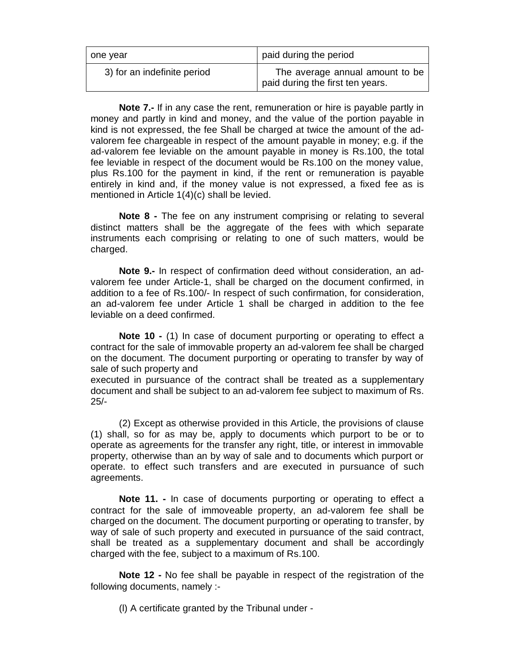| ∣ one year                  | paid during the period                                              |
|-----------------------------|---------------------------------------------------------------------|
| 3) for an indefinite period | The average annual amount to be<br>paid during the first ten years. |

**Note 7.-** If in any case the rent, remuneration or hire is payable partly in money and partly in kind and money, and the value of the portion payable in kind is not expressed, the fee Shall be charged at twice the amount of the advalorem fee chargeable in respect of the amount payable in money; e.g. if the ad-valorem fee leviable on the amount payable in money is Rs.100, the total fee leviable in respect of the document would be Rs.100 on the money value, plus Rs.100 for the payment in kind, if the rent or remuneration is payable entirely in kind and, if the money value is not expressed, a fixed fee as is mentioned in Article 1(4)(c) shall be levied.

**Note 8 -** The fee on any instrument comprising or relating to several distinct matters shall be the aggregate of the fees with which separate instruments each comprising or relating to one of such matters, would be charged.

**Note 9.-** In respect of confirmation deed without consideration, an advalorem fee under Article-1, shall be charged on the document confirmed, in addition to a fee of Rs.100/- In respect of such confirmation, for consideration, an ad-valorem fee under Article 1 shall be charged in addition to the fee leviable on a deed confirmed.

**Note 10 -** (1) In case of document purporting or operating to effect a contract for the sale of immovable property an ad-valorem fee shall be charged on the document. The document purporting or operating to transfer by way of sale of such property and

executed in pursuance of the contract shall be treated as a supplementary document and shall be subject to an ad-valorem fee subject to maximum of Rs. 25/-

(2) Except as otherwise provided in this Article, the provisions of clause (1) shall, so for as may be, apply to documents which purport to be or to operate as agreements for the transfer any right, title, or interest in immovable property, otherwise than an by way of sale and to documents which purport or operate. to effect such transfers and are executed in pursuance of such agreements.

**Note 11. -** In case of documents purporting or operating to effect a contract for the sale of immoveable property, an ad-valorem fee shall be charged on the document. The document purporting or operating to transfer, by way of sale of such property and executed in pursuance of the said contract, shall be treated as a supplementary document and shall be accordingly charged with the fee, subject to a maximum of Rs.100.

**Note 12 -** No fee shall be payable in respect of the registration of the following documents, namely :-

(l) A certificate granted by the Tribunal under -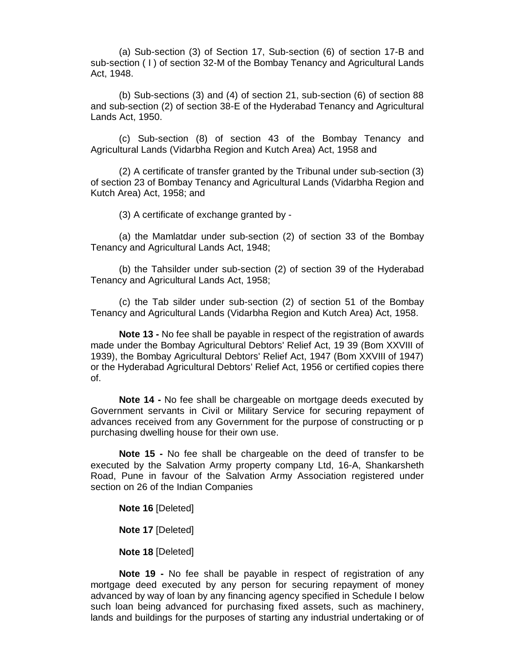(a) Sub-section (3) of Section 17, Sub-section (6) of section 17-B and sub-section ( I ) of section 32-M of the Bombay Tenancy and Agricultural Lands Act, 1948.

(b) Sub-sections (3) and (4) of section 21, sub-section (6) of section 88 and sub-section (2) of section 38-E of the Hyderabad Tenancy and Agricultural Lands Act, 1950.

(c) Sub-section (8) of section 43 of the Bombay Tenancy and Agricultural Lands (Vidarbha Region and Kutch Area) Act, 1958 and

(2) A certificate of transfer granted by the Tribunal under sub-section (3) of section 23 of Bombay Tenancy and Agricultural Lands (Vidarbha Region and Kutch Area) Act, 1958; and

(3) A certificate of exchange granted by -

(a) the Mamlatdar under sub-section (2) of section 33 of the Bombay Tenancy and Agricultural Lands Act, 1948;

(b) the Tahsilder under sub-section (2) of section 39 of the Hyderabad Tenancy and Agricultural Lands Act, 1958;

(c) the Tab silder under sub-section (2) of section 51 of the Bombay Tenancy and Agricultural Lands (Vidarbha Region and Kutch Area) Act, 1958.

**Note 13 -** No fee shall be payable in respect of the registration of awards made under the Bombay Agricultural Debtors' Relief Act, 19 39 (Bom XXVIII of 1939), the Bombay Agricultural Debtors' Relief Act, 1947 (Bom XXVIII of 1947) or the Hyderabad Agricultural Debtors' Relief Act, 1956 or certified copies there of.

**Note 14 -** No fee shall be chargeable on mortgage deeds executed by Government servants in Civil or Military Service for securing repayment of advances received from any Government for the purpose of constructing or p purchasing dwelling house for their own use.

**Note 15 -** No fee shall be chargeable on the deed of transfer to be executed by the Salvation Army property company Ltd, 16-A, Shankarsheth Road, Pune in favour of the Salvation Army Association registered under section on 26 of the Indian Companies

**Note 16** [Deleted]

**Note 17** [Deleted]

**Note 18** [Deleted]

**Note 19 -** No fee shall be payable in respect of registration of any mortgage deed executed by any person for securing repayment of money advanced by way of loan by any financing agency specified in Schedule I below such loan being advanced for purchasing fixed assets, such as machinery, lands and buildings for the purposes of starting any industrial undertaking or of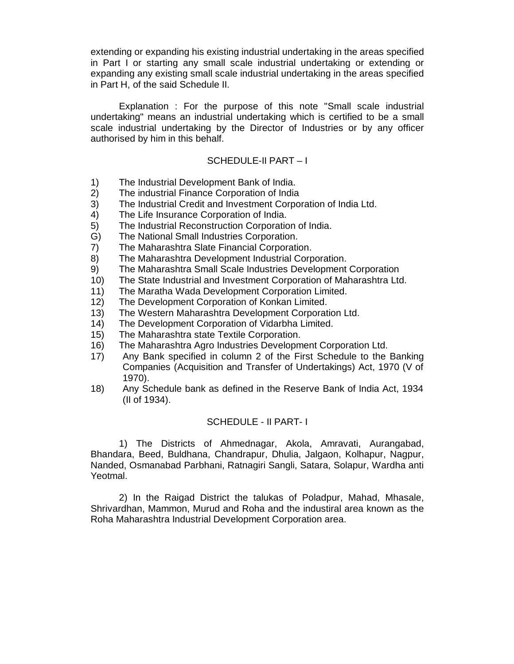extending or expanding his existing industrial undertaking in the areas specified in Part I or starting any small scale industrial undertaking or extending or expanding any existing small scale industrial undertaking in the areas specified in Part H, of the said Schedule II.

Explanation : For the purpose of this note "Small scale industrial undertaking" means an industrial undertaking which is certified to be a small scale industrial undertaking by the Director of Industries or by any officer authorised by him in this behalf.

### SCHEDULE-II PART – I

- 1) The Industrial Development Bank of India.
- 2) The industrial Finance Corporation of India
- 3) The Industrial Credit and Investment Corporation of India Ltd.
- 4) The Life Insurance Corporation of India.
- 5) The Industrial Reconstruction Corporation of India.
- 
- G) The National Small Industries Corporation.<br>7) The Maharashtra Slate Financial Corporation The Maharashtra Slate Financial Corporation.
- 8) The Maharashtra Development Industrial Corporation.
- 9) The Maharashtra Small Scale Industries Development Corporation
- 10) The State Industrial and Investment Corporation of Maharashtra Ltd.
- 11) The Maratha Wada Development Corporation Limited.
- 12) The Development Corporation of Konkan Limited.
- 13) The Western Maharashtra Development Corporation Ltd.
- 14) The Development Corporation of Vidarbha Limited.
- 15) The Maharashtra state Textile Corporation.
- 16) The Maharashtra Agro Industries Development Corporation Ltd.
- 17) Any Bank specified in column 2 of the First Schedule to the Banking Companies (Acquisition and Transfer of Undertakings) Act, 1970 (V of 1970).
- 18) Any Schedule bank as defined in the Reserve Bank of India Act, 1934 (II of 1934).

### SCHEDULE - II PART- I

1) The Districts of Ahmednagar, Akola, Amravati, Aurangabad, Bhandara, Beed, Buldhana, Chandrapur, Dhulia, Jalgaon, Kolhapur, Nagpur, Nanded, Osmanabad Parbhani, Ratnagiri Sangli, Satara, Solapur, Wardha anti Yeotmal.

2) In the Raigad District the talukas of Poladpur, Mahad, Mhasale, Shrivardhan, Mammon, Murud and Roha and the industiral area known as the Roha Maharashtra Industrial Development Corporation area.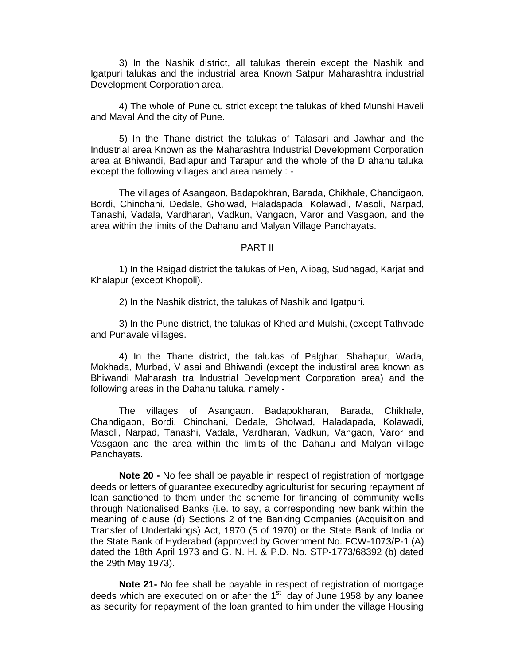3) In the Nashik district, all talukas therein except the Nashik and Igatpuri talukas and the industrial area Known Satpur Maharashtra industrial Development Corporation area.

4) The whole of Pune cu strict except the talukas of khed Munshi Haveli and Maval And the city of Pune.

5) In the Thane district the talukas of Talasari and Jawhar and the Industrial area Known as the Maharashtra Industrial Development Corporation area at Bhiwandi, Badlapur and Tarapur and the whole of the D ahanu taluka except the following villages and area namely : -

The villages of Asangaon, Badapokhran, Barada, Chikhale, Chandigaon, Bordi, Chinchani, Dedale, Gholwad, Haladapada, Kolawadi, Masoli, Narpad, Tanashi, Vadala, Vardharan, Vadkun, Vangaon, Varor and Vasgaon, and the area within the limits of the Dahanu and Malyan Village Panchayats.

#### PART II

1) In the Raigad district the talukas of Pen, Alibag, Sudhagad, Karjat and Khalapur (except Khopoli).

2) In the Nashik district, the talukas of Nashik and Igatpuri.

3) In the Pune district, the talukas of Khed and Mulshi, (except Tathvade and Punavale villages.

4) In the Thane district, the talukas of Palghar, Shahapur, Wada, Mokhada, Murbad, V asai and Bhiwandi (except the industiral area known as Bhiwandi Maharash tra Industrial Development Corporation area) and the following areas in the Dahanu taluka, namely -

The villages of Asangaon. Badapokharan, Barada, Chikhale, Chandigaon, Bordi, Chinchani, Dedale, Gholwad, Haladapada, Kolawadi, Masoli, Narpad, Tanashi, Vadala, Vardharan, Vadkun, Vangaon, Varor and Vasgaon and the area within the limits of the Dahanu and Malyan village Panchayats.

**Note 20 -** No fee shall be payable in respect of registration of mortgage deeds or letters of guarantee executedby agriculturist for securing repayment of loan sanctioned to them under the scheme for financing of community wells through Nationalised Banks (i.e. to say, a corresponding new bank within the meaning of clause (d) Sections 2 of the Banking Companies (Acquisition and Transfer of Undertakings) Act, 1970 (5 of 1970) or the State Bank of India or the State Bank of Hyderabad (approved by Government No. FCW-1073/P-1 (A) dated the 18th April 1973 and G. N. H. & P.D. No. STP-1773/68392 (b) dated the 29th May 1973).

**Note 21-** No fee shall be payable in respect of registration of mortgage deeds which are executed on or after the  $1<sup>st</sup>$  day of June 1958 by any loanee as security for repayment of the loan granted to him under the village Housing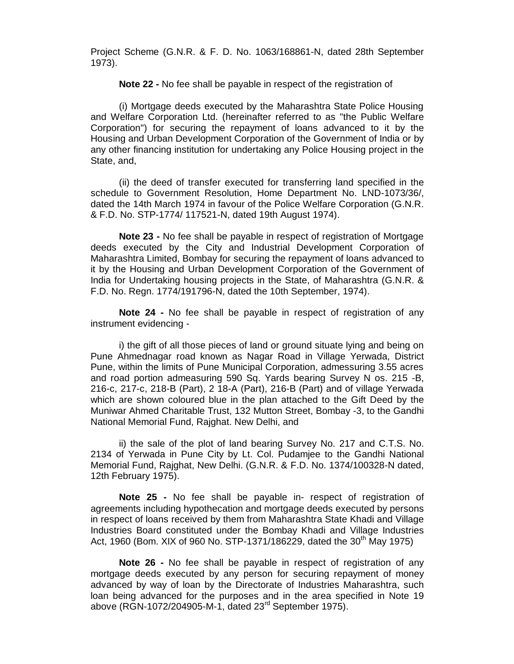Project Scheme (G.N.R. & F. D. No. 1063/168861-N, dated 28th September 1973).

**Note 22 -** No fee shall be payable in respect of the registration of

(i) Mortgage deeds executed by the Maharashtra State Police Housing and Welfare Corporation Ltd. (hereinafter referred to as "the Public Welfare Corporation") for securing the repayment of loans advanced to it by the Housing and Urban Development Corporation of the Government of India or by any other financing institution for undertaking any Police Housing project in the State, and,

(ii) the deed of transfer executed for transferring land specified in the schedule to Government Resolution, Home Department No. LND-1073/36/, dated the 14th March 1974 in favour of the Police Welfare Corporation (G.N.R. & F.D. No. STP-1774/ 117521-N, dated 19th August 1974).

**Note 23 -** No fee shall be payable in respect of registration of Mortgage deeds executed by the City and Industrial Development Corporation of Maharashtra Limited, Bombay for securing the repayment of loans advanced to it by the Housing and Urban Development Corporation of the Government of India for Undertaking housing projects in the State, of Maharashtra (G.N.R. & F.D. No. Regn. 1774/191796-N, dated the 10th September, 1974).

**Note 24 -** No fee shall be payable in respect of registration of any instrument evidencing -

i) the gift of all those pieces of land or ground situate lying and being on Pune Ahmednagar road known as Nagar Road in Village Yerwada, District Pune, within the limits of Pune Municipal Corporation, admessuring 3.55 acres and road portion admeasuring 590 Sq. Yards bearing Survey N os. 215 -B, 216-c, 217-c, 218-B (Part), 2 18-A (Part), 216-B (Part) and of village Yerwada which are shown coloured blue in the plan attached to the Gift Deed by the Muniwar Ahmed Charitable Trust, 132 Mutton Street, Bombay -3, to the Gandhi National Memorial Fund, Rajghat. New Delhi, and

ii) the sale of the plot of land bearing Survey No. 217 and C.T.S. No. 2134 of Yerwada in Pune City by Lt. Col. Pudamjee to the Gandhi National Memorial Fund, Rajghat, New Delhi. (G.N.R. & F.D. No. 1374/100328-N dated, 12th February 1975).

**Note 25 -** No fee shall be payable in- respect of registration of agreements including hypothecation and mortgage deeds executed by persons in respect of loans received by them from Maharashtra State Khadi and Village Industries Board constituted under the Bombay Khadi and Village Industries Act, 1960 (Bom. XIX of 960 No. STP-1371/186229, dated the  $30^{th}$  May 1975)

**Note 26 -** No fee shall be payable in respect of registration of any mortgage deeds executed by any person for securing repayment of money advanced by way of loan by the Directorate of Industries Maharashtra, such loan being advanced for the purposes and in the area specified in Note 19 above (RGN-1072/204905-M-1, dated 23rd September 1975).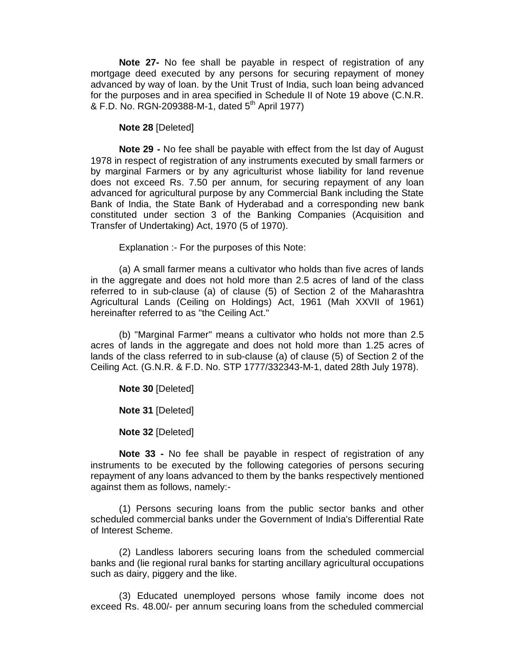**Note 27-** No fee shall be payable in respect of registration of any mortgage deed executed by any persons for securing repayment of money advanced by way of loan. by the Unit Trust of India, such loan being advanced for the purposes and in area specified in Schedule II of Note 19 above (C.N.R. & F.D. No. RGN-209388-M-1, dated 5th April 1977)

**Note 28** [Deleted]

**Note 29 -** No fee shall be payable with effect from the lst day of August 1978 in respect of registration of any instruments executed by small farmers or by marginal Farmers or by any agriculturist whose liability for land revenue does not exceed Rs. 7.50 per annum, for securing repayment of any loan advanced for agricultural purpose by any Commercial Bank including the State Bank of India, the State Bank of Hyderabad and a corresponding new bank constituted under section 3 of the Banking Companies (Acquisition and Transfer of Undertaking) Act, 1970 (5 of 1970).

Explanation :- For the purposes of this Note:

(a) A small farmer means a cultivator who holds than five acres of lands in the aggregate and does not hold more than 2.5 acres of land of the class referred to in sub-clause (a) of clause (5) of Section 2 of the Maharashtra Agricultural Lands (Ceiling on Holdings) Act, 1961 (Mah XXVII of 1961) hereinafter referred to as "the Ceiling Act."

(b) "Marginal Farmer" means a cultivator who holds not more than 2.5 acres of lands in the aggregate and does not hold more than 1.25 acres of lands of the class referred to in sub-clause (a) of clause (5) of Section 2 of the Ceiling Act. (G.N.R. & F.D. No. STP 1777/332343-M-1, dated 28th July 1978).

**Note 30** [Deleted]

**Note 31** [Deleted]

**Note 32** [Deleted]

**Note 33 -** No fee shall be payable in respect of registration of any instruments to be executed by the following categories of persons securing repayment of any loans advanced to them by the banks respectively mentioned against them as follows, namely:-

(1) Persons securing loans from the public sector banks and other scheduled commercial banks under the Government of India's Differential Rate of Interest Scheme.

(2) Landless laborers securing loans from the scheduled commercial banks and (lie regional rural banks for starting ancillary agricultural occupations such as dairy, piggery and the like.

(3) Educated unemployed persons whose family income does not exceed Rs. 48.00/- per annum securing loans from the scheduled commercial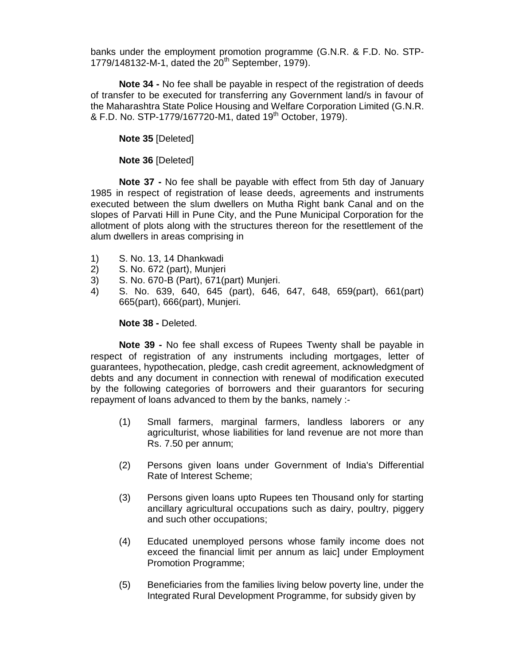banks under the employment promotion programme (G.N.R. & F.D. No. STP-1779/148132-M-1, dated the  $20^{th}$  September, 1979).

**Note 34 -** No fee shall be payable in respect of the registration of deeds of transfer to be executed for transferring any Government land/s in favour of the Maharashtra State Police Housing and Welfare Corporation Limited (G.N.R. & F.D. No. STP-1779/167720-M1, dated 19<sup>th</sup> October, 1979).

**Note 35** [Deleted]

**Note 36** [Deleted]

**Note 37 -** No fee shall be payable with effect from 5th day of January 1985 in respect of registration of lease deeds, agreements and instruments executed between the slum dwellers on Mutha Right bank Canal and on the slopes of Parvati Hill in Pune City, and the Pune Municipal Corporation for the allotment of plots along with the structures thereon for the resettlement of the alum dwellers in areas comprising in

- 1) S. No. 13, 14 Dhankwadi
- 2) S. No. 672 (part), Munjeri
- 3) S. No. 670-B (Part), 671(part) Munjeri.
- 4) S. No. 639, 640, 645 (part), 646, 647, 648, 659(part), 661(part) 665(part), 666(part), Munjeri.

**Note 38 -** Deleted.

**Note 39 -** No fee shall excess of Rupees Twenty shall be payable in respect of registration of any instruments including mortgages, letter of guarantees, hypothecation, pledge, cash credit agreement, acknowledgment of debts and any document in connection with renewal of modification executed by the following categories of borrowers and their guarantors for securing repayment of loans advanced to them by the banks, namely :-

- (1) Small farmers, marginal farmers, landless laborers or any agriculturist, whose liabilities for land revenue are not more than Rs. 7.50 per annum;
- (2) Persons given loans under Government of India's Differential Rate of Interest Scheme;
- (3) Persons given loans upto Rupees ten Thousand only for starting ancillary agricultural occupations such as dairy, poultry, piggery and such other occupations;
- (4) Educated unemployed persons whose family income does not exceed the financial limit per annum as laic] under Employment Promotion Programme;
- (5) Beneficiaries from the families living below poverty line, under the Integrated Rural Development Programme, for subsidy given by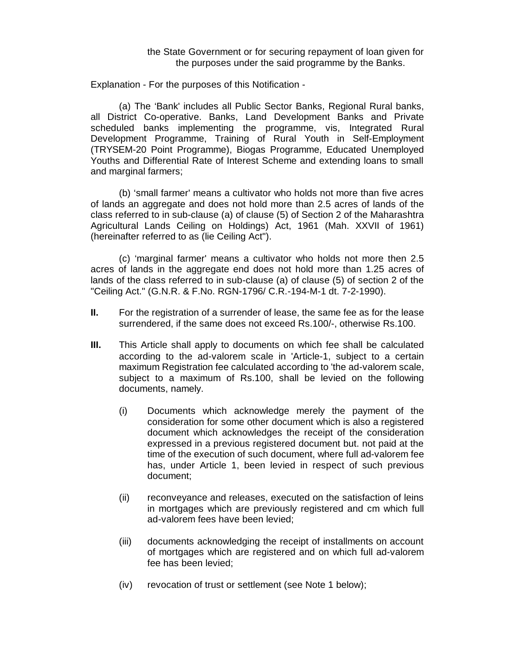Explanation - For the purposes of this Notification -

(a) The 'Bank' includes all Public Sector Banks, Regional Rural banks, all District Co-operative. Banks, Land Development Banks and Private scheduled banks implementing the programme, vis, Integrated Rural Development Programme, Training of Rural Youth in Self-Employment (TRYSEM-20 Point Programme), Biogas Programme, Educated Unemployed Youths and Differential Rate of Interest Scheme and extending loans to small and marginal farmers;

(b) 'small farmer' means a cultivator who holds not more than five acres of lands an aggregate and does not hold more than 2.5 acres of lands of the class referred to in sub-clause (a) of clause (5) of Section 2 of the Maharashtra Agricultural Lands Ceiling on Holdings) Act, 1961 (Mah. XXVII of 1961) (hereinafter referred to as (lie Ceiling Act").

(c) 'marginal farmer' means a cultivator who holds not more then 2.5 acres of lands in the aggregate end does not hold more than 1.25 acres of lands of the class referred to in sub-clause (a) of clause (5) of section 2 of the "Ceiling Act." (G.N.R. & F.No. RGN-1796/ C.R.-194-M-1 dt. 7-2-1990).

- **II.** For the registration of a surrender of lease, the same fee as for the lease surrendered, if the same does not exceed Rs.100/-, otherwise Rs.100.
- **III.** This Article shall apply to documents on which fee shall be calculated according to the ad-valorem scale in 'Article-1, subject to a certain maximum Registration fee calculated according to 'the ad-valorem scale, subject to a maximum of Rs.100, shall be levied on the following documents, namely.
	- (i) Documents which acknowledge merely the payment of the consideration for some other document which is also a registered document which acknowledges the receipt of the consideration expressed in a previous registered document but. not paid at the time of the execution of such document, where full ad-valorem fee has, under Article 1, been levied in respect of such previous document;
	- (ii) reconveyance and releases, executed on the satisfaction of leins in mortgages which are previously registered and cm which full ad-valorem fees have been levied;
	- (iii) documents acknowledging the receipt of installments on account of mortgages which are registered and on which full ad-valorem fee has been levied;
	- (iv) revocation of trust or settlement (see Note 1 below);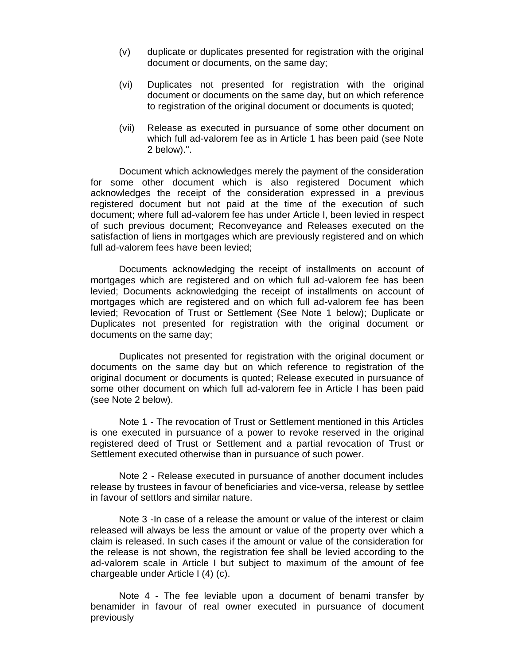- (v) duplicate or duplicates presented for registration with the original document or documents, on the same day;
- (vi) Duplicates not presented for registration with the original document or documents on the same day, but on which reference to registration of the original document or documents is quoted;
- (vii) Release as executed in pursuance of some other document on which full ad-valorem fee as in Article 1 has been paid (see Note 2 below).".

Document which acknowledges merely the payment of the consideration for some other document which is also registered Document which acknowledges the receipt of the consideration expressed in a previous registered document but not paid at the time of the execution of such document; where full ad-valorem fee has under Article I, been levied in respect of such previous document; Reconveyance and Releases executed on the satisfaction of liens in mortgages which are previously registered and on which full ad-valorem fees have been levied;

Documents acknowledging the receipt of installments on account of mortgages which are registered and on which full ad-valorem fee has been levied; Documents acknowledging the receipt of installments on account of mortgages which are registered and on which full ad-valorem fee has been levied; Revocation of Trust or Settlement (See Note 1 below); Duplicate or Duplicates not presented for registration with the original document or documents on the same day;

Duplicates not presented for registration with the original document or documents on the same day but on which reference to registration of the original document or documents is quoted; Release executed in pursuance of some other document on which full ad-valorem fee in Article I has been paid (see Note 2 below).

Note 1 - The revocation of Trust or Settlement mentioned in this Articles is one executed in pursuance of a power to revoke reserved in the original registered deed of Trust or Settlement and a partial revocation of Trust or Settlement executed otherwise than in pursuance of such power.

Note 2 - Release executed in pursuance of another document includes release by trustees in favour of beneficiaries and vice-versa, release by settlee in favour of settlors and similar nature.

Note 3 -In case of a release the amount or value of the interest or claim released will always be less the amount or value of the property over which a claim is released. In such cases if the amount or value of the consideration for the release is not shown, the registration fee shall be levied according to the ad-valorem scale in Article I but subject to maximum of the amount of fee chargeable under Article I (4) (c).

Note 4 - The fee leviable upon a document of benami transfer by benamider in favour of real owner executed in pursuance of document previously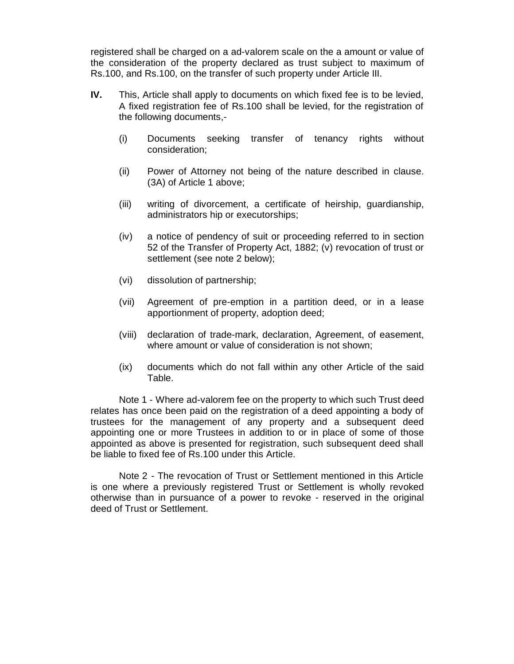registered shall be charged on a ad-valorem scale on the a amount or value of the consideration of the property declared as trust subject to maximum of Rs.100, and Rs.100, on the transfer of such property under Article III.

- **IV.** This, Article shall apply to documents on which fixed fee is to be levied, A fixed registration fee of Rs.100 shall be levied, for the registration of the following documents,-
	- (i) Documents seeking transfer of tenancy rights without consideration;
	- (ii) Power of Attorney not being of the nature described in clause. (3A) of Article 1 above;
	- (iii) writing of divorcement, a certificate of heirship, guardianship, administrators hip or executorships;
	- (iv) a notice of pendency of suit or proceeding referred to in section 52 of the Transfer of Property Act, 1882; (v) revocation of trust or settlement (see note 2 below);
	- (vi) dissolution of partnership;
	- (vii) Agreement of pre-emption in a partition deed, or in a lease apportionment of property, adoption deed;
	- (viii) declaration of trade-mark, declaration, Agreement, of easement, where amount or value of consideration is not shown;
	- (ix) documents which do not fall within any other Article of the said Table.

Note 1 - Where ad-valorem fee on the property to which such Trust deed relates has once been paid on the registration of a deed appointing a body of trustees for the management of any property and a subsequent deed appointing one or more Trustees in addition to or in place of some of those appointed as above is presented for registration, such subsequent deed shall be liable to fixed fee of Rs.100 under this Article.

Note 2 - The revocation of Trust or Settlement mentioned in this Article is one where a previously registered Trust or Settlement is wholly revoked otherwise than in pursuance of a power to revoke - reserved in the original deed of Trust or Settlement.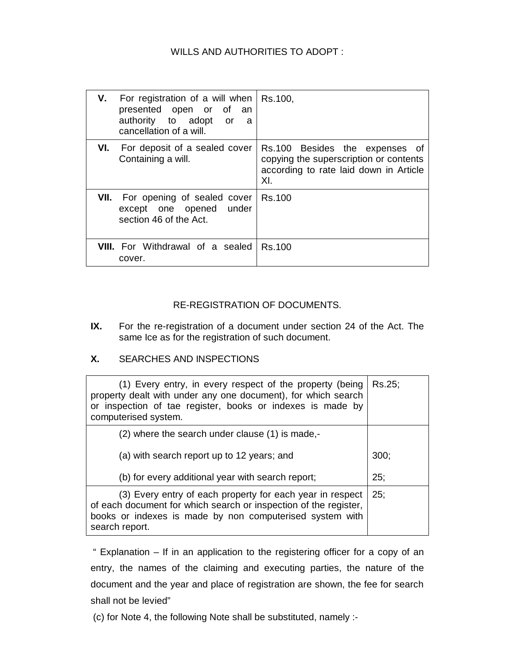# WILLS AND AUTHORITIES TO ADOPT :

| V. | For registration of a will when<br>presented open or of an<br>authority to adopt or a<br>cancellation of a will. | Rs.100.                                                                                                                   |
|----|------------------------------------------------------------------------------------------------------------------|---------------------------------------------------------------------------------------------------------------------------|
|    | <b>VI.</b> For deposit of a sealed cover<br>Containing a will.                                                   | Rs.100 Besides the expenses of<br>copying the superscription or contents<br>according to rate laid down in Article<br>XI. |
|    | <b>VII.</b> For opening of sealed cover Rs.100<br>except one opened under<br>section 46 of the Act.              |                                                                                                                           |
|    | <b>VIII.</b> For Withdrawal of a sealed Rs.100<br>cover.                                                         |                                                                                                                           |

### RE-REGISTRATION OF DOCUMENTS.

**IX.** For the re-registration of a document under section 24 of the Act. The same Ice as for the registration of such document.

# **X.** SEARCHES AND INSPECTIONS

| (1) Every entry, in every respect of the property (being<br>property dealt with under any one document), for which search<br>or inspection of tae register, books or indexes is made by<br>computerised system. | Rs.25; |
|-----------------------------------------------------------------------------------------------------------------------------------------------------------------------------------------------------------------|--------|
| (2) where the search under clause (1) is made,-                                                                                                                                                                 |        |
| (a) with search report up to 12 years; and                                                                                                                                                                      | 300;   |
| (b) for every additional year with search report;                                                                                                                                                               | 25:    |
| (3) Every entry of each property for each year in respect<br>of each document for which search or inspection of the register,<br>books or indexes is made by non computerised system with<br>search report.     | 25:    |

" Explanation – If in an application to the registering officer for a copy of an entry, the names of the claiming and executing parties, the nature of the document and the year and place of registration are shown, the fee for search shall not be levied"

(c) for Note 4, the following Note shall be substituted, namely :-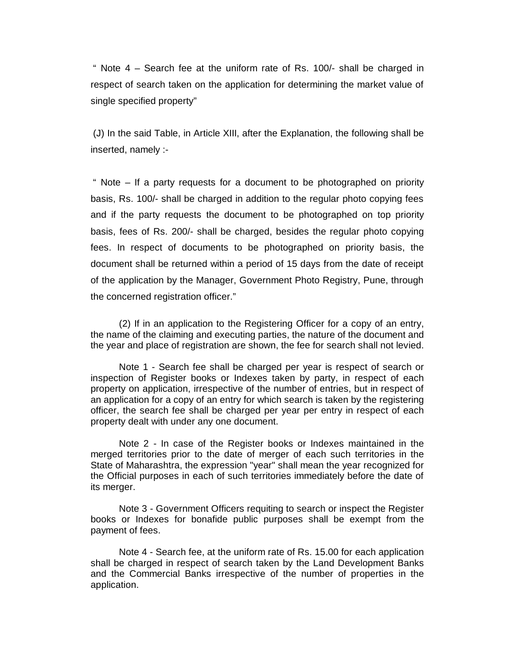" Note 4 – Search fee at the uniform rate of Rs. 100/- shall be charged in respect of search taken on the application for determining the market value of single specified property"

(J) In the said Table, in Article XIII, after the Explanation, the following shall be inserted, namely :-

" Note – If a party requests for a document to be photographed on priority basis, Rs. 100/- shall be charged in addition to the regular photo copying fees and if the party requests the document to be photographed on top priority basis, fees of Rs. 200/- shall be charged, besides the regular photo copying fees. In respect of documents to be photographed on priority basis, the document shall be returned within a period of 15 days from the date of receipt of the application by the Manager, Government Photo Registry, Pune, through the concerned registration officer."

(2) If in an application to the Registering Officer for a copy of an entry, the name of the claiming and executing parties, the nature of the document and the year and place of registration are shown, the fee for search shall not levied.

Note 1 - Search fee shall be charged per year is respect of search or inspection of Register books or Indexes taken by party, in respect of each property on application, irrespective of the number of entries, but in respect of an application for a copy of an entry for which search is taken by the registering officer, the search fee shall be charged per year per entry in respect of each property dealt with under any one document.

Note 2 - In case of the Register books or Indexes maintained in the merged territories prior to the date of merger of each such territories in the State of Maharashtra, the expression "year" shall mean the year recognized for the Official purposes in each of such territories immediately before the date of its merger.

Note 3 - Government Officers requiting to search or inspect the Register books or Indexes for bonafide public purposes shall be exempt from the payment of fees.

Note 4 - Search fee, at the uniform rate of Rs. 15.00 for each application shall be charged in respect of search taken by the Land Development Banks and the Commercial Banks irrespective of the number of properties in the application.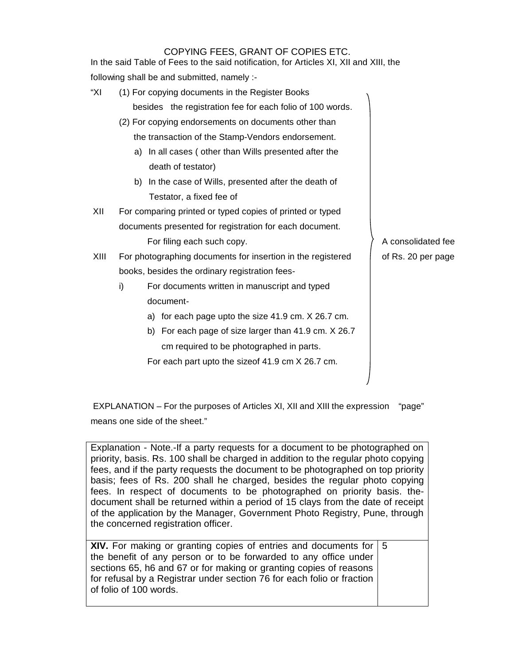### COPYING FEES, GRANT OF COPIES ETC.

In the said Table of Fees to the said notification, for Articles XI, XII and XIII, the following shall be and submitted, namely :-

| "XI  | (1) For copying documents in the Register Books             |                    |
|------|-------------------------------------------------------------|--------------------|
|      | besides the registration fee for each folio of 100 words.   |                    |
|      | (2) For copying endorsements on documents other than        |                    |
|      | the transaction of the Stamp-Vendors endorsement.           |                    |
|      | a) In all cases (other than Wills presented after the       |                    |
|      | death of testator)                                          |                    |
|      | b) In the case of Wills, presented after the death of       |                    |
|      | Testator, a fixed fee of                                    |                    |
| XII  | For comparing printed or typed copies of printed or typed   |                    |
|      | documents presented for registration for each document.     |                    |
|      | For filing each such copy.                                  | A consolidated fee |
| XIII | For photographing documents for insertion in the registered | of Rs. 20 per page |
|      | books, besides the ordinary registration fees-              |                    |
|      | i)<br>For documents written in manuscript and typed         |                    |
|      | document-                                                   |                    |
|      | a) for each page upto the size 41.9 cm. X 26.7 cm.          |                    |
|      | b) For each page of size larger than 41.9 cm. X 26.7        |                    |
|      | cm required to be photographed in parts.                    |                    |
|      | For each part upto the sizeof 41.9 cm X 26.7 cm.            |                    |

EXPLANATION – For the purposes of Articles XI, XII and XIII the expression "page" means one side of the sheet."

Explanation - Note.-If a party requests for a document to be photographed on priority, basis. Rs. 100 shall be charged in addition to the regular photo copying fees, and if the party requests the document to be photographed on top priority basis; fees of Rs. 200 shall he charged, besides the regular photo copying fees. In respect of documents to be photographed on priority basis. thedocument shall be returned within a period of 15 clays from the date of receipt of the application by the Manager, Government Photo Registry, Pune, through the concerned registration officer.

**XIV.** For making or granting copies of entries and documents for the benefit of any person or to be forwarded to any office under sections 65, h6 and 67 or for making or granting copies of reasons for refusal by a Registrar under section 76 for each folio or fraction of folio of 100 words. 5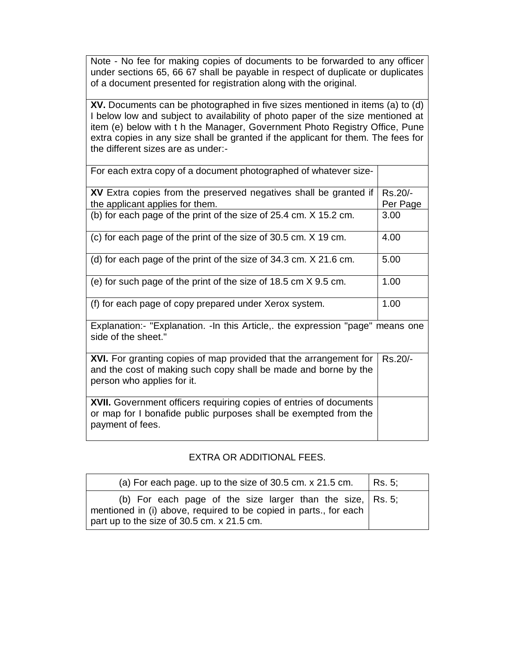Note - No fee for making copies of documents to be forwarded to any officer under sections 65, 66 67 shall be payable in respect of duplicate or duplicates of a document presented for registration along with the original.

**XV.** Documents can be photographed in five sizes mentioned in items (a) to (d) I below low and subject to availability of photo paper of the size mentioned at item (e) below with t h the Manager, Government Photo Registry Office, Pune extra copies in any size shall be granted if the applicant for them. The fees for the different sizes are as under:-

| For each extra copy of a document photographed of whatever size-                                                                                                   |                     |  |
|--------------------------------------------------------------------------------------------------------------------------------------------------------------------|---------------------|--|
| XV Extra copies from the preserved negatives shall be granted if<br>the applicant applies for them.                                                                | Rs.20/-<br>Per Page |  |
| (b) for each page of the print of the size of 25.4 cm. X 15.2 cm.                                                                                                  | 3.00                |  |
| (c) for each page of the print of the size of 30.5 cm. X 19 cm.                                                                                                    | 4.00                |  |
| (d) for each page of the print of the size of 34.3 cm. X 21.6 cm.                                                                                                  | 5.00                |  |
| (e) for such page of the print of the size of $18.5$ cm $X$ 9.5 cm.                                                                                                | 1.00                |  |
| (f) for each page of copy prepared under Xerox system.                                                                                                             | 1.00                |  |
| Explanation:- "Explanation. - In this Article, the expression "page" means one<br>side of the sheet."                                                              |                     |  |
| XVI. For granting copies of map provided that the arrangement for<br>and the cost of making such copy shall be made and borne by the<br>person who applies for it. | Rs.20/-             |  |
| XVII. Government officers requiring copies of entries of documents<br>or map for I bonafide public purposes shall be exempted from the<br>payment of fees.         |                     |  |

# EXTRA OR ADDITIONAL FEES.

| (a) For each page, up to the size of 30.5 cm, $\times$ 21.5 cm.                                                                                                                       | Rs. 5: |
|---------------------------------------------------------------------------------------------------------------------------------------------------------------------------------------|--------|
| (b) For each page of the size larger than the size, $\vert$ Rs. 5;<br>mentioned in (i) above, required to be copied in parts., for each<br>part up to the size of 30.5 cm. x 21.5 cm. |        |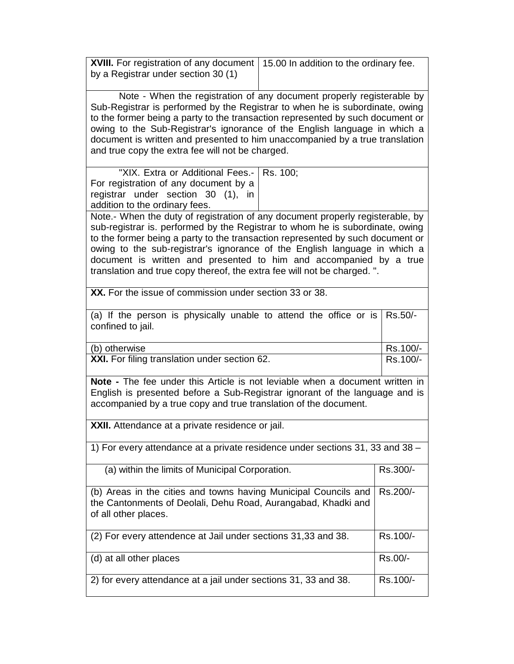| XVIII. For registration of any document   15.00 In addition to the ordinary fee.<br>by a Registrar under section 30 (1)                                                                                                                                                                                                                                                                                                                                                         |          |          |
|---------------------------------------------------------------------------------------------------------------------------------------------------------------------------------------------------------------------------------------------------------------------------------------------------------------------------------------------------------------------------------------------------------------------------------------------------------------------------------|----------|----------|
|                                                                                                                                                                                                                                                                                                                                                                                                                                                                                 |          |          |
| Note - When the registration of any document properly registerable by<br>Sub-Registrar is performed by the Registrar to when he is subordinate, owing<br>to the former being a party to the transaction represented by such document or<br>owing to the Sub-Registrar's ignorance of the English language in which a<br>document is written and presented to him unaccompanied by a true translation<br>and true copy the extra fee will not be charged.                        |          |          |
| "XIX. Extra or Additional Fees.-<br>For registration of any document by a<br>registrar under section 30 (1), in<br>addition to the ordinary fees.                                                                                                                                                                                                                                                                                                                               | Rs. 100; |          |
| Note.- When the duty of registration of any document properly registerable, by<br>sub-registrar is. performed by the Registrar to whom he is subordinate, owing<br>to the former being a party to the transaction represented by such document or<br>owing to the sub-registrar's ignorance of the English language in which a<br>document is written and presented to him and accompanied by a true<br>translation and true copy thereof, the extra fee will not be charged.". |          |          |
| XX. For the issue of commission under section 33 or 38.                                                                                                                                                                                                                                                                                                                                                                                                                         |          |          |
| (a) If the person is physically unable to attend the office or is<br>confined to jail.                                                                                                                                                                                                                                                                                                                                                                                          |          | Rs.50/-  |
| (b) otherwise                                                                                                                                                                                                                                                                                                                                                                                                                                                                   |          | Rs.100/- |
| XXI. For filing translation under section 62.                                                                                                                                                                                                                                                                                                                                                                                                                                   |          | Rs.100/- |
| Note - The fee under this Article is not leviable when a document written in<br>English is presented before a Sub-Registrar ignorant of the language and is<br>accompanied by a true copy and true translation of the document.                                                                                                                                                                                                                                                 |          |          |
| XXII. Attendance at a private residence or jail.                                                                                                                                                                                                                                                                                                                                                                                                                                |          |          |
| 1) For every attendance at a private residence under sections 31, 33 and 38 -                                                                                                                                                                                                                                                                                                                                                                                                   |          |          |
| (a) within the limits of Municipal Corporation.                                                                                                                                                                                                                                                                                                                                                                                                                                 |          | Rs.300/- |
| (b) Areas in the cities and towns having Municipal Councils and<br>the Cantonments of Deolali, Dehu Road, Aurangabad, Khadki and<br>of all other places.                                                                                                                                                                                                                                                                                                                        |          | Rs.200/- |
| (2) For every attendence at Jail under sections 31,33 and 38.                                                                                                                                                                                                                                                                                                                                                                                                                   |          | Rs.100/- |
| (d) at all other places                                                                                                                                                                                                                                                                                                                                                                                                                                                         |          | Rs.00/-  |
| 2) for every attendance at a jail under sections 31, 33 and 38.                                                                                                                                                                                                                                                                                                                                                                                                                 |          | Rs.100/- |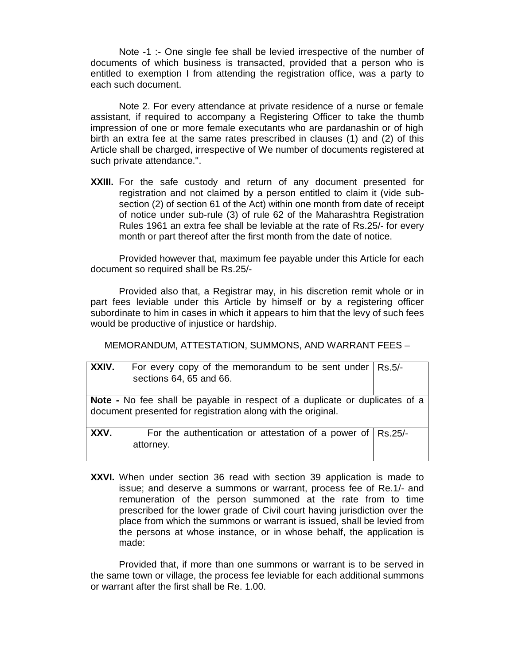Note -1 :- One single fee shall be levied irrespective of the number of documents of which business is transacted, provided that a person who is entitled to exemption I from attending the registration office, was a party to each such document.

Note 2. For every attendance at private residence of a nurse or female assistant, if required to accompany a Registering Officer to take the thumb impression of one or more female executants who are pardanashin or of high birth an extra fee at the same rates prescribed in clauses (1) and (2) of this Article shall be charged, irrespective of We number of documents registered at such private attendance.".

**XXIII.** For the safe custody and return of any document presented for registration and not claimed by a person entitled to claim it (vide subsection (2) of section 61 of the Act) within one month from date of receipt of notice under sub-rule (3) of rule 62 of the Maharashtra Registration Rules 1961 an extra fee shall be leviable at the rate of Rs.25/- for every month or part thereof after the first month from the date of notice.

Provided however that, maximum fee payable under this Article for each document so required shall be Rs.25/-

Provided also that, a Registrar may, in his discretion remit whole or in part fees leviable under this Article by himself or by a registering officer subordinate to him in cases in which it appears to him that the levy of such fees would be productive of injustice or hardship.

MEMORANDUM, ATTESTATION, SUMMONS, AND WARRANT FEES –

| XXIV.                                                        | For every copy of the memorandum to be sent under Rs.5/-<br>sections 64, 65 and 66. |  |
|--------------------------------------------------------------|-------------------------------------------------------------------------------------|--|
|                                                              | <b>Note -</b> No fee shall be payable in respect of a duplicate or duplicates of a  |  |
|                                                              |                                                                                     |  |
| document presented for registration along with the original. |                                                                                     |  |
|                                                              |                                                                                     |  |
|                                                              |                                                                                     |  |
| XXV.                                                         | For the authentication or attestation of a power of $\vert$ Rs.25/-                 |  |
|                                                              |                                                                                     |  |
|                                                              |                                                                                     |  |
|                                                              | attorney.                                                                           |  |
|                                                              |                                                                                     |  |

**XXVI.** When under section 36 read with section 39 application is made to issue; and deserve a summons or warrant, process fee of Re.1/- and remuneration of the person summoned at the rate from to time prescribed for the lower grade of Civil court having jurisdiction over the place from which the summons or warrant is issued, shall be levied from the persons at whose instance, or in whose behalf, the application is made:

Provided that, if more than one summons or warrant is to be served in the same town or village, the process fee leviable for each additional summons or warrant after the first shall be Re. 1.00.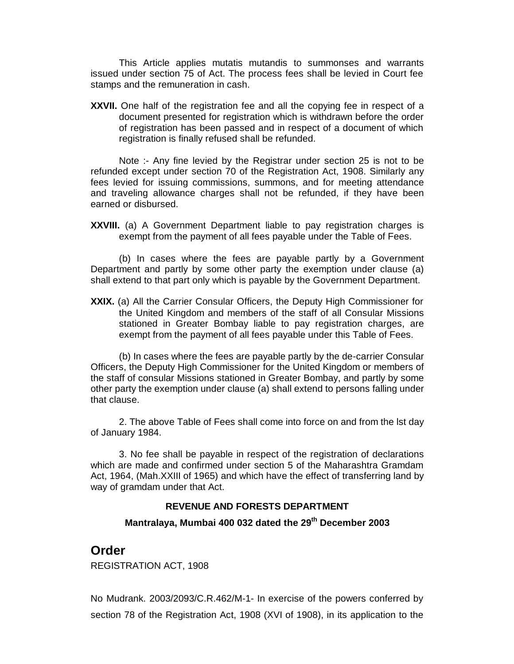This Article applies mutatis mutandis to summonses and warrants issued under section 75 of Act. The process fees shall be levied in Court fee stamps and the remuneration in cash.

**XXVII.** One half of the registration fee and all the copying fee in respect of a document presented for registration which is withdrawn before the order of registration has been passed and in respect of a document of which registration is finally refused shall be refunded.

Note :- Any fine levied by the Registrar under section 25 is not to be refunded except under section 70 of the Registration Act, 1908. Similarly any fees levied for issuing commissions, summons, and for meeting attendance and traveling allowance charges shall not be refunded, if they have been earned or disbursed.

**XXVIII.** (a) A Government Department liable to pay registration charges is exempt from the payment of all fees payable under the Table of Fees.

(b) In cases where the fees are payable partly by a Government Department and partly by some other party the exemption under clause (a) shall extend to that part only which is payable by the Government Department.

**XXIX.** (a) All the Carrier Consular Officers, the Deputy High Commissioner for the United Kingdom and members of the staff of all Consular Missions stationed in Greater Bombay liable to pay registration charges, are exempt from the payment of all fees payable under this Table of Fees.

(b) In cases where the fees are payable partly by the de-carrier Consular Officers, the Deputy High Commissioner for the United Kingdom or members of the staff of consular Missions stationed in Greater Bombay, and partly by some other party the exemption under clause (a) shall extend to persons falling under that clause.

2. The above Table of Fees shall come into force on and from the lst day of January 1984.

3. No fee shall be payable in respect of the registration of declarations which are made and confirmed under section 5 of the Maharashtra Gramdam Act, 1964, (Mah.XXIII of 1965) and which have the effect of transferring land by way of gramdam under that Act.

# **REVENUE AND FORESTS DEPARTMENT Mantralaya, Mumbai 400 032 dated the 29th December 2003**

# **Order**

REGISTRATION ACT, 1908

No Mudrank. 2003/2093/C.R.462/M-1- In exercise of the powers conferred by section 78 of the Registration Act, 1908 (XVI of 1908), in its application to the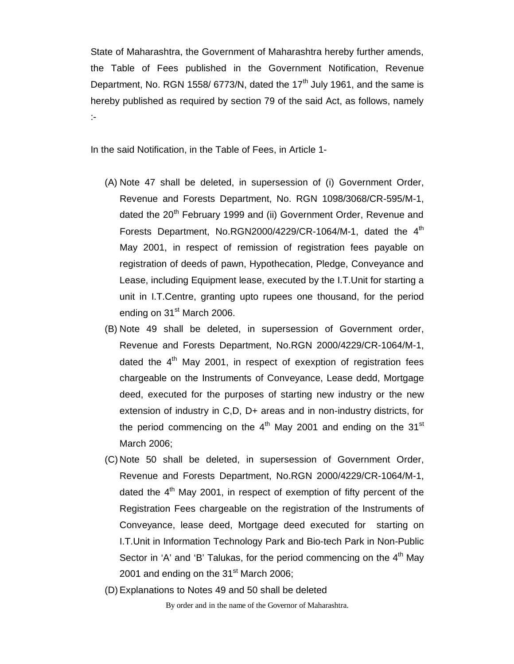State of Maharashtra, the Government of Maharashtra hereby further amends, the Table of Fees published in the Government Notification, Revenue Department, No. RGN 1558/6773/N, dated the 17<sup>th</sup> July 1961, and the same is hereby published as required by section 79 of the said Act, as follows, namely :-

In the said Notification, in the Table of Fees, in Article 1-

- (A) Note 47 shall be deleted, in supersession of (i) Government Order, Revenue and Forests Department, No. RGN 1098/3068/CR-595/M-1, dated the 20<sup>th</sup> February 1999 and (ii) Government Order, Revenue and Forests Department, No.RGN2000/4229/CR-1064/M-1, dated the 4<sup>th</sup> May 2001, in respect of remission of registration fees payable on registration of deeds of pawn, Hypothecation, Pledge, Conveyance and Lease, including Equipment lease, executed by the I.T.Unit for starting a unit in I.T.Centre, granting upto rupees one thousand, for the period ending on  $31<sup>st</sup>$  March 2006.
- (B) Note 49 shall be deleted, in supersession of Government order, Revenue and Forests Department, No.RGN 2000/4229/CR-1064/M-1, dated the  $4<sup>th</sup>$  May 2001, in respect of exexption of registration fees chargeable on the Instruments of Conveyance, Lease dedd, Mortgage deed, executed for the purposes of starting new industry or the new extension of industry in C,D, D+ areas and in non-industry districts, for the period commencing on the  $4<sup>th</sup>$  May 2001 and ending on the 31<sup>st</sup> March 2006;
- (C) Note 50 shall be deleted, in supersession of Government Order, Revenue and Forests Department, No.RGN 2000/4229/CR-1064/M-1, dated the  $4<sup>th</sup>$  May 2001, in respect of exemption of fifty percent of the Registration Fees chargeable on the registration of the Instruments of Conveyance, lease deed, Mortgage deed executed for starting on I.T.Unit in Information Technology Park and Bio-tech Park in Non-Public Sector in 'A' and 'B' Talukas, for the period commencing on the  $4<sup>th</sup>$  May 2001 and ending on the  $31<sup>st</sup>$  March 2006;
- (D) Explanations to Notes 49 and 50 shall be deleted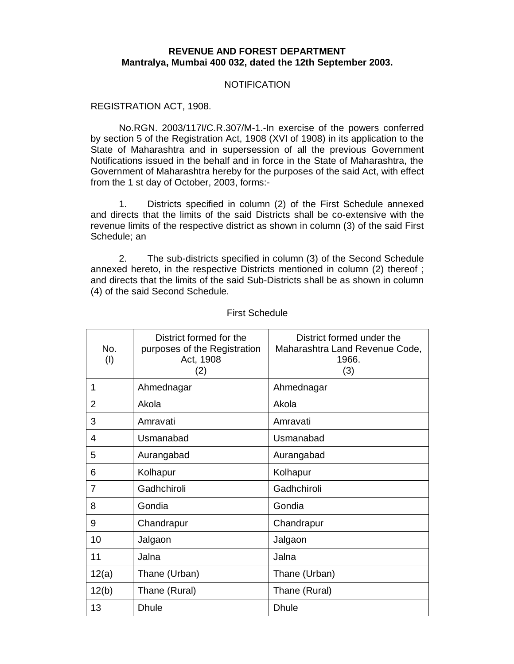#### **REVENUE AND FOREST DEPARTMENT Mantralya, Mumbai 400 032, dated the 12th September 2003.**

#### **NOTIFICATION**

#### REGISTRATION ACT, 1908.

No.RGN. 2003/117I/C.R.307/M-1.-In exercise of the powers conferred by section 5 of the Registration Act, 1908 (XVI of 1908) in its application to the State of Maharashtra and in supersession of all the previous Government Notifications issued in the behalf and in force in the State of Maharashtra, the Government of Maharashtra hereby for the purposes of the said Act, with effect from the 1 st day of October, 2003, forms:-

1. Districts specified in column (2) of the First Schedule annexed and directs that the limits of the said Districts shall be co-extensive with the revenue limits of the respective district as shown in column (3) of the said First Schedule; an

2. The sub-districts specified in column (3) of the Second Schedule annexed hereto, in the respective Districts mentioned in column (2) thereof ; and directs that the limits of the said Sub-Districts shall be as shown in column (4) of the said Second Schedule.

| No.<br>(1) | District formed for the<br>purposes of the Registration<br>Act, 1908<br>(2) | District formed under the<br>Maharashtra Land Revenue Code,<br>1966.<br>(3) |
|------------|-----------------------------------------------------------------------------|-----------------------------------------------------------------------------|
| 1          | Ahmednagar                                                                  | Ahmednagar                                                                  |
| 2          | Akola                                                                       | Akola                                                                       |
| 3          | Amravati                                                                    | Amravati                                                                    |
| 4          | Usmanabad                                                                   | Usmanabad                                                                   |
| 5          | Aurangabad                                                                  | Aurangabad                                                                  |
| 6          | Kolhapur                                                                    | Kolhapur                                                                    |
| 7          | Gadhchiroli                                                                 | Gadhchiroli                                                                 |
| 8          | Gondia                                                                      | Gondia                                                                      |
| 9          | Chandrapur                                                                  | Chandrapur                                                                  |
| 10         | Jalgaon                                                                     | Jalgaon                                                                     |
| 11         | Jalna                                                                       | Jalna                                                                       |
| 12(a)      | Thane (Urban)                                                               | Thane (Urban)                                                               |
| 12(b)      | Thane (Rural)                                                               | Thane (Rural)                                                               |
| 13         | <b>Dhule</b>                                                                | <b>Dhule</b>                                                                |

#### First Schedule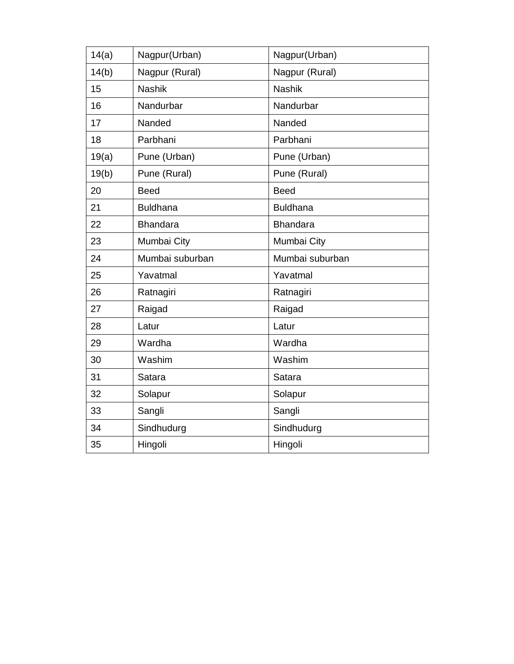| 14(a) | Nagpur(Urban)   | Nagpur(Urban)   |
|-------|-----------------|-----------------|
| 14(b) | Nagpur (Rural)  | Nagpur (Rural)  |
| 15    | <b>Nashik</b>   | <b>Nashik</b>   |
| 16    | Nandurbar       | Nandurbar       |
| 17    | Nanded          | Nanded          |
| 18    | Parbhani        | Parbhani        |
| 19(a) | Pune (Urban)    | Pune (Urban)    |
| 19(b) | Pune (Rural)    | Pune (Rural)    |
| 20    | <b>Beed</b>     | <b>Beed</b>     |
| 21    | <b>Buldhana</b> | <b>Buldhana</b> |
| 22    | <b>Bhandara</b> | <b>Bhandara</b> |
| 23    | Mumbai City     | Mumbai City     |
| 24    | Mumbai suburban | Mumbai suburban |
| 25    | Yavatmal        | Yavatmal        |
| 26    | Ratnagiri       | Ratnagiri       |
| 27    | Raigad          | Raigad          |
| 28    | Latur           | Latur           |
| 29    | Wardha          | Wardha          |
| 30    | Washim          | Washim          |
| 31    | Satara          | Satara          |
| 32    | Solapur         | Solapur         |
| 33    | Sangli          | Sangli          |
| 34    | Sindhudurg      | Sindhudurg      |
| 35    | Hingoli         | Hingoli         |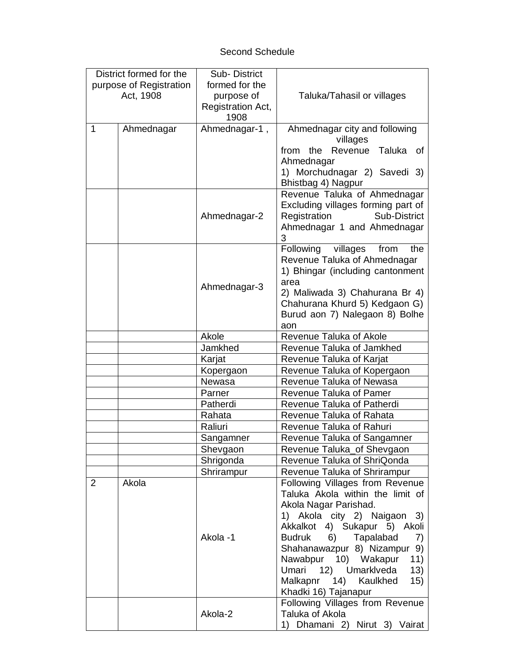Second Schedule

|                | District formed for the<br>purpose of Registration | Sub-District<br>formed for the  |                                                                     |
|----------------|----------------------------------------------------|---------------------------------|---------------------------------------------------------------------|
| Act, 1908      |                                                    | purpose of<br>Registration Act, | Taluka/Tahasil or villages                                          |
|                |                                                    | 1908                            |                                                                     |
| 1              | Ahmednagar                                         | Ahmednagar-1,                   | Ahmednagar city and following<br>villages                           |
|                |                                                    |                                 | from the Revenue Taluka of                                          |
|                |                                                    |                                 | Ahmednagar                                                          |
|                |                                                    |                                 | 1) Morchudnagar 2) Savedi 3)<br>Bhistbag 4) Nagpur                  |
|                |                                                    |                                 | Revenue Taluka of Ahmednagar                                        |
|                |                                                    |                                 | Excluding villages forming part of                                  |
|                |                                                    | Ahmednagar-2                    | Registration<br>Sub-District                                        |
|                |                                                    |                                 | Ahmednagar 1 and Ahmednagar<br>3                                    |
|                |                                                    |                                 | Following villages<br>from<br>the                                   |
|                |                                                    |                                 | Revenue Taluka of Ahmednagar<br>1) Bhingar (including cantonment    |
|                |                                                    | Ahmednagar-3                    | area                                                                |
|                |                                                    |                                 | 2) Maliwada 3) Chahurana Br 4)                                      |
|                |                                                    |                                 | Chahurana Khurd 5) Kedgaon G)                                       |
|                |                                                    |                                 | Burud aon 7) Nalegaon 8) Bolhe<br>aon                               |
|                |                                                    | Akole                           | <b>Revenue Taluka of Akole</b>                                      |
|                |                                                    | Jamkhed                         | Revenue Taluka of Jamkhed                                           |
|                |                                                    | Karjat                          | Revenue Taluka of Karjat                                            |
|                |                                                    | Kopergaon                       | Revenue Taluka of Kopergaon                                         |
|                |                                                    | Newasa                          | Revenue Taluka of Newasa                                            |
|                |                                                    | Parner                          | <b>Revenue Taluka of Pamer</b>                                      |
|                |                                                    | Patherdi                        | Revenue Taluka of Patherdi                                          |
|                |                                                    | Rahata                          | Revenue Taluka of Rahata                                            |
|                |                                                    | Raliuri                         | Revenue Taluka of Rahuri                                            |
|                |                                                    | Sangamner                       | Revenue Taluka of Sangamner                                         |
|                |                                                    | Shevgaon                        | Revenue Taluka_of Shevgaon                                          |
|                |                                                    | Shrigonda                       | Revenue Taluka of ShriQonda                                         |
| $\overline{2}$ | Akola                                              | Shrirampur                      | Revenue Taluka of Shrirampur                                        |
|                |                                                    |                                 | Following Villages from Revenue<br>Taluka Akola within the limit of |
|                |                                                    |                                 | Akola Nagar Parishad.                                               |
|                |                                                    |                                 | 1) Akola city 2) Naigaon<br>3)                                      |
|                |                                                    |                                 | 4) Sukapur 5)<br>Akkalkot<br>Akoli                                  |
|                |                                                    | Akola -1                        | <b>Budruk</b><br>Tapalabad<br>6)<br>7)                              |
|                |                                                    |                                 | Shahanawazpur 8) Nizampur 9)                                        |
|                |                                                    |                                 | Nawabpur 10) Wakapur<br>11)                                         |
|                |                                                    |                                 | Umarklveda<br>Umari<br>(12)<br>13)                                  |
|                |                                                    |                                 | Malkapnr<br>(14)<br>Kaulkhed<br>15)                                 |
|                |                                                    |                                 | Khadki 16) Tajanapur                                                |
|                |                                                    |                                 | Following Villages from Revenue                                     |
|                |                                                    | Akola-2                         | Taluka of Akola<br>Dhamani 2) Nirut 3) Vairat<br>1)                 |
|                |                                                    |                                 |                                                                     |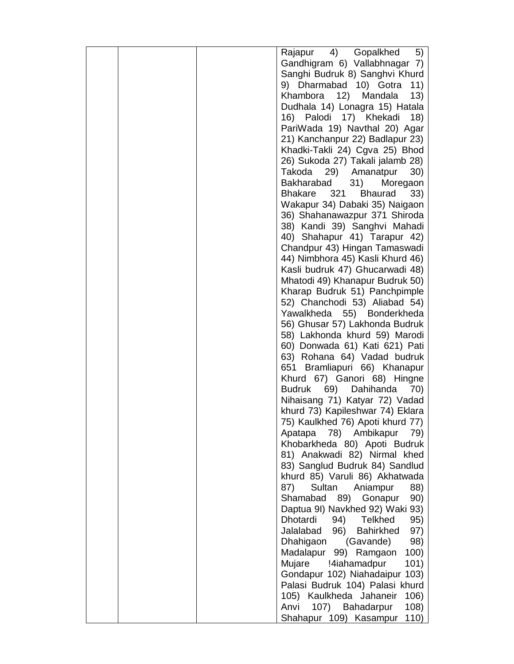| Rajapur 4) Gopalkhed<br>5)         |
|------------------------------------|
| Gandhigram 6) Vallabhnagar 7)      |
| Sanghi Budruk 8) Sanghvi Khurd     |
| 9) Dharmabad 10) Gotra 11)         |
| Khambora 12) Mandala<br>13)        |
| Dudhala 14) Lonagra 15) Hatala     |
| 16) Palodi 17) Khekadi<br>18)      |
| PariWada 19) Navthal 20) Agar      |
| 21) Kanchanpur 22) Badlapur 23)    |
| Khadki-Takli 24) Cgva 25) Bhod     |
| 26) Sukoda 27) Takali jalamb 28)   |
| Takoda 29) Amanatpur<br>30)        |
| Bakharabad 31)<br>Moregaon         |
| Bhakare 321 Bhaurad<br>33)         |
| Wakapur 34) Dabaki 35) Naigaon     |
| 36) Shahanawazpur 371 Shiroda      |
| 38) Kandi 39) Sanghvi Mahadi       |
| 40) Shahapur 41) Tarapur 42)       |
| Chandpur 43) Hingan Tamaswadi      |
| 44) Nimbhora 45) Kasli Khurd 46)   |
| Kasli budruk 47) Ghucarwadi 48)    |
| Mhatodi 49) Khanapur Budruk 50)    |
| Kharap Budruk 51) Panchpimple      |
| 52) Chanchodi 53) Aliabad 54)      |
| Yawalkheda 55) Bonderkheda         |
| 56) Ghusar 57) Lakhonda Budruk     |
| 58) Lakhonda khurd 59) Marodi      |
| 60) Donwada 61) Kati 621) Pati     |
| 63) Rohana 64) Vadad budruk        |
| 651 Bramliapuri 66) Khanapur       |
| Khurd 67) Ganori 68) Hingne        |
| Budruk 69) Dahihanda<br>70)        |
| Nihaisang 71) Katyar 72) Vadad     |
| khurd 73) Kapileshwar 74) Eklara   |
| 75) Kaulkhed 76) Apoti khurd 77)   |
| Apatapa 78) Ambikapur<br>79)       |
| Khobarkheda 80) Apoti Budruk       |
| 81) Anakwadi 82) Nirmal khed       |
| 83) Sanglud Budruk 84) Sandlud     |
| khurd 85) Varuli 86) Akhatwada     |
| 87)<br>Sultan<br>Aniampur<br>88)   |
| Shamabad 89) Gonapur<br>90)        |
| Daptua 9I) Navkhed 92) Waki 93)    |
| Dhotardi<br>94) Telkhed<br>95)     |
| Jalalabad<br>96) Bahirkhed<br>97)  |
| Dhahigaon (Gavande)<br>98)         |
| Madalapur 99) Ramgaon<br>100)      |
| 101)<br>Mujare<br>!4iahamadpur     |
| Gondapur 102) Niahadaipur 103)     |
| Palasi Budruk 104) Palasi khurd    |
| 105) Kaulkheda Jahaneir<br>106)    |
| Anvi<br>107)<br>Bahadarpur<br>108) |
| Shahapur 109) Kasampur<br>110)     |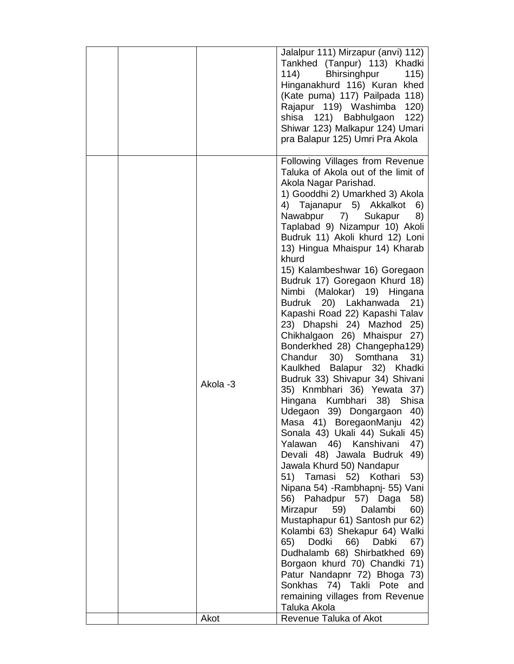|                  | Jalalpur 111) Mirzapur (anvi) 112)<br>Tankhed (Tanpur) 113) Khadki<br>(114)<br>Bhirsinghpur<br>115)<br>Hinganakhurd 116) Kuran khed<br>(Kate puma) 117) Pailpada 118)<br>Rajapur 119) Washimba<br>120)<br>shisa 121) Babhulgaon<br>122)<br>Shiwar 123) Malkapur 124) Umari<br>pra Balapur 125) Umri Pra Akola                                                                                                                                                                                                                                                                                                                                                                                                                                                                                                                                                                                                                                                                                                                                                                                                                                                                                                                                                                                                                                                                                                       |
|------------------|---------------------------------------------------------------------------------------------------------------------------------------------------------------------------------------------------------------------------------------------------------------------------------------------------------------------------------------------------------------------------------------------------------------------------------------------------------------------------------------------------------------------------------------------------------------------------------------------------------------------------------------------------------------------------------------------------------------------------------------------------------------------------------------------------------------------------------------------------------------------------------------------------------------------------------------------------------------------------------------------------------------------------------------------------------------------------------------------------------------------------------------------------------------------------------------------------------------------------------------------------------------------------------------------------------------------------------------------------------------------------------------------------------------------|
| Akola -3<br>Akot | Following Villages from Revenue<br>Taluka of Akola out of the limit of<br>Akola Nagar Parishad.<br>1) Gooddhi 2) Umarkhed 3) Akola<br>4) Tajanapur 5) Akkalkot 6)<br>Nawabpur 7) Sukapur<br>8)<br>Taplabad 9) Nizampur 10) Akoli<br>Budruk 11) Akoli khurd 12) Loni<br>13) Hingua Mhaispur 14) Kharab<br>khurd<br>15) Kalambeshwar 16) Goregaon<br>Budruk 17) Goregaon Khurd 18)<br>Nimbi (Malokar) 19) Hingana<br>Budruk 20) Lakhanwada 21)<br>Kapashi Road 22) Kapashi Talav<br>23) Dhapshi 24) Mazhod 25)<br>Chikhalgaon 26) Mhaispur 27)<br>Bonderkhed 28) Changepha129)<br>Chandur 30) Somthana<br>31)<br>Kaulkhed Balapur 32) Khadki<br>Budruk 33) Shivapur 34) Shivani<br>35) Knmbhari 36) Yewata 37)<br>Hingana Kumbhari 38) Shisa<br>Udegaon 39) Dongargaon 40)<br>Masa 41) BoregaonManju 42)<br>Sonala 43) Ukali 44) Sukali 45)<br>Yalawan<br>46)<br>Kanshivani<br>47)<br>Devali 48) Jawala Budruk<br>49)<br>Jawala Khurd 50) Nandapur<br>51) Tamasi 52) Kothari<br>53)<br>Nipana 54) - Rambhapnj- 55) Vani<br>56) Pahadpur 57) Daga<br>58)<br>Mirzapur<br>Dalambi<br>59)<br>60)<br>Mustaphapur 61) Santosh pur 62)<br>Kolambi 63) Shekapur 64) Walki<br>65) Dodki 66) Dabki<br>67)<br>Dudhalamb 68) Shirbatkhed 69)<br>Borgaon khurd 70) Chandki 71)<br>Patur Nandapnr 72) Bhoga 73)<br>Sonkhas<br>74) Takli<br>Pote<br>and<br>remaining villages from Revenue<br>Taluka Akola<br>Revenue Taluka of Akot |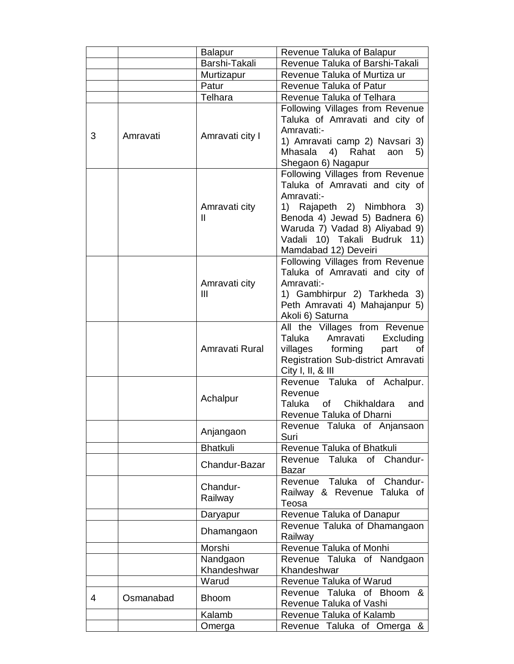|   |           | Balapur             | Revenue Taluka of Balapur                                                                                                                                                                                                                |
|---|-----------|---------------------|------------------------------------------------------------------------------------------------------------------------------------------------------------------------------------------------------------------------------------------|
|   |           | Barshi-Takali       | Revenue Taluka of Barshi-Takali                                                                                                                                                                                                          |
|   |           | Murtizapur          | Revenue Taluka of Murtiza ur                                                                                                                                                                                                             |
|   |           | Patur               | <b>Revenue Taluka of Patur</b>                                                                                                                                                                                                           |
|   |           | Telhara             | Revenue Taluka of Telhara                                                                                                                                                                                                                |
| 3 | Amravati  | Amravati city I     | Following Villages from Revenue<br>Taluka of Amravati and city of<br>Amravati:-<br>1) Amravati camp 2) Navsari 3)<br>Mhasala<br>4) Rahat<br>aon<br>5)<br>Shegaon 6) Nagapur                                                              |
|   |           | Amravati city<br>Ш  | Following Villages from Revenue<br>Taluka of Amravati and city of<br>Amravati:-<br>1) Rajapeth 2) Nimbhora 3)<br>Benoda 4) Jewad 5) Badnera 6)<br>Waruda 7) Vadad 8) Aliyabad 9)<br>Vadali 10) Takali Budruk 11)<br>Mamdabad 12) Deveiri |
|   |           | Amravati city<br>Ш  | Following Villages from Revenue<br>Taluka of Amravati and city of<br>Amravati:-<br>1) Gambhirpur 2) Tarkheda 3)<br>Peth Amravati 4) Mahajanpur 5)<br>Akoli 6) Saturna                                                                    |
|   |           | Amravati Rural      | All the Villages from Revenue<br>Taluka<br>Amravati<br>Excluding<br>villages forming<br>part<br>Οf<br>Registration Sub-district Amravati<br>City I, II, $8$ III                                                                          |
|   |           | Achalpur            | Revenue Taluka of Achalpur.<br>Revenue<br>Taluka<br>Chikhaldara<br>of l<br>and<br>Revenue Taluka of Dharni                                                                                                                               |
|   |           | Anjangaon           | Revenue Taluka of Anjansaon<br>Suri                                                                                                                                                                                                      |
|   |           | <b>Bhatkuli</b>     | Revenue Taluka of Bhatkuli                                                                                                                                                                                                               |
|   |           | Chandur-Bazar       | Taluka of Chandur-<br>Revenue<br>Bazar                                                                                                                                                                                                   |
|   |           | Chandur-<br>Railway | Revenue Taluka of Chandur-<br>Railway & Revenue Taluka of<br>Teosa                                                                                                                                                                       |
|   |           | Daryapur            | Revenue Taluka of Danapur                                                                                                                                                                                                                |
|   |           | Dhamangaon          | Revenue Taluka of Dhamangaon<br>Railway                                                                                                                                                                                                  |
|   |           | Morshi              | Revenue Taluka of Monhi                                                                                                                                                                                                                  |
|   |           | Nandgaon            | Revenue Taluka of Nandgaon                                                                                                                                                                                                               |
|   |           | Khandeshwar         | Khandeshwar                                                                                                                                                                                                                              |
|   |           | Warud               | Revenue Taluka of Warud                                                                                                                                                                                                                  |
| 4 | Osmanabad | <b>Bhoom</b>        | Revenue Taluka of Bhoom<br>&<br>Revenue Taluka of Vashi                                                                                                                                                                                  |
|   |           | Kalamb              | Revenue Taluka of Kalamb                                                                                                                                                                                                                 |
|   |           | Omerga              | Revenue Taluka of Omerga &                                                                                                                                                                                                               |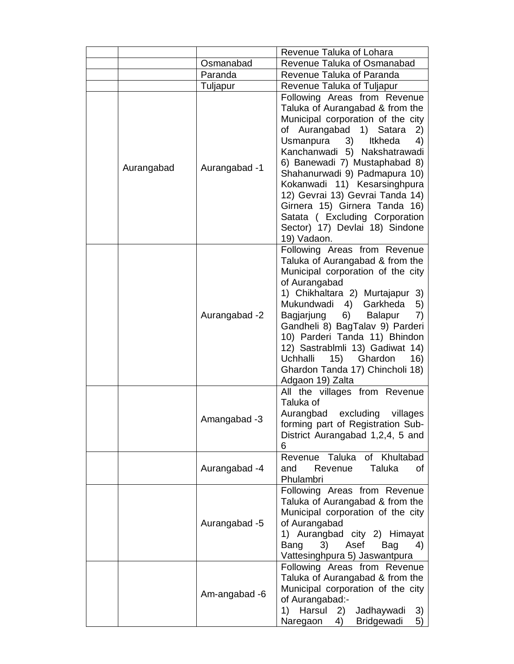|            |               | Revenue Taluka of Lohara                                                                                                                                                                                                                                                                                                                                                                                                                                           |
|------------|---------------|--------------------------------------------------------------------------------------------------------------------------------------------------------------------------------------------------------------------------------------------------------------------------------------------------------------------------------------------------------------------------------------------------------------------------------------------------------------------|
|            | Osmanabad     | Revenue Taluka of Osmanabad                                                                                                                                                                                                                                                                                                                                                                                                                                        |
|            | Paranda       | Revenue Taluka of Paranda                                                                                                                                                                                                                                                                                                                                                                                                                                          |
|            | Tuljapur      | Revenue Taluka of Tuljapur                                                                                                                                                                                                                                                                                                                                                                                                                                         |
| Aurangabad | Aurangabad -1 | Following Areas from Revenue<br>Taluka of Aurangabad & from the<br>Municipal corporation of the city<br>1) Satara<br>of Aurangabad<br>2)<br>Usmanpura 3)<br>Itkheda<br>4)<br>Kanchanwadi 5) Nakshatrawadi<br>6) Banewadi 7) Mustaphabad 8)<br>Shahanurwadi 9) Padmapura 10)<br>Kokanwadi 11) Kesarsinghpura<br>12) Gevrai 13) Gevrai Tanda 14)<br>Girnera 15) Girnera Tanda 16)<br>Satata ( Excluding Corporation<br>Sector) 17) Devlai 18) Sindone<br>19) Vadaon. |
|            | Aurangabad -2 | Following Areas from Revenue<br>Taluka of Aurangabad & from the<br>Municipal corporation of the city<br>of Aurangabad<br>1) Chikhaltara 2) Murtajapur 3)<br>Mukundwadi 4) Garkheda<br>5)<br>6) Balapur<br>Bagjarjung<br>7)<br>Gandheli 8) BagTalav 9) Parderi<br>10) Parderi Tanda 11) Bhindon<br>12) Sastrablmli 13) Gadiwat 14)<br>Uchhalli<br>15)<br>Ghardon<br>16)<br>Ghardon Tanda 17) Chincholi 18)<br>Adgaon 19) Zalta                                      |
|            | Amangabad -3  | All the villages from Revenue<br>Taluka of<br>Aurangbad excluding villages<br>forming part of Registration Sub-<br>District Aurangabad 1,2,4, 5 and<br>6                                                                                                                                                                                                                                                                                                           |
|            | Aurangabad -4 | Revenue Taluka<br>of Khultabad<br>Taluka<br>and<br>Revenue<br>οf<br>Phulambri                                                                                                                                                                                                                                                                                                                                                                                      |
|            | Aurangabad -5 | Following Areas from Revenue<br>Taluka of Aurangabad & from the<br>Municipal corporation of the city<br>of Aurangabad<br>1) Aurangbad city 2) Himayat<br>3)<br>Asef<br>Bang<br>Bag<br>4)<br>Vattesinghpura 5) Jaswantpura                                                                                                                                                                                                                                          |
|            | Am-angabad -6 | Following Areas from Revenue<br>Taluka of Aurangabad & from the<br>Municipal corporation of the city<br>of Aurangabad:-<br>Harsul<br>1)<br>2)<br>Jadhaywadi<br>3)<br>Naregaon<br><b>Bridgewadi</b><br>4)<br>5)                                                                                                                                                                                                                                                     |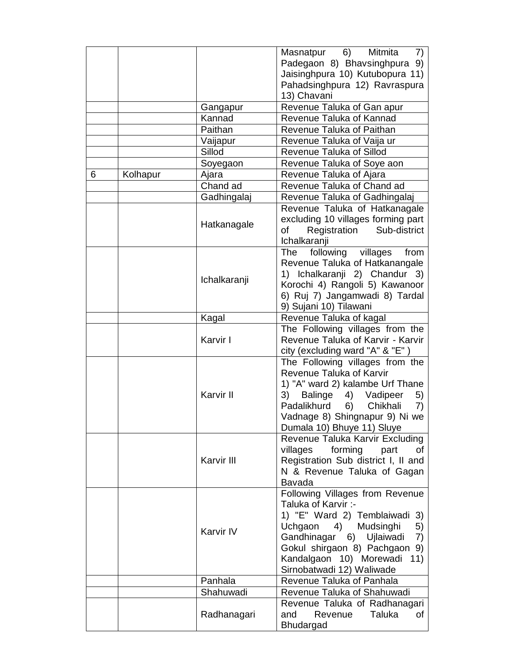|   |          |              | Mitmita<br>Masnatpur 6)<br>7)                                    |
|---|----------|--------------|------------------------------------------------------------------|
|   |          |              | Padegaon 8) Bhavsinghpura 9)                                     |
|   |          |              | Jaisinghpura 10) Kutubopura 11)<br>Pahadsinghpura 12) Ravraspura |
|   |          |              | 13) Chavani                                                      |
|   |          | Gangapur     | Revenue Taluka of Gan apur                                       |
|   |          | Kannad       | Revenue Taluka of Kannad                                         |
|   |          | Paithan      | <b>Revenue Taluka of Paithan</b>                                 |
|   |          | Vaijapur     | Revenue Taluka of Vaija ur                                       |
|   |          | Sillod       | Revenue Taluka of Sillod                                         |
|   |          | Soyegaon     | Revenue Taluka of Soye aon                                       |
| 6 | Kolhapur | Ajara        | Revenue Taluka of Ajara                                          |
|   |          | Chand ad     | Revenue Taluka of Chand ad                                       |
|   |          | Gadhingalaj  | Revenue Taluka of Gadhingalaj                                    |
|   |          |              | Revenue Taluka of Hatkanagale                                    |
|   |          |              | excluding 10 villages forming part                               |
|   |          | Hatkanagale  | Sub-district<br>οf<br>Registration                               |
|   |          |              | Ichalkaranji                                                     |
|   |          |              | The<br>following villages<br>from                                |
|   |          |              | Revenue Taluka of Hatkanangale                                   |
|   |          |              | 1) Ichalkaranji 2) Chandur 3)                                    |
|   |          | Ichalkaranji | Korochi 4) Rangoli 5) Kawanoor                                   |
|   |          |              | 6) Ruj 7) Jangamwadi 8) Tardal                                   |
|   |          |              | 9) Sujani 10) Tilawani                                           |
|   |          | Kagal        | Revenue Taluka of kagal                                          |
|   |          |              | The Following villages from the                                  |
|   |          | Karvir I     | Revenue Taluka of Karvir - Karvir                                |
|   |          |              | city (excluding ward "A" & "E")                                  |
|   |          |              | The Following villages from the                                  |
|   |          |              | Revenue Taluka of Karvir                                         |
|   |          |              | 1) "A" ward 2) kalambe Urf Thane                                 |
|   |          | Karvir II    | <b>Balinge</b><br>3)<br>4) Vadipeer<br>5)                        |
|   |          |              | Padalikhurd<br>Chikhali<br>6)<br>7)                              |
|   |          |              | Vadnage 8) Shingnapur 9) Ni we                                   |
|   |          |              | Dumala 10) Bhuye 11) Sluye                                       |
|   |          |              | Revenue Taluka Karvir Excluding                                  |
|   |          |              | villages forming<br>οf<br>part                                   |
|   |          | Karvir III   | Registration Sub district I, II and                              |
|   |          |              | N & Revenue Taluka of Gagan<br>Bavada                            |
|   |          |              | Following Villages from Revenue                                  |
|   |          |              | Taluka of Karvir:-                                               |
|   |          |              | 1) "E" Ward 2) Temblaiwadi 3)                                    |
|   |          |              | 4)<br>Mudsinghi<br>Uchgaon<br>5)                                 |
|   |          | Karvir IV    | Gandhinagar<br>6)<br>Ujlaiwadi<br>7)                             |
|   |          |              | Gokul shirgaon 8) Pachgaon 9)                                    |
|   |          |              | Kandalgaon 10) Morewadi<br>11)                                   |
|   |          |              | Sirnobatwadi 12) Waliwade                                        |
|   |          | Panhala      | Revenue Taluka of Panhala                                        |
|   |          | Shahuwadi    | Revenue Taluka of Shahuwadi                                      |
|   |          |              | Revenue Taluka of Radhanagari                                    |
|   |          | Radhanagari  | Revenue<br>Taluka<br>and<br>οf                                   |
|   |          |              | Bhudargad                                                        |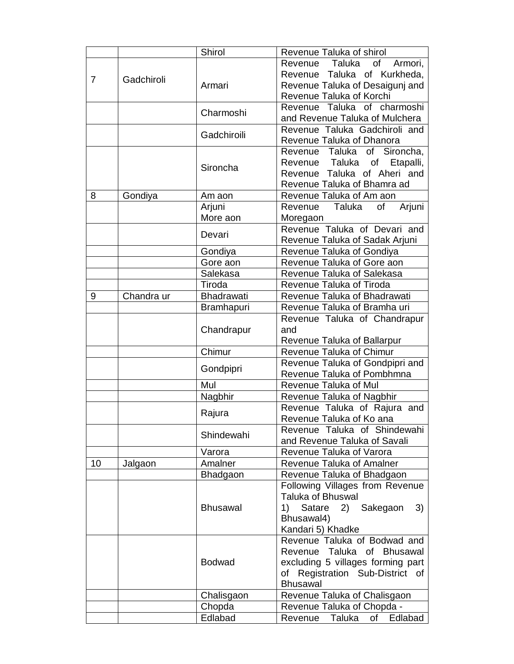|    |            | Shirol          | Revenue Taluka of shirol          |
|----|------------|-----------------|-----------------------------------|
|    |            |                 | Revenue Taluka<br>Armori,<br>οf   |
|    |            |                 | Revenue Taluka of Kurkheda,       |
| 7  | Gadchiroli | Armari          | Revenue Taluka of Desaigunj and   |
|    |            |                 | Revenue Taluka of Korchi          |
|    |            |                 | Revenue Taluka of charmoshi       |
|    |            | Charmoshi       | and Revenue Taluka of Mulchera    |
|    |            |                 | Revenue Taluka Gadchiroli and     |
|    |            | Gadchiroili     | Revenue Taluka of Dhanora         |
|    |            |                 | Revenue Taluka<br>of Sironcha,    |
|    |            |                 | Revenue Taluka<br>of<br>Etapalli, |
|    |            | Sironcha        | Revenue Taluka of Aheri and       |
|    |            |                 | Revenue Taluka of Bhamra ad       |
| 8  | Gondiya    | Am aon          | Revenue Taluka of Am aon          |
|    |            | Arjuni          | Arjuni<br>Taluka<br>Revenue<br>of |
|    |            | More aon        | Moregaon                          |
|    |            |                 | Revenue Taluka of Devari and      |
|    |            | Devari          | Revenue Taluka of Sadak Arjuni    |
|    |            | Gondiya         | Revenue Taluka of Gondiya         |
|    |            | Gore aon        | Revenue Taluka of Gore aon        |
|    |            | Salekasa        | Revenue Taluka of Salekasa        |
|    |            | Tiroda          | Revenue Taluka of Tiroda          |
| 9  | Chandra ur | Bhadrawati      | Revenue Taluka of Bhadrawati      |
|    |            | Bramhapuri      | Revenue Taluka of Bramha uri      |
|    |            |                 | Revenue Taluka of Chandrapur      |
|    |            | Chandrapur      | and                               |
|    |            |                 | Revenue Taluka of Ballarpur       |
|    |            | Chimur          | Revenue Taluka of Chimur          |
|    |            |                 | Revenue Taluka of Gondpipri and   |
|    |            | Gondpipri       | Revenue Taluka of Pombhmna        |
|    |            | Mul             | Revenue Taluka of Mul             |
|    |            | Nagbhir         | Revenue Taluka of Nagbhir         |
|    |            |                 | Revenue Taluka of Rajura and      |
|    |            | Rajura          | Revenue Taluka of Ko ana          |
|    |            |                 | Revenue Taluka of Shindewahi      |
|    |            | Shindewahi      | and Revenue Taluka of Savali      |
|    |            | Varora          | Revenue Taluka of Varora          |
| 10 | Jalgaon    | Amalner         | <b>Revenue Taluka of Amalner</b>  |
|    |            | Bhadgaon        | Revenue Taluka of Bhadgaon        |
|    |            |                 | Following Villages from Revenue   |
|    |            |                 | <b>Taluka of Bhuswal</b>          |
|    |            | <b>Bhusawal</b> | 1)<br>Satare<br>2) Sakegaon<br>3) |
|    |            |                 | Bhusawal4)                        |
|    |            |                 | Kandari 5) Khadke                 |
|    |            |                 | Revenue Taluka of Bodwad and      |
|    |            |                 | Revenue Taluka of Bhusawal        |
|    |            | <b>Bodwad</b>   | excluding 5 villages forming part |
|    |            |                 | of Registration Sub-District of   |
|    |            |                 | <b>Bhusawal</b>                   |
|    |            | Chalisgaon      | Revenue Taluka of Chalisgaon      |
|    |            | Chopda          | Revenue Taluka of Chopda -        |
|    |            | Edlabad         | Revenue Taluka<br>of<br>Edlabad   |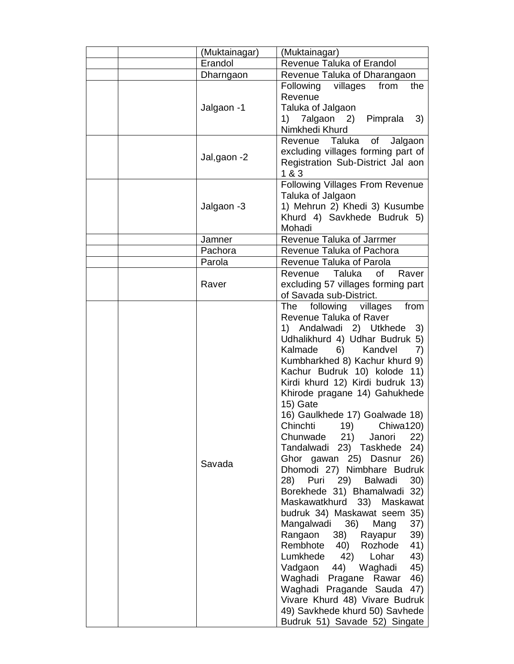| (Muktainagar) | (Muktainagar)                                                                                                                                                                                                                                                                                                                                                                                                                                                                                                                                                                                                                                                                                                                                                                                                                                                                                                                                                                                                    |
|---------------|------------------------------------------------------------------------------------------------------------------------------------------------------------------------------------------------------------------------------------------------------------------------------------------------------------------------------------------------------------------------------------------------------------------------------------------------------------------------------------------------------------------------------------------------------------------------------------------------------------------------------------------------------------------------------------------------------------------------------------------------------------------------------------------------------------------------------------------------------------------------------------------------------------------------------------------------------------------------------------------------------------------|
| Erandol       | Revenue Taluka of Erandol                                                                                                                                                                                                                                                                                                                                                                                                                                                                                                                                                                                                                                                                                                                                                                                                                                                                                                                                                                                        |
| Dharngaon     | Revenue Taluka of Dharangaon                                                                                                                                                                                                                                                                                                                                                                                                                                                                                                                                                                                                                                                                                                                                                                                                                                                                                                                                                                                     |
| Jalgaon -1    | from<br>Following villages<br>the<br>Revenue<br>Taluka of Jalgaon<br>7algaon 2)<br>Pimprala<br>1)<br>3)<br>Nimkhedi Khurd                                                                                                                                                                                                                                                                                                                                                                                                                                                                                                                                                                                                                                                                                                                                                                                                                                                                                        |
| Jal,gaon -2   | Revenue Taluka of Jalgaon<br>excluding villages forming part of<br>Registration Sub-District Jal aon<br>1 & 3                                                                                                                                                                                                                                                                                                                                                                                                                                                                                                                                                                                                                                                                                                                                                                                                                                                                                                    |
| Jalgaon -3    | <b>Following Villages From Revenue</b><br>Taluka of Jalgaon<br>1) Mehrun 2) Khedi 3) Kusumbe<br>Khurd 4) Savkhede Budruk 5)<br>Mohadi                                                                                                                                                                                                                                                                                                                                                                                                                                                                                                                                                                                                                                                                                                                                                                                                                                                                            |
| Jamner        | Revenue Taluka of Jarrmer                                                                                                                                                                                                                                                                                                                                                                                                                                                                                                                                                                                                                                                                                                                                                                                                                                                                                                                                                                                        |
| Pachora       | Revenue Taluka of Pachora                                                                                                                                                                                                                                                                                                                                                                                                                                                                                                                                                                                                                                                                                                                                                                                                                                                                                                                                                                                        |
| Parola        | Revenue Taluka of Parola                                                                                                                                                                                                                                                                                                                                                                                                                                                                                                                                                                                                                                                                                                                                                                                                                                                                                                                                                                                         |
| Raver         | Taluka<br><b>of</b><br>Raver<br>Revenue<br>excluding 57 villages forming part<br>of Savada sub-District.                                                                                                                                                                                                                                                                                                                                                                                                                                                                                                                                                                                                                                                                                                                                                                                                                                                                                                         |
| Savada        | following villages<br>from<br>The<br><b>Revenue Taluka of Raver</b><br>Andalwadi 2) Utkhede<br>3)<br>1)<br>Udhalikhurd 4) Udhar Budruk 5)<br>Kalmade<br>Kandvel<br>6)<br>7)<br>Kumbharkhed 8) Kachur khurd 9)<br>Kachur Budruk 10) kolode 11)<br>Kirdi khurd 12) Kirdi budruk 13)<br>Khirode pragane 14) Gahukhede<br>15) Gate<br>16) Gaulkhede 17) Goalwade 18)<br>Chinchti<br>19)<br>Chiwa120)<br>21)<br>22)<br>Chunwade<br>Janori<br>Tandalwadi 23) Taskhede<br>24)<br>Ghor gawan 25) Dasnur<br>26)<br>Dhomodi 27) Nimbhare Budruk<br>Puri 29) Balwadi<br>30)<br>28)<br>Borekhede 31) Bhamalwadi 32)<br>Maskawatkhurd 33) Maskawat<br>budruk 34) Maskawat seem 35)<br>Mangalwadi 36)<br>Mang<br>37)<br>Rangaon<br>38)<br>39)<br>Rayapur<br>Rembhote 40)<br>Rozhode<br>41)<br>Lumkhede 42)<br>Lohar<br>43)<br>44) Waghadi 45)<br>Vadgaon<br>Waghadi Pragane Rawar<br>46)<br>Waghadi Pragande Sauda<br>47)<br>Vivare Khurd 48) Vivare Budruk<br>49) Savkhede khurd 50) Savhede<br>Budruk 51) Savade 52) Singate |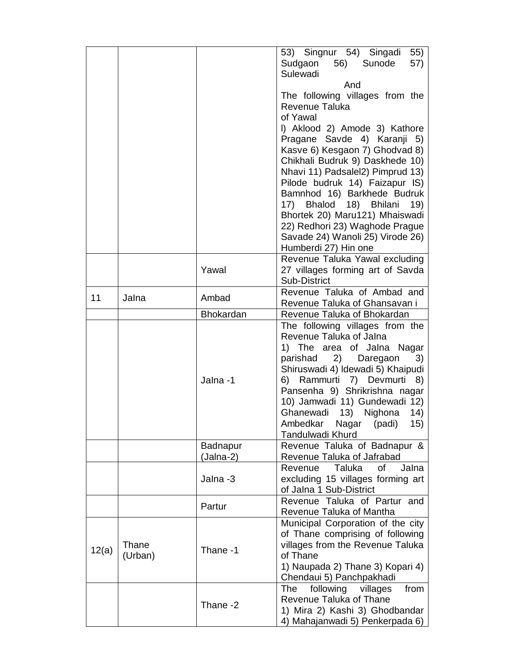|       |                  |                       | 53) Singnur 54) Singadi<br>55)<br>Sudgaon 56) Sunode<br>57)<br>Sulewadi                                                                                                                                                                                                                                                                                           |
|-------|------------------|-----------------------|-------------------------------------------------------------------------------------------------------------------------------------------------------------------------------------------------------------------------------------------------------------------------------------------------------------------------------------------------------------------|
|       |                  |                       | And<br>The following villages from the<br><b>Revenue Taluka</b><br>of Yawal                                                                                                                                                                                                                                                                                       |
|       |                  |                       | I) Aklood 2) Amode 3) Kathore<br>Pragane Savde 4) Karanji 5)<br>Kasve 6) Kesgaon 7) Ghodvad 8)                                                                                                                                                                                                                                                                    |
|       |                  |                       | Chikhali Budruk 9) Daskhede 10)<br>Nhavi 11) Padsalel2) Pimprud 13)<br>Pilode budruk 14) Faizapur IS)                                                                                                                                                                                                                                                             |
|       |                  |                       | Bamnhod 16) Barkhede Budruk<br>17) Bhalod 18) Bhilani<br>19)<br>Bhortek 20) Maru121) Mhaiswadi<br>22) Redhori 23) Waghode Prague                                                                                                                                                                                                                                  |
|       |                  |                       | Savade 24) Wanoli 25) Virode 26)<br>Humberdi 27) Hin one                                                                                                                                                                                                                                                                                                          |
|       |                  | Yawal                 | Revenue Taluka Yawal excluding<br>27 villages forming art of Savda<br>Sub-District                                                                                                                                                                                                                                                                                |
| 11    | Jalna            | Ambad                 | Revenue Taluka of Ambad and<br>Revenue Taluka of Ghansavan i                                                                                                                                                                                                                                                                                                      |
|       |                  | Bhokardan             | Revenue Taluka of Bhokardan                                                                                                                                                                                                                                                                                                                                       |
|       |                  | Jalna -1              | The following villages from the<br>Revenue Taluka of Jalna<br>1) The area of Jalna Nagar<br>parishad<br>2)<br>Daregaon<br>3)<br>Shiruswadi 4) Idewadi 5) Khaipudi<br>6) Rammurti 7) Devmurti<br>8)<br>Pansenha 9) Shrikrishna nagar<br>10) Jamwadi 11) Gundewadi 12)<br>Ghanewadi<br>13) Nighona<br>14)<br>Ambedkar<br>Nagar<br>(padi)<br>15)<br>Tandulwadi Khurd |
|       |                  | Badnapur<br>(Jalna-2) | Revenue Taluka of Badnapur &<br>Revenue Taluka of Jafrabad                                                                                                                                                                                                                                                                                                        |
|       |                  | Jalna -3              | Jalna<br>Taluka<br>Revenue<br>οf<br>excluding 15 villages forming art<br>of Jalna 1 Sub-District                                                                                                                                                                                                                                                                  |
|       |                  | Partur                | Revenue Taluka of Partur and<br>Revenue Taluka of Mantha                                                                                                                                                                                                                                                                                                          |
| 12(a) | Thane<br>(Urban) | Thane -1              | Municipal Corporation of the city<br>of Thane comprising of following<br>villages from the Revenue Taluka<br>of Thane<br>1) Naupada 2) Thane 3) Kopari 4)<br>Chendaui 5) Panchpakhadi                                                                                                                                                                             |
|       |                  | Thane -2              | following<br>villages<br>The<br>from<br>Revenue Taluka of Thane<br>1) Mira 2) Kashi 3) Ghodbandar<br>4) Mahajanwadi 5) Penkerpada 6)                                                                                                                                                                                                                              |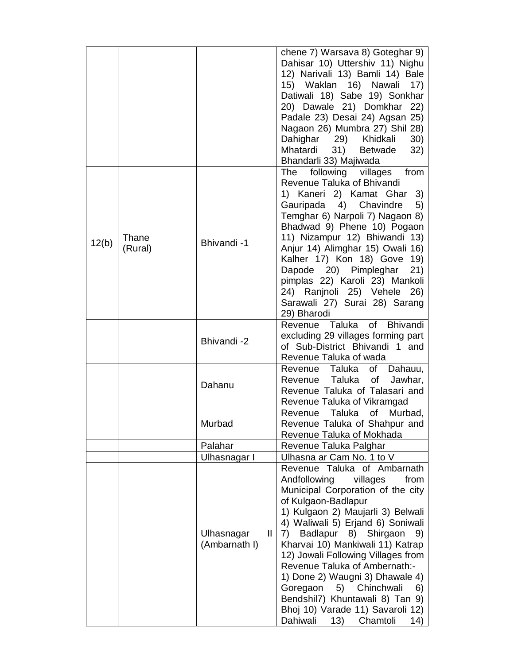|       |                  |                                   | chene 7) Warsava 8) Goteghar 9)<br>Dahisar 10) Uttershiv 11) Nighu<br>12) Narivali 13) Bamli 14) Bale<br>15) Waklan 16) Nawali<br>17)<br>Datiwali 18) Sabe 19) Sonkhar<br>20) Dawale 21) Domkhar<br>22)<br>Padale 23) Desai 24) Agsan 25)<br>Nagaon 26) Mumbra 27) Shil 28)<br>Dahighar 29) Khidkali<br><b>30)</b><br>Mhatardi<br>31) Betwade<br>32)<br>Bhandarli 33) Majiwada                                                                                                                                                                    |
|-------|------------------|-----------------------------------|---------------------------------------------------------------------------------------------------------------------------------------------------------------------------------------------------------------------------------------------------------------------------------------------------------------------------------------------------------------------------------------------------------------------------------------------------------------------------------------------------------------------------------------------------|
| 12(b) | Thane<br>(Rural) | Bhivandi-1                        | following villages<br>The<br>from<br>Revenue Taluka of Bhivandi<br>1) Kaneri 2) Kamat Ghar 3)<br>Gauripada 4) Chavindre<br>5)<br>Temghar 6) Narpoli 7) Nagaon 8)<br>Bhadwad 9) Phene 10) Pogaon<br>11) Nizampur 12) Bhiwandi 13)<br>Anjur 14) Alimghar 15) Owali 16)<br>Kalher 17) Kon 18) Gove 19)<br>Dapode 20) Pimpleghar<br>21)<br>pimplas 22) Karoli 23) Mankoli<br>24) Ranjnoli 25) Vehele 26)<br>Sarawali 27) Surai 28) Sarang<br>29) Bharodi                                                                                              |
|       |                  | Bhivandi -2                       | Revenue Taluka of Bhivandi<br>excluding 29 villages forming part<br>of Sub-District Bhivandi 1 and<br>Revenue Taluka of wada                                                                                                                                                                                                                                                                                                                                                                                                                      |
|       |                  | Dahanu                            | Revenue Taluka<br>Dahauu,<br>of<br>Revenue Taluka<br>of<br>Jawhar,<br>Revenue Taluka of Talasari and<br>Revenue Taluka of Vikramgad                                                                                                                                                                                                                                                                                                                                                                                                               |
|       |                  | Murbad                            | Revenue Taluka of Murbad,<br>Revenue Taluka of Shahpur and<br>Revenue Taluka of Mokhada                                                                                                                                                                                                                                                                                                                                                                                                                                                           |
|       |                  | Palahar                           | Revenue Taluka Palghar                                                                                                                                                                                                                                                                                                                                                                                                                                                                                                                            |
|       |                  | Ulhasnagar I                      | Ulhasna ar Cam No. 1 to V                                                                                                                                                                                                                                                                                                                                                                                                                                                                                                                         |
|       |                  | Ulhasnagar<br>Ш.<br>(Ambarnath I) | Revenue Taluka of Ambarnath<br>Andfollowing<br>villages<br>from<br>Municipal Corporation of the city<br>of Kulgaon-Badlapur<br>1) Kulgaon 2) Maujarli 3) Belwali<br>4) Waliwali 5) Erjand 6) Soniwali<br>Badlapur 8)<br>Shirgaon<br>7)<br>9)<br>Kharvai 10) Mankiwali 11) Katrap<br>12) Jowali Following Villages from<br><b>Revenue Taluka of Ambernath:-</b><br>1) Done 2) Waugni 3) Dhawale 4)<br>Goregaon<br>5) Chinchwali<br>6)<br>Bendshil7) Khuntawali 8) Tan 9)<br>Bhoj 10) Varade 11) Savaroli 12)<br>Dahiwali<br>Chamtoli<br>13)<br>14) |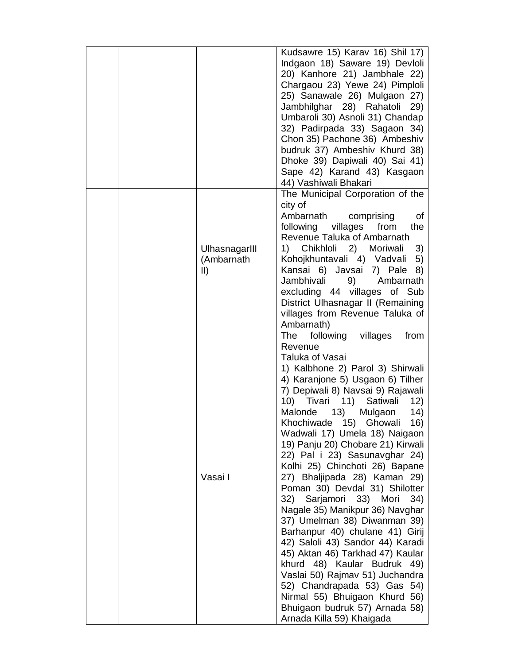|  |                                            | Kudsawre 15) Karav 16) Shil 17)<br>Indgaon 18) Saware 19) Devloli<br>20) Kanhore 21) Jambhale 22)<br>Chargaou 23) Yewe 24) Pimploli<br>25) Sanawale 26) Mulgaon 27)<br>Jambhilghar 28) Rahatoli<br>29)<br>Umbaroli 30) Asnoli 31) Chandap<br>32) Padirpada 33) Sagaon 34)<br>Chon 35) Pachone 36) Ambeshiv<br>budruk 37) Ambeshiv Khurd 38)<br>Dhoke 39) Dapiwali 40) Sai 41)<br>Sape 42) Karand 43) Kasgaon<br>44) Vashiwali Bhakari                                                                                                                                                                                                                                                                                                                                                                                                                                                                    |
|--|--------------------------------------------|----------------------------------------------------------------------------------------------------------------------------------------------------------------------------------------------------------------------------------------------------------------------------------------------------------------------------------------------------------------------------------------------------------------------------------------------------------------------------------------------------------------------------------------------------------------------------------------------------------------------------------------------------------------------------------------------------------------------------------------------------------------------------------------------------------------------------------------------------------------------------------------------------------|
|  | UlhasnagarIII<br>(Ambarnath<br>$\parallel$ | The Municipal Corporation of the<br>city of<br>Ambarnath<br>comprising<br>of<br>following villages from<br>the<br>Revenue Taluka of Ambarnath<br>Chikhloli 2) Moriwali<br>3)<br>1)<br>Kohojkhuntavali 4) Vadvali<br>5)<br>Kansai 6) Javsai 7) Pale 8)<br>Jambhivali<br>9)<br>Ambarnath<br>excluding 44 villages of Sub<br>District Ulhasnagar II (Remaining<br>villages from Revenue Taluka of<br>Ambarnath)                                                                                                                                                                                                                                                                                                                                                                                                                                                                                             |
|  | Vasai I                                    | The<br>following villages<br>from<br>Revenue<br>Taluka of Vasai<br>1) Kalbhone 2) Parol 3) Shirwali<br>4) Karanjone 5) Usgaon 6) Tilher<br>7) Depiwali 8) Navsai 9) Rajawali<br>10) Tivari 11) Satiwali<br>12)<br>Malonde 13)<br>Mulgaon<br>14)<br>Khochiwade 15) Ghowali 16)<br>Wadwali 17) Umela 18) Naigaon<br>19) Panju 20) Chobare 21) Kirwali<br>22) Pal i 23) Sasunavghar 24)<br>Kolhi 25) Chinchoti 26) Bapane<br>27) Bhaljipada 28) Kaman 29)<br>Poman 30) Devdal 31) Shilotter<br>32) Sarjamori 33) Mori<br>34)<br>Nagale 35) Manikpur 36) Navghar<br>37) Umelman 38) Diwanman 39)<br>Barhanpur 40) chulane 41) Girij<br>42) Saloli 43) Sandor 44) Karadi<br>45) Aktan 46) Tarkhad 47) Kaular<br>khurd 48) Kaular Budruk 49)<br>Vaslai 50) Rajmav 51) Juchandra<br>52) Chandrapada 53) Gas 54)<br>Nirmal 55) Bhuigaon Khurd 56)<br>Bhuigaon budruk 57) Arnada 58)<br>Arnada Killa 59) Khaigada |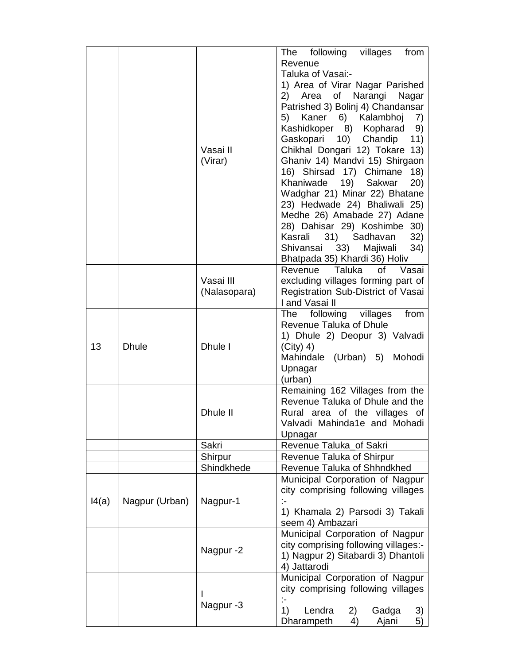|       |                |              | The following villages<br>from                                |
|-------|----------------|--------------|---------------------------------------------------------------|
|       |                |              | Revenue                                                       |
|       |                |              | Taluka of Vasai:-                                             |
|       |                |              | 1) Area of Virar Nagar Parished                               |
|       |                |              | Area of Narangi<br>Nagar<br>2)                                |
|       |                |              | Patrished 3) Bolinj 4) Chandansar                             |
|       |                |              | Kaner 6) Kalambhoj<br>5)<br>7)                                |
|       |                |              | Kashidkoper 8) Kopharad<br>9)                                 |
|       |                |              | Gaskopari 10) Chandip<br>11)                                  |
|       |                | Vasai II     | Chikhal Dongari 12) Tokare 13)                                |
|       |                | (Virar)      | Ghaniv 14) Mandvi 15) Shirgaon                                |
|       |                |              | 16) Shirsad 17) Chimane<br>18)                                |
|       |                |              | Khaniwade 19) Sakwar<br>20)                                   |
|       |                |              | Wadghar 21) Minar 22) Bhatane                                 |
|       |                |              | 23) Hedwade 24) Bhaliwali 25)                                 |
|       |                |              | Medhe 26) Amabade 27) Adane                                   |
|       |                |              | 28) Dahisar 29) Koshimbe 30)                                  |
|       |                |              | Kasrali 31) Sadhavan<br>32)                                   |
|       |                |              | 33) Majiwali<br>Shivansai<br>34)                              |
|       |                |              | Bhatpada 35) Khardi 36) Holiv                                 |
|       |                |              | Revenue Taluka of Vasai                                       |
|       |                | Vasai III    | excluding villages forming part of                            |
|       |                | (Nalasopara) | Registration Sub-District of Vasai                            |
|       |                |              | I and Vasai II                                                |
|       |                |              | The following villages<br>from                                |
|       |                |              | <b>Revenue Taluka of Dhule</b>                                |
|       |                |              | 1) Dhule 2) Deopur 3) Valvadi                                 |
| 13    | <b>Dhule</b>   | Dhule I      | $(City)$ 4)                                                   |
|       |                |              | Mahindale (Urban) 5) Mohodi                                   |
|       |                |              | Upnagar                                                       |
|       |                |              | (urban)                                                       |
|       |                |              | Remaining 162 Villages from the                               |
|       |                |              | Revenue Taluka of Dhule and the                               |
|       |                | Dhule II     | Rural area of the villages of<br>Valvadi Mahinda1e and Mohadi |
|       |                |              |                                                               |
|       |                | Sakri        | Upnagar<br>Revenue Taluka_of Sakri                            |
|       |                | Shirpur      | <b>Revenue Taluka of Shirpur</b>                              |
|       |                | Shindkhede   | Revenue Taluka of Shhndkhed                                   |
|       |                |              | Municipal Corporation of Nagpur                               |
|       |                |              | city comprising following villages                            |
| I4(a) | Nagpur (Urban) | Nagpur-1     | ţ.                                                            |
|       |                |              | 1) Khamala 2) Parsodi 3) Takali                               |
|       |                |              | seem 4) Ambazari                                              |
|       |                |              | Municipal Corporation of Nagpur                               |
|       |                |              | city comprising following villages:-                          |
|       |                | Nagpur -2    | 1) Nagpur 2) Sitabardi 3) Dhantoli                            |
|       |                |              | 4) Jattarodi                                                  |
|       |                |              | Municipal Corporation of Nagpur                               |
|       |                |              | city comprising following villages                            |
|       |                |              | t-                                                            |
|       |                | Nagpur-3     | 1)<br>Lendra<br>Gadga<br>2)<br>3)                             |
|       |                |              | Dharampeth<br>4)<br>Ajani<br>5)                               |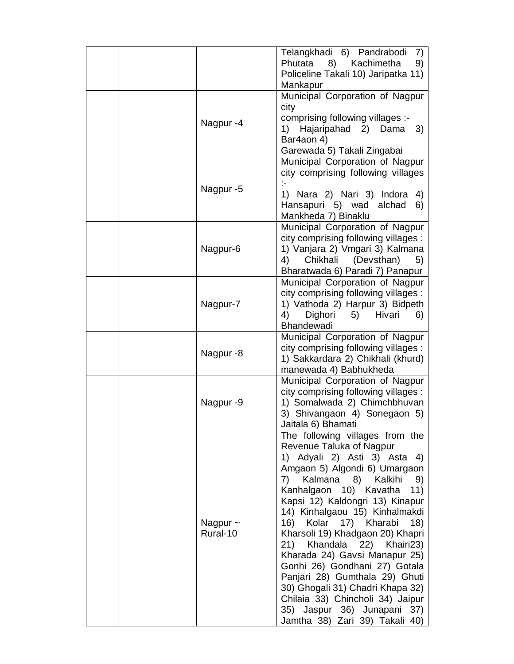|               | Telangkhadi 6) Pandrabodi<br>7)      |
|---------------|--------------------------------------|
|               | Phutata<br>Kachimetha<br>8)<br>9)    |
|               | Policeline Takali 10) Jaripatka 11)  |
|               | Mankapur                             |
|               | Municipal Corporation of Nagpur      |
|               | city                                 |
|               | comprising following villages :-     |
| Nagpur -4     | Hajaripahad<br>1)<br>2) Dama<br>3)   |
|               | Bar4aon 4)                           |
|               | Garewada 5) Takali Zingabai          |
|               | Municipal Corporation of Nagpur      |
|               | city comprising following villages   |
|               | t÷                                   |
| Nagpur -5     | 1) Nara 2) Nari 3) Indora<br>4)      |
|               | Hansapuri 5) wad alchad<br>6)        |
|               | Mankheda 7) Binaklu                  |
|               | Municipal Corporation of Nagpur      |
|               | city comprising following villages : |
| Nagpur-6      | 1) Vanjara 2) Vmgari 3) Kalmana      |
|               | Chikhali (Devsthan)<br>4)<br>5)      |
|               | Bharatwada 6) Paradi 7) Panapur      |
|               | Municipal Corporation of Nagpur      |
|               | city comprising following villages : |
| Nagpur-7      | 1) Vathoda 2) Harpur 3) Bidpeth      |
|               | Dighori<br>5) Hivari<br>4)<br>6)     |
|               | Bhandewadi                           |
|               | Municipal Corporation of Nagpur      |
|               | city comprising following villages : |
| Nagpur-8      | 1) Sakkardara 2) Chikhali (khurd)    |
|               | manewada 4) Babhukheda               |
|               | Municipal Corporation of Nagpur      |
|               | city comprising following villages : |
| Nagpur -9     | 1) Somalwada 2) Chimchbhuvan         |
|               | 3) Shivangaon 4) Sonegaon 5)         |
|               | Jaitala 6) Bhamati                   |
|               | The following villages from the      |
|               | Revenue Taluka of Nagpur             |
|               | 1) Adyali 2) Asti 3) Asta 4)         |
|               | Amgaon 5) Algondi 6) Umargaon        |
|               | Kalmana 8)<br>Kalkihi<br>7)<br>9)    |
|               | Kanhalgaon 10) Kavatha<br>11)        |
|               | Kapsi 12) Kaldongri 13) Kinapur      |
|               | 14) Kinhalgaou 15) Kinhalmakdi       |
| Nagpur $\sim$ | Kolar 17) Kharabi<br>16)<br>18)      |
| Rural-10      | Kharsoli 19) Khadgaon 20) Khapri     |
|               | 21)<br>Khandala 22)<br>Khairi23)     |
|               | Kharada 24) Gavsi Manapur 25)        |
|               | Gonhi 26) Gondhani 27) Gotala        |
|               | Panjari 28) Gumthala 29) Ghuti       |
|               | 30) Ghogali 31) Chadri Khapa 32)     |
|               | Chilaia 33) Chincholi 34) Jaipur     |
|               | 35) Jaspur 36) Junapani<br>37)       |
|               | Jamtha 38) Zari 39) Takali 40)       |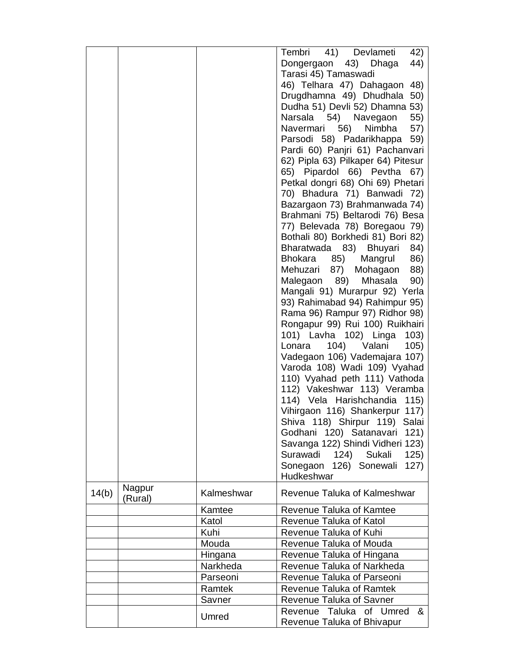|       |                   |            | 41) Devlameti<br>42)<br>Tembri<br>Dongergaon 43) Dhaga<br>44)<br>Tarasi 45) Tamaswadi<br>46) Telhara 47) Dahagaon 48)<br>Drugdhamna 49) Dhudhala 50)<br>Dudha 51) Devli 52) Dhamna 53)<br>Narsala 54) Navegaon<br>55)<br>56) Nimbha<br>Navermari<br>57)<br>Parsodi 58) Padarikhappa 59)<br>Pardi 60) Panjri 61) Pachanvari<br>62) Pipla 63) Pilkaper 64) Pitesur<br>65) Pipardol 66) Pevtha 67)<br>Petkal dongri 68) Ohi 69) Phetari<br>70) Bhadura 71) Banwadi 72)<br>Bazargaon 73) Brahmanwada 74)<br>Brahmani 75) Beltarodi 76) Besa<br>77) Belevada 78) Boregaou 79)<br>Bothali 80) Borkhedi 81) Bori 82)<br>Bharatwada 83) Bhuyari<br>84)<br>Bhokara<br>85)<br>Mangrul<br>86)<br>Mehuzari 87) Mohagaon 88)<br>Malegaon 89)<br>Mhasala<br>90)<br>Mangali 91) Murarpur 92) Yerla<br>93) Rahimabad 94) Rahimpur 95)<br>Rama 96) Rampur 97) Ridhor 98)<br>Rongapur 99) Rui 100) Ruikhairi<br>101) Lavha 102) Linga 103)<br>104) Valani<br>Lonara<br>105)<br>Vadegaon 106) Vademajara 107)<br>Varoda 108) Wadi 109) Vyahad<br>110) Vyahad peth 111) Vathoda<br>112) Vakeshwar 113) Veramba<br>114) Vela Harishchandia 115)<br>Vihirgaon 116) Shankerpur 117)<br>Shiva 118) Shirpur 119) Salai<br>Godhani 120) Satanavari<br>121)<br>Savanga 122) Shindi Vidheri 123) |
|-------|-------------------|------------|----------------------------------------------------------------------------------------------------------------------------------------------------------------------------------------------------------------------------------------------------------------------------------------------------------------------------------------------------------------------------------------------------------------------------------------------------------------------------------------------------------------------------------------------------------------------------------------------------------------------------------------------------------------------------------------------------------------------------------------------------------------------------------------------------------------------------------------------------------------------------------------------------------------------------------------------------------------------------------------------------------------------------------------------------------------------------------------------------------------------------------------------------------------------------------------------------------------------------------------------------------------------|
|       |                   |            | Surawadi<br>Sukali<br>124)<br>125)<br>Sonegaon 126) Sonewali<br>127)                                                                                                                                                                                                                                                                                                                                                                                                                                                                                                                                                                                                                                                                                                                                                                                                                                                                                                                                                                                                                                                                                                                                                                                                 |
| 14(b) | Nagpur<br>(Rural) | Kalmeshwar | Hudkeshwar<br>Revenue Taluka of Kalmeshwar                                                                                                                                                                                                                                                                                                                                                                                                                                                                                                                                                                                                                                                                                                                                                                                                                                                                                                                                                                                                                                                                                                                                                                                                                           |
|       |                   | Kamtee     | Revenue Taluka of Kamtee                                                                                                                                                                                                                                                                                                                                                                                                                                                                                                                                                                                                                                                                                                                                                                                                                                                                                                                                                                                                                                                                                                                                                                                                                                             |
|       |                   | Katol      | Revenue Taluka of Katol                                                                                                                                                                                                                                                                                                                                                                                                                                                                                                                                                                                                                                                                                                                                                                                                                                                                                                                                                                                                                                                                                                                                                                                                                                              |
|       |                   | Kuhi       | Revenue Taluka of Kuhi                                                                                                                                                                                                                                                                                                                                                                                                                                                                                                                                                                                                                                                                                                                                                                                                                                                                                                                                                                                                                                                                                                                                                                                                                                               |
|       |                   | Mouda      | Revenue Taluka of Mouda                                                                                                                                                                                                                                                                                                                                                                                                                                                                                                                                                                                                                                                                                                                                                                                                                                                                                                                                                                                                                                                                                                                                                                                                                                              |
|       |                   | Hingana    | Revenue Taluka of Hingana                                                                                                                                                                                                                                                                                                                                                                                                                                                                                                                                                                                                                                                                                                                                                                                                                                                                                                                                                                                                                                                                                                                                                                                                                                            |
|       |                   | Narkheda   | Revenue Taluka of Narkheda                                                                                                                                                                                                                                                                                                                                                                                                                                                                                                                                                                                                                                                                                                                                                                                                                                                                                                                                                                                                                                                                                                                                                                                                                                           |
|       |                   | Parseoni   | Revenue Taluka of Parseoni                                                                                                                                                                                                                                                                                                                                                                                                                                                                                                                                                                                                                                                                                                                                                                                                                                                                                                                                                                                                                                                                                                                                                                                                                                           |
|       |                   | Ramtek     | Revenue Taluka of Ramtek                                                                                                                                                                                                                                                                                                                                                                                                                                                                                                                                                                                                                                                                                                                                                                                                                                                                                                                                                                                                                                                                                                                                                                                                                                             |
|       |                   | Savner     | <b>Revenue Taluka of Savner</b>                                                                                                                                                                                                                                                                                                                                                                                                                                                                                                                                                                                                                                                                                                                                                                                                                                                                                                                                                                                                                                                                                                                                                                                                                                      |
|       |                   |            | Revenue Taluka of Umred<br>&                                                                                                                                                                                                                                                                                                                                                                                                                                                                                                                                                                                                                                                                                                                                                                                                                                                                                                                                                                                                                                                                                                                                                                                                                                         |
|       |                   | Umred      | <b>Revenue Taluka of Bhivapur</b>                                                                                                                                                                                                                                                                                                                                                                                                                                                                                                                                                                                                                                                                                                                                                                                                                                                                                                                                                                                                                                                                                                                                                                                                                                    |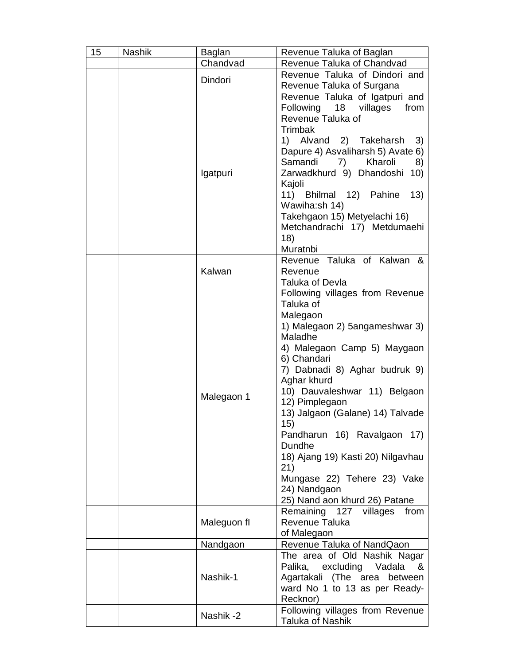| 15 | <b>Nashik</b> | Baglan      | Revenue Taluka of Baglan                                                                                                                                                                                                                                                                                                                                                                                                                                                 |
|----|---------------|-------------|--------------------------------------------------------------------------------------------------------------------------------------------------------------------------------------------------------------------------------------------------------------------------------------------------------------------------------------------------------------------------------------------------------------------------------------------------------------------------|
|    |               | Chandvad    | Revenue Taluka of Chandvad                                                                                                                                                                                                                                                                                                                                                                                                                                               |
|    |               | Dindori     | Revenue Taluka of Dindori and<br>Revenue Taluka of Surgana                                                                                                                                                                                                                                                                                                                                                                                                               |
|    |               | Igatpuri    | Revenue Taluka of Igatpuri and<br>Following<br>18<br>villages<br>from<br>Revenue Taluka of<br>Trimbak<br>1) Alvand 2) Takeharsh<br>3)<br>Dapure 4) Asvaliharsh 5) Avate 6)<br>Samandi<br>Kharoli<br>7)<br>8)<br>Zarwadkhurd 9) Dhandoshi<br>10)<br>Kajoli<br>11) Bhilmal 12) Pahine<br>13)<br>Wawiha:sh 14)<br>Takehgaon 15) Metyelachi 16)<br>Metchandrachi 17) Metdumaehi<br>18)<br>Muratnbi                                                                           |
|    |               | Kalwan      | Revenue Taluka of Kalwan &<br>Revenue<br>Taluka of Devla                                                                                                                                                                                                                                                                                                                                                                                                                 |
|    |               | Malegaon 1  | Following villages from Revenue<br>Taluka of<br>Malegaon<br>1) Malegaon 2) 5angameshwar 3)<br>Maladhe<br>4) Malegaon Camp 5) Maygaon<br>6) Chandari<br>7) Dabnadi 8) Aghar budruk 9)<br>Aghar khurd<br>10) Dauvaleshwar 11) Belgaon<br>12) Pimplegaon<br>13) Jalgaon (Galane) 14) Talvade<br>15)<br>Pandharun 16) Ravalgaon<br>17)<br>Dundhe<br>18) Ajang 19) Kasti 20) Nilgavhau<br>21)<br>Mungase 22) Tehere 23) Vake<br>24) Nandgaon<br>25) Nand aon khurd 26) Patane |
|    |               | Maleguon fl | Remaining 127 villages<br>from<br>Revenue Taluka<br>of Malegaon                                                                                                                                                                                                                                                                                                                                                                                                          |
|    |               | Nandgaon    | Revenue Taluka of NandQaon                                                                                                                                                                                                                                                                                                                                                                                                                                               |
|    |               | Nashik-1    | The area of Old Nashik Nagar<br>Palika, excluding<br>Vadala<br>&<br>Agartakali (The area between<br>ward No 1 to 13 as per Ready-<br>Recknor)                                                                                                                                                                                                                                                                                                                            |
|    |               | Nashik -2   | Following villages from Revenue<br><b>Taluka of Nashik</b>                                                                                                                                                                                                                                                                                                                                                                                                               |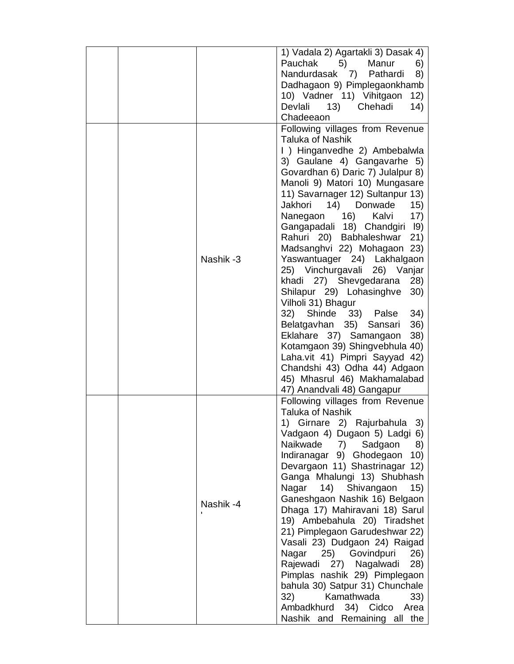|           | 1) Vadala 2) Agartakli 3) Dasak 4) |
|-----------|------------------------------------|
|           | Pauchak<br>(5)<br>Manur<br>6)      |
|           | Nandurdasak 7) Pathardi<br>8)      |
|           | Dadhagaon 9) Pimplegaonkhamb       |
|           | 10) Vadner 11) Vihitgaon<br>12)    |
|           | Devlali<br>13)<br>Chehadi<br>(14)  |
|           | Chadeeaon                          |
|           | Following villages from Revenue    |
|           | <b>Taluka of Nashik</b>            |
|           | I) Hinganvedhe 2) Ambebalwla       |
|           | 3) Gaulane 4) Gangavarhe 5)        |
|           | Govardhan 6) Daric 7) Julalpur 8)  |
|           | Manoli 9) Matori 10) Mungasare     |
|           | 11) Savarnager 12) Sultanpur 13)   |
|           | Jakhori 14) Donwade<br>15)         |
|           | 16)<br>Kalvi<br>Nanegaon<br>17)    |
|           | Gangapadali 18) Chandgiri I9)      |
|           | Rahuri 20) Babhaleshwar<br>21)     |
|           | Madsanghvi 22) Mohagaon 23)        |
| Nashik -3 | Yaswantuager 24) Lakhalgaon        |
|           | 25) Vinchurgavali 26) Vanjar       |
|           | khadi 27) Shevgedarana<br>28)      |
|           | Shilapur 29) Lohasinghve<br>30)    |
|           | Vilholi 31) Bhagur                 |
|           | 32) Shinde 33) Palse<br>34)        |
|           | Belatgavhan 35) Sansari<br>36)     |
|           | Eklahare 37) Samangaon<br>38)      |
|           | Kotamgaon 39) Shingvebhula 40)     |
|           | Laha.vit 41) Pimpri Sayyad 42)     |
|           | Chandshi 43) Odha 44) Adgaon       |
|           | 45) Mhasrul 46) Makhamalabad       |
|           | 47) Anandvali 48) Gangapur         |
|           | Following villages from Revenue    |
|           | <b>Taluka of Nashik</b>            |
|           | 1) Girnare 2) Rajurbahula 3)       |
|           | Vadgaon 4) Dugaon 5) Ladgi 6)      |
|           | Naikwade<br>Sadgaon<br>7)<br>8)    |
|           | Indiranagar 9) Ghodegaon<br>10)    |
|           | Devargaon 11) Shastrinagar 12)     |
|           | Ganga Mhalungi 13) Shubhash        |
|           | 14) Shivangaon<br>Nagar<br>15)     |
|           | Ganeshgaon Nashik 16) Belgaon      |
| Nashik -4 | Dhaga 17) Mahiravani 18) Sarul     |
|           | 19) Ambebahula 20) Tiradshet       |
|           | 21) Pimplegaon Garudeshwar 22)     |
|           | Vasali 23) Dudgaon 24) Raigad      |
|           | Nagar<br>25) Govindpuri<br>26)     |
|           | Rajewadi 27) Nagalwadi<br>28)      |
|           | Pimplas nashik 29) Pimplegaon      |
|           | bahula 30) Satpur 31) Chunchale    |
|           | 32)<br>Kamathwada<br>33)           |
|           | Ambadkhurd 34) Cidco<br>Area       |
|           | Nashik and Remaining all the       |
|           |                                    |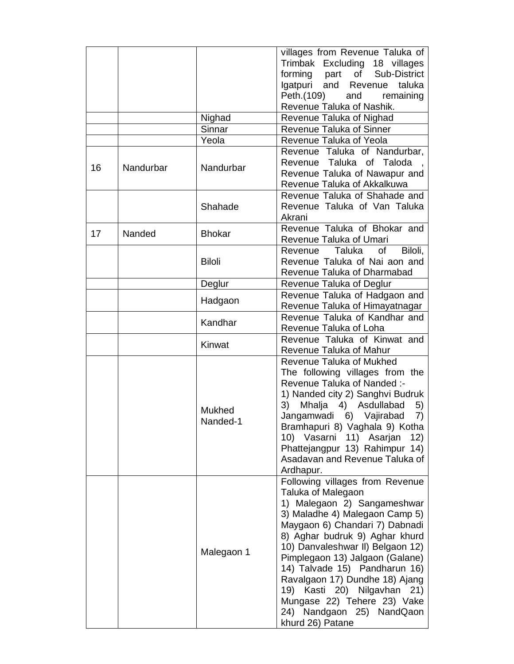|    |           |                    | villages from Revenue Taluka of<br>Excluding 18 villages<br>Trimbak<br>forming part of Sub-District<br>Igatpuri and Revenue<br>taluka<br>Peth.(109)<br>remaining<br>and<br>Revenue Taluka of Nashik.                                                                                                                                                                                                                                                   |
|----|-----------|--------------------|--------------------------------------------------------------------------------------------------------------------------------------------------------------------------------------------------------------------------------------------------------------------------------------------------------------------------------------------------------------------------------------------------------------------------------------------------------|
|    |           | Nighad             | Revenue Taluka of Nighad                                                                                                                                                                                                                                                                                                                                                                                                                               |
|    |           | Sinnar             | <b>Revenue Taluka of Sinner</b>                                                                                                                                                                                                                                                                                                                                                                                                                        |
|    |           | Yeola              | Revenue Taluka of Yeola                                                                                                                                                                                                                                                                                                                                                                                                                                |
| 16 | Nandurbar | Nandurbar          | Revenue Taluka of Nandurbar,<br>Revenue Taluka of Taloda<br>Revenue Taluka of Nawapur and<br>Revenue Taluka of Akkalkuwa                                                                                                                                                                                                                                                                                                                               |
|    |           | Shahade            | Revenue Taluka of Shahade and<br>Revenue Taluka of Van Taluka<br>Akrani                                                                                                                                                                                                                                                                                                                                                                                |
| 17 | Nanded    | <b>Bhokar</b>      | Revenue Taluka of Bhokar and<br>Revenue Taluka of Umari                                                                                                                                                                                                                                                                                                                                                                                                |
|    |           | <b>Biloli</b>      | Taluka<br>of<br>Biloli,<br>Revenue<br>Revenue Taluka of Nai aon and<br>Revenue Taluka of Dharmabad                                                                                                                                                                                                                                                                                                                                                     |
|    |           | Deglur             | Revenue Taluka of Deglur                                                                                                                                                                                                                                                                                                                                                                                                                               |
|    |           | Hadgaon            | Revenue Taluka of Hadgaon and<br>Revenue Taluka of Himayatnagar                                                                                                                                                                                                                                                                                                                                                                                        |
|    |           | Kandhar            | Revenue Taluka of Kandhar and<br>Revenue Taluka of Loha                                                                                                                                                                                                                                                                                                                                                                                                |
|    |           | Kinwat             | Revenue Taluka of Kinwat and<br><b>Revenue Taluka of Mahur</b>                                                                                                                                                                                                                                                                                                                                                                                         |
|    |           | Mukhed<br>Nanded-1 | <b>Revenue Taluka of Mukhed</b><br>The following villages from the<br>Revenue Taluka of Nanded :-<br>1) Nanded city 2) Sanghvi Budruk<br>3)<br>Mhalja 4) Asdullabad<br>5)<br>7)<br>Jangamwadi 6) Vajirabad<br>Bramhapuri 8) Vaghala 9) Kotha<br>10) Vasarni 11) Asarjan<br>12)<br>Phattejangpur 13) Rahimpur 14)<br>Asadavan and Revenue Taluka of<br>Ardhapur.                                                                                        |
|    |           | Malegaon 1         | Following villages from Revenue<br>Taluka of Malegaon<br>1) Malegaon 2) Sangameshwar<br>3) Maladhe 4) Malegaon Camp 5)<br>Maygaon 6) Chandari 7) Dabnadi<br>8) Aghar budruk 9) Aghar khurd<br>10) Danvaleshwar II) Belgaon 12)<br>Pimplegaon 13) Jalgaon (Galane)<br>14) Talvade 15) Pandharun 16)<br>Ravalgaon 17) Dundhe 18) Ajang<br>19) Kasti 20) Nilgavhan<br>21)<br>Mungase 22) Tehere 23) Vake<br>24) Nandgaon 25) NandQaon<br>khurd 26) Patane |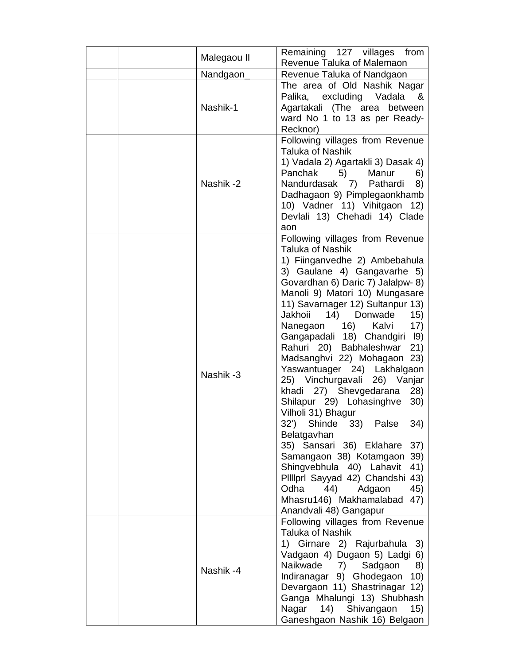|  | Malegaou II | Remaining 127 villages from<br>Revenue Taluka of Malemaon                                                                                                                                                                                                                                                                                                                                                                                                                                                                                                                                                                                                                                                                                                                                                                                   |
|--|-------------|---------------------------------------------------------------------------------------------------------------------------------------------------------------------------------------------------------------------------------------------------------------------------------------------------------------------------------------------------------------------------------------------------------------------------------------------------------------------------------------------------------------------------------------------------------------------------------------------------------------------------------------------------------------------------------------------------------------------------------------------------------------------------------------------------------------------------------------------|
|  | Nandgaon    | Revenue Taluka of Nandgaon                                                                                                                                                                                                                                                                                                                                                                                                                                                                                                                                                                                                                                                                                                                                                                                                                  |
|  | Nashik-1    | The area of Old Nashik Nagar<br>Palika, excluding Vadala<br>&<br>Agartakali (The area between<br>ward No 1 to 13 as per Ready-<br>Recknor)                                                                                                                                                                                                                                                                                                                                                                                                                                                                                                                                                                                                                                                                                                  |
|  | Nashik -2   | Following villages from Revenue<br><b>Taluka of Nashik</b><br>1) Vadala 2) Agartakli 3) Dasak 4)<br>Manur<br>Panchak<br>5)<br>6)<br>Nandurdasak 7) Pathardi<br>8)<br>Dadhagaon 9) Pimplegaonkhamb<br>10) Vadner 11) Vihitgaon 12)<br>Devlali 13) Chehadi 14) Clade<br>aon                                                                                                                                                                                                                                                                                                                                                                                                                                                                                                                                                                   |
|  | Nashik -3   | Following villages from Revenue<br><b>Taluka of Nashik</b><br>1) Fiinganvedhe 2) Ambebahula<br>3) Gaulane 4) Gangavarhe 5)<br>Govardhan 6) Daric 7) Jalalpw-8)<br>Manoli 9) Matori 10) Mungasare<br>11) Savarnager 12) Sultanpur 13)<br>14) Donwade<br>Jakhoii<br>15)<br>Nanegaon<br>16)<br>Kalvi<br>17)<br>Gangapadali 18) Chandgiri I9)<br>Rahuri 20) Babhaleshwar 21)<br>Madsanghvi 22) Mohagaon 23)<br>Yaswantuager 24) Lakhalgaon<br>25) Vinchurgavali 26) Vanjar<br>khadi 27) Shevgedarana 28)<br>Shilapur 29) Lohasinghve 30)<br>Vilholi 31) Bhagur<br>32') Shinde 33) Palse<br>34)<br>Belatgavhan<br>35) Sansari 36) Eklahare<br>37)<br>Samangaon 38) Kotamgaon 39)<br>Shingvebhula 40) Lahavit<br>41)<br>Pillipri Sayyad 42) Chandshi 43)<br>44) Adgaon<br>Odha<br>45)<br>Mhasru146) Makhamalabad<br>47)<br>Anandvali 48) Gangapur |
|  | Nashik -4   | Following villages from Revenue<br><b>Taluka of Nashik</b><br>1) Girnare 2) Rajurbahula 3)<br>Vadgaon 4) Dugaon 5) Ladgi 6)<br>Naikwade 7)<br>Sadgaon<br>8)<br>Indiranagar 9) Ghodegaon<br>10)<br>Devargaon 11) Shastrinagar 12)<br>Ganga Mhalungi 13) Shubhash<br>Nagar 14) Shivangaon<br>15)<br>Ganeshgaon Nashik 16) Belgaon                                                                                                                                                                                                                                                                                                                                                                                                                                                                                                             |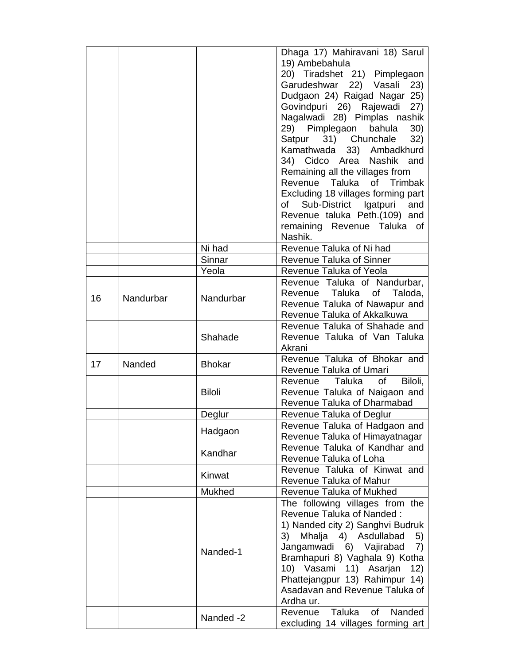|    |           |                  | Dhaga 17) Mahiravani 18) Sarul      |
|----|-----------|------------------|-------------------------------------|
|    |           |                  | 19) Ambebahula                      |
|    |           |                  | 20) Tiradshet 21) Pimplegaon        |
|    |           |                  | Garudeshwar 22) Vasali<br>23)       |
|    |           |                  | Dudgaon 24) Raigad Nagar 25)        |
|    |           |                  | Govindpuri 26) Rajewadi<br>27)      |
|    |           |                  | Nagalwadi 28) Pimplas nashik        |
|    |           |                  | 29) Pimplegaon<br>bahula<br>30)     |
|    |           |                  | Satpur 31) Chunchale<br>32)         |
|    |           |                  | Kamathwada<br>33) Ambadkhurd        |
|    |           |                  | 34) Cidco Area Nashik and           |
|    |           |                  | Remaining all the villages from     |
|    |           |                  | Taluka<br>Revenue<br>of<br>Trimbak  |
|    |           |                  | Excluding 18 villages forming part  |
|    |           |                  |                                     |
|    |           |                  | Sub-District Igatpuri<br>and<br>of  |
|    |           |                  | Revenue taluka Peth.(109) and       |
|    |           |                  | remaining Revenue Taluka of         |
|    |           |                  | Nashik.<br>Revenue Taluka of Ni had |
|    |           | Ni had<br>Sinnar | Revenue Taluka of Sinner            |
|    |           | Yeola            | Revenue Taluka of Yeola             |
|    |           |                  |                                     |
|    |           |                  | Revenue Taluka of Nandurbar,        |
| 16 | Nandurbar | Nandurbar        | Taluka<br>of<br>Taloda,<br>Revenue  |
|    |           |                  | Revenue Taluka of Nawapur and       |
|    |           |                  | Revenue Taluka of Akkalkuwa         |
|    |           |                  | Revenue Taluka of Shahade and       |
|    |           | Shahade          | Revenue Taluka of Van Taluka        |
|    |           |                  | Akrani                              |
| 17 | Nanded    | <b>Bhokar</b>    | Revenue Taluka of Bhokar and        |
|    |           |                  | <b>Revenue Taluka of Umari</b>      |
|    |           |                  | Taluka<br>of<br>Biloli,<br>Revenue  |
|    |           | <b>Biloli</b>    | Revenue Taluka of Naigaon and       |
|    |           |                  | Revenue Taluka of Dharmabad         |
|    |           | Deglur           | Revenue Taluka of Deglur            |
|    |           | Hadgaon          | Revenue Taluka of Hadgaon and       |
|    |           |                  | Revenue Taluka of Himayatnagar      |
|    |           | Kandhar          | Revenue Taluka of Kandhar and       |
|    |           |                  | Revenue Taluka of Loha              |
|    |           | Kinwat           | Revenue Taluka of Kinwat and        |
|    |           |                  | Revenue Taluka of Mahur             |
|    |           | Mukhed           | Revenue Taluka of Mukhed            |
|    |           |                  | The following villages from the     |
|    |           |                  | Revenue Taluka of Nanded:           |
|    |           |                  | 1) Nanded city 2) Sanghvi Budruk    |
|    |           |                  | 3)<br>Mhalja<br>4) Asdullabad<br>5) |
|    |           |                  | Jangamwadi 6) Vajirabad<br>7)       |
|    |           | Nanded-1         | Bramhapuri 8) Vaghala 9) Kotha      |
|    |           |                  | 10) Vasami 11) Asarjan<br>12)       |
|    |           |                  | Phattejangpur 13) Rahimpur 14)      |
|    |           |                  | Asadavan and Revenue Taluka of      |
|    |           |                  | Ardha ur.                           |
|    |           |                  | Taluka<br>of<br>Nanded<br>Revenue   |
|    |           | Nanded -2        | excluding 14 villages forming art   |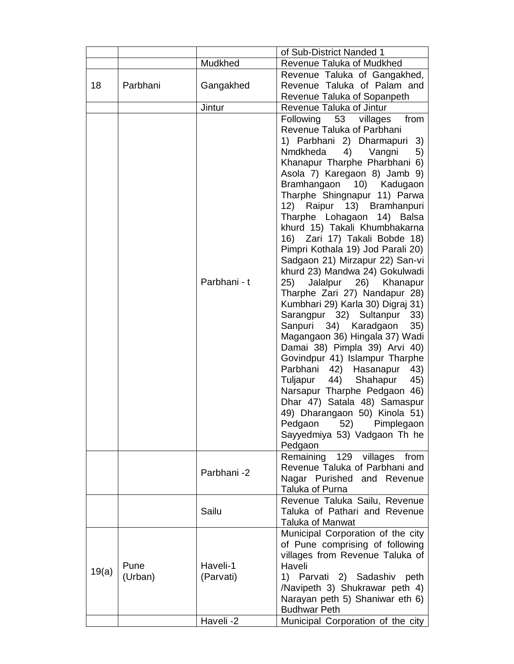|       |                 |                                   | of Sub-District Nanded 1                                                                                                                                                                                                                                                                                                                                                                                                                                                                                                                                                                                                                                                                                                                                                                                                                                                                                                                                                                                                |
|-------|-----------------|-----------------------------------|-------------------------------------------------------------------------------------------------------------------------------------------------------------------------------------------------------------------------------------------------------------------------------------------------------------------------------------------------------------------------------------------------------------------------------------------------------------------------------------------------------------------------------------------------------------------------------------------------------------------------------------------------------------------------------------------------------------------------------------------------------------------------------------------------------------------------------------------------------------------------------------------------------------------------------------------------------------------------------------------------------------------------|
|       |                 | Mudkhed                           | <b>Revenue Taluka of Mudkhed</b>                                                                                                                                                                                                                                                                                                                                                                                                                                                                                                                                                                                                                                                                                                                                                                                                                                                                                                                                                                                        |
| 18    | Parbhani        | Gangakhed                         | Revenue Taluka of Gangakhed,<br>Revenue Taluka of Palam and                                                                                                                                                                                                                                                                                                                                                                                                                                                                                                                                                                                                                                                                                                                                                                                                                                                                                                                                                             |
|       |                 | Jintur                            | Revenue Taluka of Sopanpeth<br>Revenue Taluka of Jintur                                                                                                                                                                                                                                                                                                                                                                                                                                                                                                                                                                                                                                                                                                                                                                                                                                                                                                                                                                 |
|       |                 |                                   | Following 53 villages from                                                                                                                                                                                                                                                                                                                                                                                                                                                                                                                                                                                                                                                                                                                                                                                                                                                                                                                                                                                              |
|       |                 | Parbhani - t                      | Revenue Taluka of Parbhani<br>1) Parbhani 2) Dharmapuri 3)<br>4) Vangni<br>Nmdkheda<br>5)<br>Khanapur Tharphe Pharbhani 6)<br>Asola 7) Karegaon 8) Jamb 9)<br>Bramhangaon 10) Kadugaon<br>Tharphe Shingnapur 11) Parwa<br>12) Raipur 13) Bramhanpuri<br>Tharphe Lohagaon 14) Balsa<br>khurd 15) Takali Khumbhakarna<br>Zari 17) Takali Bobde 18)<br>16)<br>Pimpri Kothala 19) Jod Parali 20)<br>Sadgaon 21) Mirzapur 22) San-vi<br>khurd 23) Mandwa 24) Gokulwadi<br>25) Jalalpur 26) Khanapur<br>Tharphe Zari 27) Nandapur 28)<br>Kumbhari 29) Karla 30) Digraj 31)<br>Sarangpur 32) Sultanpur<br>33)<br>Sanpuri 34) Karadgaon<br>35)<br>Magangaon 36) Hingala 37) Wadi<br>Damai 38) Pimpla 39) Arvi 40)<br>Govindpur 41) Islampur Tharphe<br>Parbhani 42) Hasanapur<br>43)<br>Tuljapur<br>44) Shahapur<br>45)<br>Narsapur Tharphe Pedgaon 46)<br>Dhar 47) Satala 48) Samaspur<br>49) Dharangaon 50) Kinola 51)<br>Pedgaon 52) Pimplegaon<br>Sayyedmiya 53) Vadgaon Th he<br>Pedgaon<br>Remaining 129 villages<br>from |
|       |                 | Parbhani-2                        | Revenue Taluka of Parbhani and<br>Nagar Purished and Revenue<br>Taluka of Purna                                                                                                                                                                                                                                                                                                                                                                                                                                                                                                                                                                                                                                                                                                                                                                                                                                                                                                                                         |
|       |                 | Sailu                             | Revenue Taluka Sailu, Revenue<br>Taluka of Pathari and Revenue<br><b>Taluka of Manwat</b>                                                                                                                                                                                                                                                                                                                                                                                                                                                                                                                                                                                                                                                                                                                                                                                                                                                                                                                               |
| 19(a) | Pune<br>(Urban) | Haveli-1<br>(Parvati)<br>Haveli-2 | Municipal Corporation of the city<br>of Pune comprising of following<br>villages from Revenue Taluka of<br>Haveli<br>1) Parvati 2) Sadashiv peth<br>/Navipeth 3) Shukrawar peth 4)<br>Narayan peth 5) Shaniwar eth 6)<br><b>Budhwar Peth</b><br>Municipal Corporation of the city                                                                                                                                                                                                                                                                                                                                                                                                                                                                                                                                                                                                                                                                                                                                       |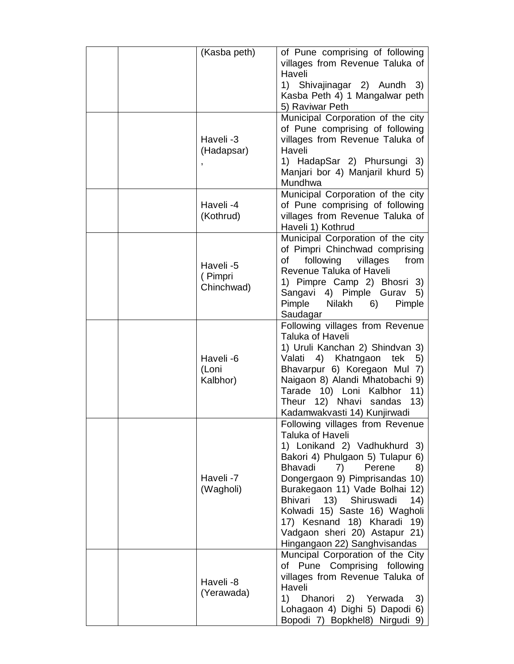| (Kasba peth)                                       | of Pune comprising of following<br>villages from Revenue Taluka of<br>Haveli<br>1) Shivajinagar 2) Aundh 3)<br>Kasba Peth 4) 1 Mangalwar peth<br>5) Raviwar Peth                                                                                                                                                                                                                                         |
|----------------------------------------------------|----------------------------------------------------------------------------------------------------------------------------------------------------------------------------------------------------------------------------------------------------------------------------------------------------------------------------------------------------------------------------------------------------------|
| Haveli-3<br>(Hadapsar)<br>$\overline{\phantom{a}}$ | Municipal Corporation of the city<br>of Pune comprising of following<br>villages from Revenue Taluka of<br>Haveli<br>1) HadapSar 2) Phursungi 3)<br>Manjari bor 4) Manjaril khurd 5)<br>Mundhwa                                                                                                                                                                                                          |
| Haveli-4<br>(Kothrud)                              | Municipal Corporation of the city<br>of Pune comprising of following<br>villages from Revenue Taluka of<br>Haveli 1) Kothrud                                                                                                                                                                                                                                                                             |
| Haveli-5<br>(Pimpri<br>Chinchwad)                  | Municipal Corporation of the city<br>of Pimpri Chinchwad comprising<br>following villages<br>from<br>of<br>Revenue Taluka of Haveli<br>1) Pimpre Camp 2) Bhosri 3)<br>Sangavi 4) Pimple Gurav<br>5)<br>Pimple<br>Nilakh 6)<br>Pimple<br>Saudagar                                                                                                                                                         |
| Haveli-6<br>(Loni<br>Kalbhor)                      | Following villages from Revenue<br>Taluka of Haveli<br>1) Uruli Kanchan 2) Shindvan 3)<br>Khatngaon<br>Valati<br>4)<br>tek<br>5)<br>Bhavarpur 6) Koregaon Mul 7)<br>Naigaon 8) Alandi Mhatobachi 9)<br>Tarade 10) Loni Kalbhor<br>11)<br>Theur 12) Nhavi sandas<br>13)<br>Kadamwakvasti 14) Kunjirwadi                                                                                                   |
| Haveli-7<br>(Wagholi)                              | Following villages from Revenue<br>Taluka of Haveli<br>1) Lonikand 2) Vadhukhurd 3)<br>Bakori 4) Phulgaon 5) Tulapur 6)<br>Bhavadi<br>Perene<br>7)<br>8)<br>Dongergaon 9) Pimprisandas 10)<br>Burakegaon 11) Vade Bolhai 12)<br><b>Bhivari</b><br>13) Shiruswadi<br>14)<br>Kolwadi 15) Saste 16) Wagholi<br>17) Kesnand 18) Kharadi 19)<br>Vadgaon sheri 20) Astapur 21)<br>Hingangaon 22) Sanghvisandas |
| Haveli-8<br>(Yerawada)                             | Muncipal Corporation of the City<br>of Pune Comprising following<br>villages from Revenue Taluka of<br>Haveli<br>1)<br>Dhanori 2) Yerwada<br>3)<br>Lohagaon 4) Dighi 5) Dapodi 6)<br>Bopodi 7) Bopkhel8) Nirgudi 9)                                                                                                                                                                                      |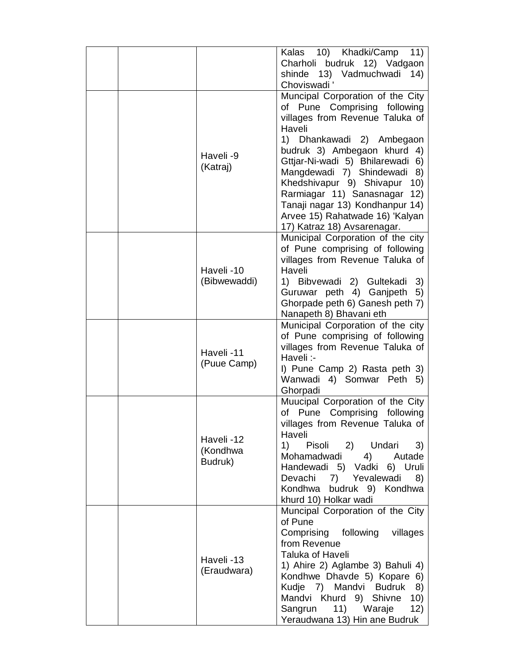|                                  | Kalas 10) Khadki/Camp<br>11)<br>Charholi budruk 12) Vadgaon<br>shinde 13) Vadmuchwadi 14)<br>Choviswadi'                                                                                                                                                                                                                                                                                                                |
|----------------------------------|-------------------------------------------------------------------------------------------------------------------------------------------------------------------------------------------------------------------------------------------------------------------------------------------------------------------------------------------------------------------------------------------------------------------------|
| Haveli-9<br>(Katraj)             | Muncipal Corporation of the City<br>of Pune Comprising following<br>villages from Revenue Taluka of<br>Haveli<br>1) Dhankawadi 2) Ambegaon<br>budruk 3) Ambegaon khurd 4)<br>Gttjar-Ni-wadi 5) Bhilarewadi 6)<br>Mangdewadi 7) Shindewadi 8)<br>Khedshivapur 9) Shivapur<br>10)<br>Rarmiagar 11) Sanasnagar<br>12)<br>Tanaji nagar 13) Kondhanpur 14)<br>Arvee 15) Rahatwade 16) 'Kalyan<br>17) Katraz 18) Avsarenagar. |
| Haveli-10<br>(Bibwewaddi)        | Municipal Corporation of the city<br>of Pune comprising of following<br>villages from Revenue Taluka of<br>Haveli<br>1) Bibvewadi 2) Gultekadi 3)<br>Guruwar peth 4) Ganjpeth<br>- 5)<br>Ghorpade peth 6) Ganesh peth 7)<br>Nanapeth 8) Bhavani eth                                                                                                                                                                     |
| Haveli-11<br>(Puue Camp)         | Municipal Corporation of the city<br>of Pune comprising of following<br>villages from Revenue Taluka of<br>Haveli:-<br>I) Pune Camp 2) Rasta peth 3)<br>Wanwadi 4) Somwar Peth 5)<br>Ghorpadi                                                                                                                                                                                                                           |
| Haveli-12<br>(Kondhwa<br>Budruk) | Muucipal Corporation of the City<br>of Pune Comprising following<br>villages from Revenue Taluka of<br>Haveli<br>Pisoli 2) Undari<br>1)<br>3)<br>Mohamadwadi<br>4)<br>Autade<br>Handewadi 5) Vadki<br>6) Uruli<br>Devachi 7)<br>Yevalewadi<br>8)<br>Kondhwa<br>budruk 9) Kondhwa<br>khurd 10) Holkar wadi                                                                                                               |
| Haveli-13<br>(Eraudwara)         | Muncipal Corporation of the City<br>of Pune<br>Comprising following<br>villages<br>from Revenue<br>Taluka of Haveli<br>1) Ahire 2) Aglambe 3) Bahuli 4)<br>Kondhwe Dhavde 5) Kopare 6)<br>Kudje 7) Mandvi Budruk<br>8)<br>Mandvi Khurd 9) Shivne<br>10)<br>11) Waraje<br>Sangrun<br>12)<br>Yeraudwana 13) Hin ane Budruk                                                                                                |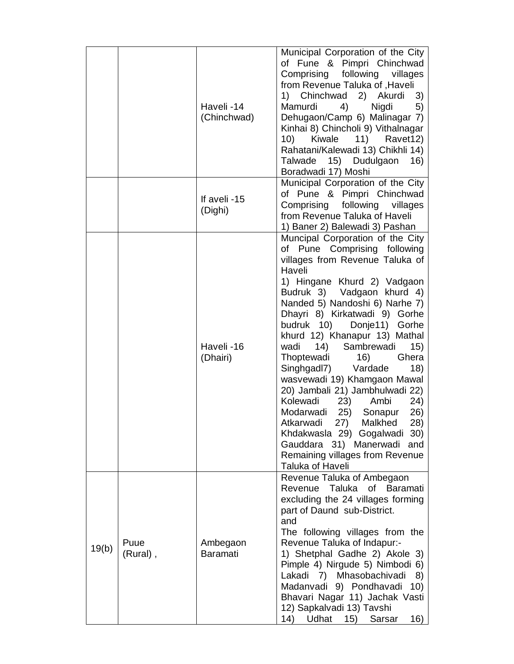|       |                  | Haveli-14<br>(Chinchwad) | Municipal Corporation of the City<br>of Fune & Pimpri Chinchwad<br>Comprising following villages<br>from Revenue Taluka of , Haveli<br>1) Chinchwad 2) Akurdi<br>3)<br>Nigdi<br>Mamurdi<br>4)<br>5)<br>Dehugaon/Camp 6) Malinagar 7)<br>Kinhai 8) Chincholi 9) Vithalnagar<br>11)<br>10)<br>Kiwale<br>Ravet12)<br>Rahatani/Kalewadi 13) Chikhli 14)<br>Talwade 15) Dudulgaon<br>16)<br>Boradwadi 17) Moshi                                                                                                                                                                                                                                                                                                     |
|-------|------------------|--------------------------|----------------------------------------------------------------------------------------------------------------------------------------------------------------------------------------------------------------------------------------------------------------------------------------------------------------------------------------------------------------------------------------------------------------------------------------------------------------------------------------------------------------------------------------------------------------------------------------------------------------------------------------------------------------------------------------------------------------|
|       |                  | If aveli -15<br>(Dighi)  | Municipal Corporation of the City<br>of Pune & Pimpri Chinchwad<br>Comprising following villages<br>from Revenue Taluka of Haveli<br>1) Baner 2) Balewadi 3) Pashan                                                                                                                                                                                                                                                                                                                                                                                                                                                                                                                                            |
|       |                  | Haveli-16<br>(Dhairi)    | Muncipal Corporation of the City<br>of Pune Comprising following<br>villages from Revenue Taluka of<br>Haveli<br>1) Hingane Khurd 2) Vadgaon<br>Budruk 3) Vadgaon khurd 4)<br>Nanded 5) Nandoshi 6) Narhe 7)<br>Dhayri 8) Kirkatwadi 9) Gorhe<br>budruk 10)<br>Donje11) Gorhe<br>khurd 12) Khanapur 13) Mathal<br>Sambrewadi<br>14)<br>15)<br>wadi<br>Thoptewadi<br>16)<br>Ghera<br>Singhgadl7)<br>18)<br>Vardade<br>wasvewadi 19) Khamgaon Mawal<br>20) Jambali 21) Jambhulwadi 22)<br>Kolewadi<br>23)<br>Ambi<br>24)<br>Modarwadi 25) Sonapur<br>26)<br>Atkarwadi 27) Malkhed<br>28)<br>Khdakwasla 29) Gogalwadi 30)<br>Gauddara 31) Manerwadi<br>and<br>Remaining villages from Revenue<br>Taluka of Haveli |
| 19(b) | Puue<br>(Rural), | Ambegaon<br>Baramati     | Revenue Taluka of Ambegaon<br>Revenue Taluka of Baramati<br>excluding the 24 villages forming<br>part of Daund sub-District.<br>and<br>The following villages from the<br>Revenue Taluka of Indapur:-<br>1) Shetphal Gadhe 2) Akole 3)<br>Pimple 4) Nirgude 5) Nimbodi 6)<br>Lakadi<br>Mhasobachivadi<br>7)<br>8)<br>Madanvadi 9) Pondhavadi<br>10)<br>Bhavari Nagar 11) Jachak Vasti<br>12) Sapkalvadi 13) Tavshi<br>Udhat<br>14)<br>15)<br>Sarsar<br>16)                                                                                                                                                                                                                                                     |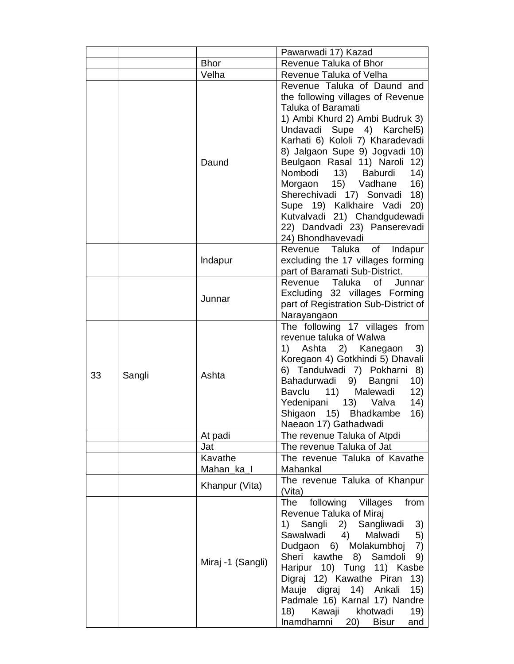|    |        |                       | Pawarwadi 17) Kazad                                                                                                                                                                                                                                                                                                                                                                                                                                                        |
|----|--------|-----------------------|----------------------------------------------------------------------------------------------------------------------------------------------------------------------------------------------------------------------------------------------------------------------------------------------------------------------------------------------------------------------------------------------------------------------------------------------------------------------------|
|    |        | <b>Bhor</b>           | Revenue Taluka of Bhor                                                                                                                                                                                                                                                                                                                                                                                                                                                     |
|    |        | Velha                 | Revenue Taluka of Velha                                                                                                                                                                                                                                                                                                                                                                                                                                                    |
|    |        | Daund                 | Revenue Taluka of Daund and<br>the following villages of Revenue<br><b>Taluka of Baramati</b><br>1) Ambi Khurd 2) Ambi Budruk 3)<br>Undavadi Supe 4) Karchel5)<br>Karhati 6) Kololi 7) Kharadevadi<br>8) Jalgaon Supe 9) Jogvadi 10)<br>Beulgaon Rasal 11) Naroli<br>12)<br>Nombodi 13) Baburdi<br>(14)<br>Morgaon 15) Vadhane<br>16)<br>Sherechivadi 17) Sonvadi<br>18)<br>Supe 19) Kalkhaire Vadi<br>20)<br>Kutvalvadi 21) Chandgudewadi<br>22) Dandvadi 23) Panserevadi |
|    |        | Indapur               | 24) Bhondhavevadi<br>Taluka<br>Revenue<br>of<br>Indapur<br>excluding the 17 villages forming<br>part of Baramati Sub-District.                                                                                                                                                                                                                                                                                                                                             |
|    |        | Junnar                | Revenue Taluka<br>of Junnar<br>Excluding 32 villages Forming<br>part of Registration Sub-District of<br>Narayangaon                                                                                                                                                                                                                                                                                                                                                        |
| 33 | Sangli | Ashta                 | The following 17 villages from<br>revenue taluka of Walwa<br>1)<br>Ashta 2)<br>Kanegaon<br>3)<br>Koregaon 4) Gotkhindi 5) Dhavali<br>6) Tandulwadi 7) Pokharni<br>8)<br>Bahadurwadi<br>9)<br>Bangni<br>10)<br>Bavclu 11) Malewadi<br>12)<br>Yedenipani 13) Valva<br>14)<br>Shigaon 15) Bhadkambe<br>16)<br>Naeaon 17) Gathadwadi                                                                                                                                           |
|    |        | At padi               | The revenue Taluka of Atpdi                                                                                                                                                                                                                                                                                                                                                                                                                                                |
|    |        | Jat                   | The revenue Taluka of Jat                                                                                                                                                                                                                                                                                                                                                                                                                                                  |
|    |        | Kavathe<br>Mahan ka I | The revenue Taluka of Kavathe<br>Mahankal                                                                                                                                                                                                                                                                                                                                                                                                                                  |
|    |        | Khanpur (Vita)        | The revenue Taluka of Khanpur<br>(Vita)                                                                                                                                                                                                                                                                                                                                                                                                                                    |
|    |        | Miraj -1 (Sangli)     | following Villages<br>The<br>from<br>Revenue Taluka of Miraj<br>1)<br>Sangli<br>2)<br>Sangliwadi<br>3)<br>Sawalwadi<br>4)<br>Malwadi<br>5)<br>Dudgaon<br>Molakumbhoj<br>7)<br>6)<br>Sheri<br>kawthe<br>8) Samdoli<br>9)<br>Haripur 10) Tung 11) Kasbe<br>Digraj 12) Kawathe Piran<br>13)<br>Mauje<br>digraj<br>14) Ankali<br>15)<br>Padmale 16) Karnal 17) Nandre<br>Kawaji<br>khotwadi<br>18)<br>19)<br>Inamdhamni<br>20)<br><b>Bisur</b><br>and                          |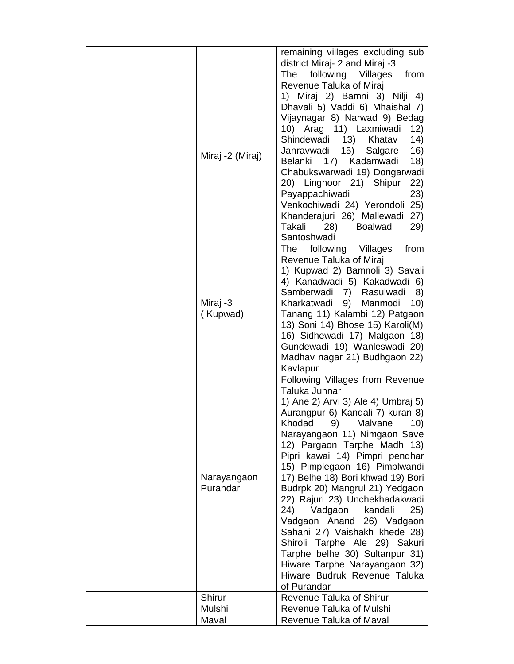|                         | remaining villages excluding sub                                                                                                                                                                                                                                                                                                                                                                                                                                                                                                                                                                                                                    |
|-------------------------|-----------------------------------------------------------------------------------------------------------------------------------------------------------------------------------------------------------------------------------------------------------------------------------------------------------------------------------------------------------------------------------------------------------------------------------------------------------------------------------------------------------------------------------------------------------------------------------------------------------------------------------------------------|
|                         | district Miraj- 2 and Miraj -3                                                                                                                                                                                                                                                                                                                                                                                                                                                                                                                                                                                                                      |
| Miraj -2 (Miraj)        | following Villages<br>The<br>from<br>Revenue Taluka of Miraj<br>1) Miraj 2) Bamni 3) Nilji 4)<br>Dhavali 5) Vaddi 6) Mhaishal 7)<br>Vijaynagar 8) Narwad 9) Bedag<br>10) Arag 11) Laxmiwadi<br>12)<br>Shindewadi 13) Khatav<br>14)<br>15)<br>Janravwadi<br>Salgare<br>16)<br>Belanki 17) Kadamwadi<br>18)<br>Chabukswarwadi 19) Dongarwadi<br>20) Lingnoor 21) Shipur<br>22)<br>Payappachiwadi<br>23)<br>Venkochiwadi 24) Yerondoli 25)<br>Khanderajuri 26) Mallewadi 27)<br><b>Takali</b><br><b>Boalwad</b><br>28)<br>29)<br>Santoshwadi                                                                                                           |
| Miraj -3<br>(Kupwad)    | from<br>The<br>following Villages<br>Revenue Taluka of Miraj<br>1) Kupwad 2) Bamnoli 3) Savali<br>4) Kanadwadi 5) Kakadwadi 6)<br>Samberwadi 7)<br>Rasulwadi<br>8)<br>9)<br>Kharkatwadi<br>Manmodi<br>10)<br>Tanang 11) Kalambi 12) Patgaon<br>13) Soni 14) Bhose 15) Karoli(M)<br>16) Sidhewadi 17) Malgaon 18)<br>Gundewadi 19) Wanleswadi 20)<br>Madhav nagar 21) Budhgaon 22)<br>Kavlapur                                                                                                                                                                                                                                                       |
| Narayangaon<br>Purandar | Following Villages from Revenue<br>Taluka Junnar<br>1) Ane 2) Arvi 3) Ale 4) Umbraj 5)<br>Aurangpur 6) Kandali 7) kuran 8)<br>Khodad 9) Malvane 10)<br>Narayangaon 11) Nimgaon Save<br>12) Pargaon Tarphe Madh 13)<br>Pipri kawai 14) Pimpri pendhar<br>15) Pimplegaon 16) Pimplwandi<br>17) Belhe 18) Bori khwad 19) Bori<br>Budrpk 20) Mangrul 21) Yedgaon<br>22) Rajuri 23) Unchekhadakwadi<br>24)<br>Vadgaon<br>kandali<br>25)<br>Vadgaon Anand 26) Vadgaon<br>Sahani 27) Vaishakh khede 28)<br>Shiroli Tarphe Ale 29) Sakuri<br>Tarphe belhe 30) Sultanpur 31)<br>Hiware Tarphe Narayangaon 32)<br>Hiware Budruk Revenue Taluka<br>of Purandar |
| Shirur                  | Revenue Taluka of Shirur                                                                                                                                                                                                                                                                                                                                                                                                                                                                                                                                                                                                                            |
| Mulshi                  | Revenue Taluka of Mulshi                                                                                                                                                                                                                                                                                                                                                                                                                                                                                                                                                                                                                            |
| Maval                   | Revenue Taluka of Maval                                                                                                                                                                                                                                                                                                                                                                                                                                                                                                                                                                                                                             |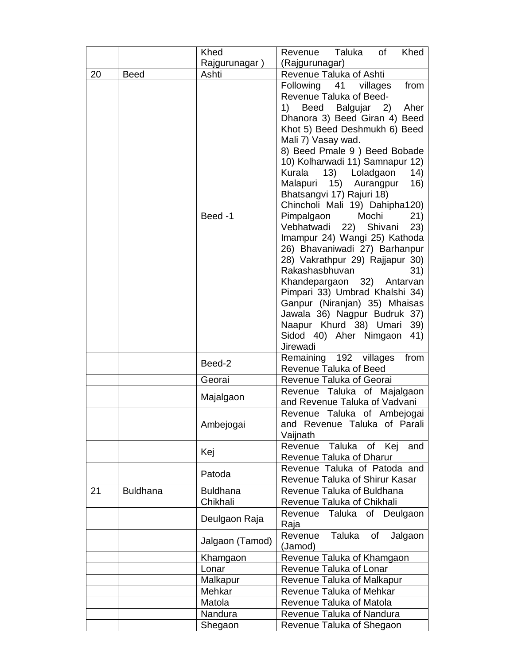|    |                 | Khed            | Khed<br>Taluka<br>of<br>Revenue                              |
|----|-----------------|-----------------|--------------------------------------------------------------|
|    |                 | Rajgurunagar)   | (Rajgurunagar)                                               |
| 20 | <b>Beed</b>     | Ashti           | Revenue Taluka of Ashti                                      |
|    |                 |                 | Following 41 villages<br>from                                |
|    |                 |                 | Revenue Taluka of Beed-                                      |
|    |                 |                 | Balgujar<br>1)<br>Beed<br>2) Aher                            |
|    |                 |                 | Dhanora 3) Beed Giran 4) Beed                                |
|    |                 |                 | Khot 5) Beed Deshmukh 6) Beed                                |
|    |                 |                 | Mali 7) Vasay wad.                                           |
|    |                 |                 | 8) Beed Pmale 9) Beed Bobade                                 |
|    |                 |                 | 10) Kolharwadi 11) Samnapur 12)                              |
|    |                 |                 | Kurala<br>13) Loladgaon<br>14)                               |
|    |                 |                 | Malapuri 15) Aurangpur<br>16)                                |
|    |                 |                 | Bhatsangvi 17) Rajuri 18)                                    |
|    |                 |                 | Chincholi Mali 19) Dahipha120)                               |
|    |                 | Beed -1         | Mochi<br>Pimpalgaon<br>21)                                   |
|    |                 |                 | Vebhatwadi 22)<br>Shivani<br>23)                             |
|    |                 |                 | Imampur 24) Wangi 25) Kathoda                                |
|    |                 |                 | 26) Bhavaniwadi 27) Barhanpur                                |
|    |                 |                 | 28) Vakrathpur 29) Rajjapur 30)<br>Rakashasbhuvan            |
|    |                 |                 | 31)                                                          |
|    |                 |                 | Khandepargaon 32) Antarvan<br>Pimpari 33) Umbrad Khalshi 34) |
|    |                 |                 | Ganpur (Niranjan) 35) Mhaisas                                |
|    |                 |                 | Jawala 36) Nagpur Budruk 37)                                 |
|    |                 |                 | Naapur Khurd 38) Umari 39)                                   |
|    |                 |                 | Sidod 40) Aher Nimgaon<br>41)                                |
|    |                 |                 | Jirewadi                                                     |
|    |                 |                 | Remaining 192 villages<br>from                               |
|    |                 | Beed-2          | Revenue Taluka of Beed                                       |
|    |                 | Georai          | Revenue Taluka of Georai                                     |
|    |                 |                 | Revenue Taluka of Majalgaon                                  |
|    |                 | Majalgaon       | and Revenue Taluka of Vadvani                                |
|    |                 |                 | Revenue Taluka of Ambejogai                                  |
|    |                 | Ambejogai       | and Revenue Taluka of Parali                                 |
|    |                 |                 | Vaijnath                                                     |
|    |                 | Kej             | Revenue Taluka of Kej<br>and                                 |
|    |                 |                 | Revenue Taluka of Dharur                                     |
|    |                 | Patoda          | Revenue Taluka of Patoda and                                 |
|    |                 |                 | Revenue Taluka of Shirur Kasar                               |
| 21 | <b>Buldhana</b> | <b>Buldhana</b> | Revenue Taluka of Buldhana                                   |
|    |                 | Chikhali        | Revenue Taluka of Chikhali                                   |
|    |                 | Deulgaon Raja   | Taluka<br>of<br>Revenue<br>Deulgaon<br>Raja                  |
|    |                 | Jalgaon (Tamod) | Taluka<br>Revenue<br>of<br>Jalgaon                           |
|    |                 |                 | (Jamod)                                                      |
|    |                 | Khamgaon        | Revenue Taluka of Khamgaon                                   |
|    |                 | Lonar           | Revenue Taluka of Lonar                                      |
|    |                 | Malkapur        | Revenue Taluka of Malkapur                                   |
|    |                 | Mehkar          | <b>Revenue Taluka of Mehkar</b>                              |
|    |                 | Matola          | Revenue Taluka of Matola                                     |
|    |                 | Nandura         | Revenue Taluka of Nandura                                    |
|    |                 | Shegaon         | Revenue Taluka of Shegaon                                    |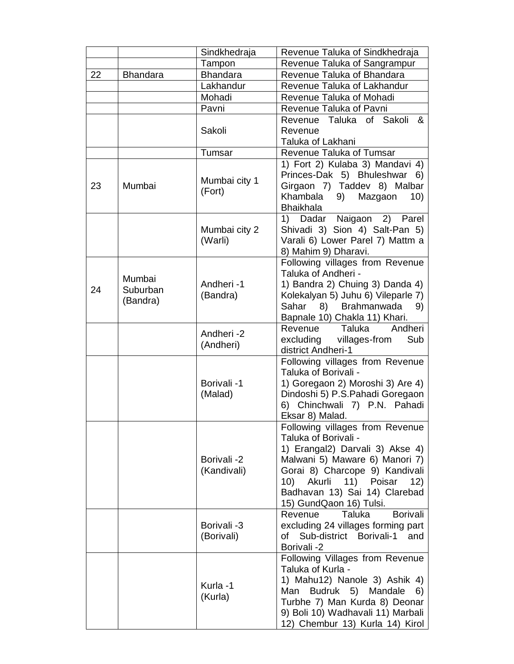|    |                                | Sindkhedraja              | Revenue Taluka of Sindkhedraja                                                                                                                                                                                                                                   |
|----|--------------------------------|---------------------------|------------------------------------------------------------------------------------------------------------------------------------------------------------------------------------------------------------------------------------------------------------------|
|    |                                | Tampon                    | Revenue Taluka of Sangrampur                                                                                                                                                                                                                                     |
| 22 | <b>Bhandara</b>                | <b>Bhandara</b>           | Revenue Taluka of Bhandara                                                                                                                                                                                                                                       |
|    |                                | Lakhandur                 | Revenue Taluka of Lakhandur                                                                                                                                                                                                                                      |
|    |                                | Mohadi                    | Revenue Taluka of Mohadi                                                                                                                                                                                                                                         |
|    |                                | Pavni                     | Revenue Taluka of Pavni                                                                                                                                                                                                                                          |
|    |                                |                           | Revenue Taluka of Sakoli &                                                                                                                                                                                                                                       |
|    |                                | Sakoli                    | Revenue                                                                                                                                                                                                                                                          |
|    |                                |                           | Taluka of Lakhani                                                                                                                                                                                                                                                |
|    |                                | Tumsar                    | Revenue Taluka of Tumsar                                                                                                                                                                                                                                         |
| 23 | Mumbai                         | Mumbai city 1<br>(Fort)   | 1) Fort 2) Kulaba 3) Mandavi 4)<br>Princes-Dak 5) Bhuleshwar 6)<br>Girgaon 7) Taddev 8) Malbar<br>Khambala<br>9)<br>Mazgaon<br>10)<br><b>Bhaikhala</b>                                                                                                           |
|    |                                | Mumbai city 2<br>(Warli)  | Dadar Naigaon<br>2)<br>1)<br>Parel<br>Shivadi 3) Sion 4) Salt-Pan 5)<br>Varali 6) Lower Parel 7) Mattm a<br>8) Mahim 9) Dharavi.                                                                                                                                 |
| 24 | Mumbai<br>Suburban<br>(Bandra) | Andheri-1<br>(Bandra)     | Following villages from Revenue<br>Taluka of Andheri -<br>1) Bandra 2) Chuing 3) Danda 4)<br>Kolekalyan 5) Juhu 6) Vileparle 7)<br>Sahar 8) Brahmanwada<br>9)<br>Bapnale 10) Chakla 11) Khari.<br>Andheri<br>Revenue<br>Taluka                                   |
|    |                                | Andheri-2<br>(Andheri)    | excluding villages-from<br>Sub<br>district Andheri-1                                                                                                                                                                                                             |
|    |                                | Borivali-1<br>(Malad)     | Following villages from Revenue<br>Taluka of Borivali -<br>1) Goregaon 2) Moroshi 3) Are 4)<br>Dindoshi 5) P.S.Pahadi Goregaon<br>6) Chinchwali 7) P.N. Pahadi<br>Eksar 8) Malad.                                                                                |
|    |                                | Borivali-2<br>(Kandivali) | Following villages from Revenue<br>Taluka of Borivali -<br>1) Erangal2) Darvali 3) Akse 4)<br>Malwani 5) Maware 6) Manori 7)<br>Gorai 8) Charcope 9) Kandivali<br>11) Poisar<br>10)<br>Akurli<br>12)<br>Badhavan 13) Sai 14) Clarebad<br>15) GundQaon 16) Tulsi. |
|    |                                | Borivali-3<br>(Borivali)  | Taluka<br>Borivali<br>Revenue<br>excluding 24 villages forming part<br>Sub-district Borivali-1<br>of<br>and<br>Borivali -2                                                                                                                                       |
|    |                                | Kurla -1<br>(Kurla)       | Following Villages from Revenue<br>Taluka of Kurla -<br>1) Mahu12) Nanole 3) Ashik 4)<br>Budruk 5) Mandale<br>Man<br>6)<br>Turbhe 7) Man Kurda 8) Deonar<br>9) Boli 10) Wadhavali 11) Marbali<br>12) Chembur 13) Kurla 14) Kirol                                 |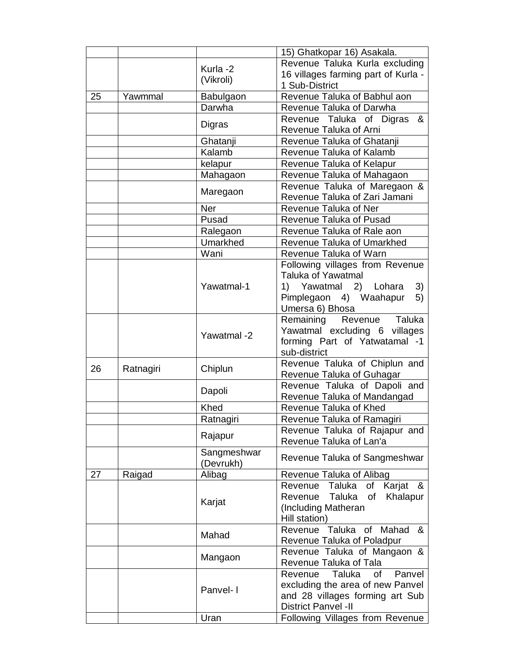|    |           |             | 15) Ghatkopar 16) Asakala.                                         |
|----|-----------|-------------|--------------------------------------------------------------------|
|    |           | Kurla -2    | Revenue Taluka Kurla excluding                                     |
|    |           | (Vikroli)   | 16 villages farming part of Kurla -                                |
|    |           |             | 1 Sub-District                                                     |
| 25 | Yawmmal   | Babulgaon   | Revenue Taluka of Babhul aon                                       |
|    |           | Darwha      | <b>Revenue Taluka of Darwha</b>                                    |
|    |           | Digras      | Revenue Taluka of Digras<br>&                                      |
|    |           |             | Revenue Taluka of Arni                                             |
|    |           | Ghatanji    | Revenue Taluka of Ghatanji                                         |
|    |           | Kalamb      | Revenue Taluka of Kalamb                                           |
|    |           | kelapur     | Revenue Taluka of Kelapur                                          |
|    |           | Mahagaon    | Revenue Taluka of Mahagaon                                         |
|    |           |             | Revenue Taluka of Maregaon &                                       |
|    |           | Maregaon    | Revenue Taluka of Zari Jamani                                      |
|    |           | Ner         | <b>Revenue Taluka of Ner</b>                                       |
|    |           | Pusad       | <b>Revenue Taluka of Pusad</b>                                     |
|    |           | Ralegaon    | Revenue Taluka of Rale aon                                         |
|    |           | Umarkhed    | <b>Revenue Taluka of Umarkhed</b>                                  |
|    |           | Wani        | Revenue Taluka of Warn                                             |
|    |           |             | Following villages from Revenue                                    |
|    |           |             | Taluka of Yawatmal                                                 |
|    |           | Yawatmal-1  | 1) Yawatmal 2) Lohara<br>3)                                        |
|    |           |             | Pimplegaon 4) Waahapur<br>5)                                       |
|    |           |             | Umersa 6) Bhosa                                                    |
|    |           |             | Revenue Taluka<br>Remaining                                        |
|    |           | Yawatmal -2 | Yawatmal excluding 6 villages                                      |
|    |           |             | forming Part of Yatwatamal -1                                      |
|    |           |             | sub-district                                                       |
| 26 | Ratnagiri | Chiplun     | Revenue Taluka of Chiplun and                                      |
|    |           |             | Revenue Taluka of Guhagar                                          |
|    |           | Dapoli      | Revenue Taluka of Dapoli and                                       |
|    |           |             | Revenue Taluka of Mandangad                                        |
|    |           | Khed        | Revenue Taluka of Khed                                             |
|    |           | Ratnagiri   | Revenue Taluka of Ramagiri                                         |
|    |           | Rajapur     | Revenue Taluka of Rajapur and                                      |
|    |           |             | Revenue Taluka of Lan'a                                            |
|    |           | Sangmeshwar | Revenue Taluka of Sangmeshwar                                      |
|    |           | (Devrukh)   |                                                                    |
| 27 | Raigad    | Alibag      | Revenue Taluka of Alibag                                           |
|    |           |             | Karjat<br><b>Taluka</b><br>of<br>&<br>Revenue<br>Taluka<br>Revenue |
|    |           | Karjat      | Khalapur<br>οf                                                     |
|    |           |             | (Including Matheran<br>Hill station)                               |
|    |           |             | Revenue Taluka of Mahad<br>&                                       |
|    |           | Mahad       | Revenue Taluka of Poladpur                                         |
|    |           |             | Revenue Taluka of Mangaon &                                        |
|    |           | Mangaon     | Revenue Taluka of Tala                                             |
|    |           |             | Taluka<br>0f<br>Panvel<br>Revenue                                  |
|    |           |             | excluding the area of new Panvel                                   |
|    |           | Panvel-1    | and 28 villages forming art Sub                                    |
|    |           |             | <b>District Panvel -II</b>                                         |
|    |           | Uran        | Following Villages from Revenue                                    |
|    |           |             |                                                                    |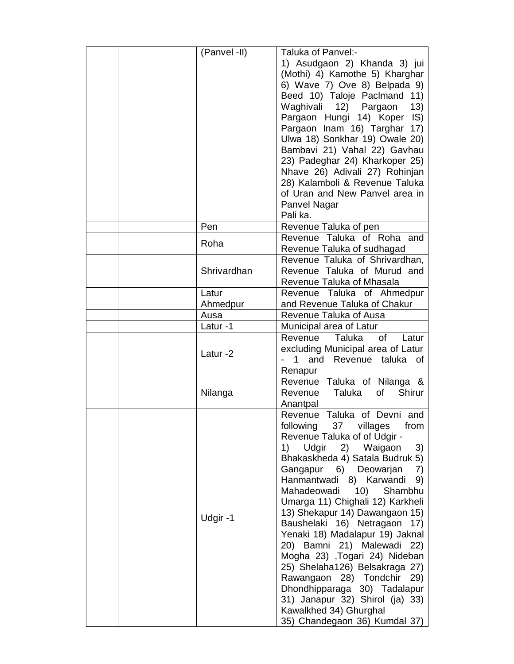| (Panvel -II) | Taluka of Panvel:-                      |
|--------------|-----------------------------------------|
|              | 1) Asudgaon 2) Khanda 3) jui            |
|              |                                         |
|              | (Mothi) 4) Kamothe 5) Kharghar          |
|              | 6) Wave 7) Ove 8) Belpada 9)            |
|              | Beed 10) Taloje Paclmand<br>11)         |
|              | Waghivali<br>12) Pargaon<br>13)         |
|              | Pargaon Hungi 14) Koper IS)             |
|              | Pargaon Inam 16) Targhar 17)            |
|              |                                         |
|              | Ulwa 18) Sonkhar 19) Owale 20)          |
|              | Bambavi 21) Vahal 22) Gavhau            |
|              | 23) Padeghar 24) Kharkoper 25)          |
|              | Nhave 26) Adivali 27) Rohinjan          |
|              | 28) Kalamboli & Revenue Taluka          |
|              | of Uran and New Panvel area in          |
|              |                                         |
|              | Panvel Nagar                            |
|              | Pali ka.                                |
| Pen          | Revenue Taluka of pen                   |
| Roha         | Revenue Taluka of Roha and              |
|              | Revenue Taluka of sudhagad              |
|              | Revenue Taluka of Shrivardhan,          |
| Shrivardhan  | Revenue Taluka of Murud and             |
|              | Revenue Taluka of Mhasala               |
| Latur        | Revenue Taluka of Ahmedpur              |
| Ahmedpur     | and Revenue Taluka of Chakur            |
| Ausa         | Revenue Taluka of Ausa                  |
|              |                                         |
| Latur-1      | Municipal area of Latur                 |
|              | <b>Taluka</b><br>Revenue<br>οf<br>Latur |
| Latur-2      | excluding Municipal area of Latur       |
|              | 1<br>and Revenue taluka of              |
|              | Renapur                                 |
|              | Revenue Taluka of Nilanga &             |
| Nilanga      | Shirur<br>Taluka<br>of<br>Revenue       |
|              | Anantpal                                |
|              | Revenue Taluka of Devni and             |
|              |                                         |
|              | 37<br>following<br>villages<br>from     |
|              | Revenue Taluka of of Udgir -            |
|              | Udgir<br>2) Waigaon<br>1)<br>3)         |
|              | Bhakaskheda 4) Satala Budruk 5)         |
|              | Gangapur 6)<br>Deowarjan<br>7)          |
|              | Hanmantwadi 8) Karwandi<br>9)           |
|              | 10) Shambhu<br>Mahadeowadi              |
|              |                                         |
|              | Umarga 11) Chighali 12) Karkheli        |
| Udgir -1     | 13) Shekapur 14) Dawangaon 15)          |
|              | Baushelaki 16) Netragaon<br>17)         |
|              | Yenaki 18) Madalapur 19) Jaknal         |
|              | 20) Bamni 21) Malewadi 22)              |
|              | Mogha 23) ,Togari 24) Nideban           |
|              | 25) Shelaha126) Belsakraga 27)          |
|              |                                         |
|              | Rawangaon 28) Tondchir<br>29)           |
|              | Dhondhipparaga 30) Tadalapur            |
|              | 31) Janapur 32) Shirol (ja) 33)         |
|              | Kawalkhed 34) Ghurghal                  |
|              | 35) Chandegaon 36) Kumdal 37)           |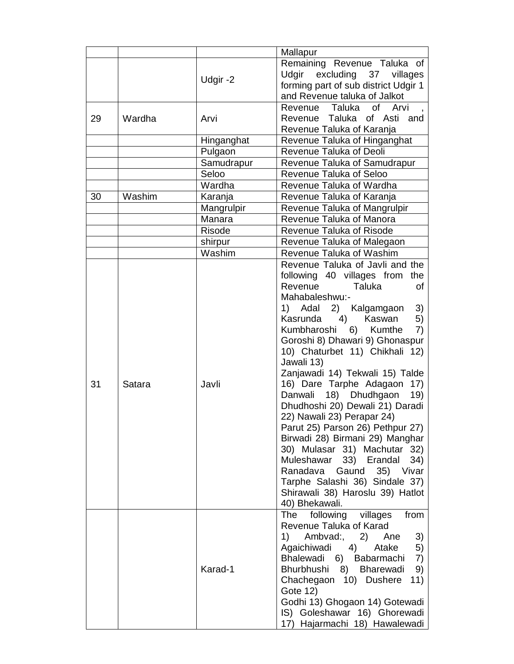|    |        |            | Mallapur                                                                                                                                                                                                                                                                                                                                                                                                                                                                                                                                                                                                                                                                                                                                              |
|----|--------|------------|-------------------------------------------------------------------------------------------------------------------------------------------------------------------------------------------------------------------------------------------------------------------------------------------------------------------------------------------------------------------------------------------------------------------------------------------------------------------------------------------------------------------------------------------------------------------------------------------------------------------------------------------------------------------------------------------------------------------------------------------------------|
|    |        | Udgir-2    | Remaining Revenue Taluka of<br>Udgir excluding 37 villages<br>forming part of sub district Udgir 1<br>and Revenue taluka of Jalkot                                                                                                                                                                                                                                                                                                                                                                                                                                                                                                                                                                                                                    |
| 29 | Wardha | Arvi       | Revenue Taluka<br>of<br>Arvi<br>Revenue Taluka of Asti and<br>Revenue Taluka of Karanja                                                                                                                                                                                                                                                                                                                                                                                                                                                                                                                                                                                                                                                               |
|    |        | Hinganghat | Revenue Taluka of Hinganghat                                                                                                                                                                                                                                                                                                                                                                                                                                                                                                                                                                                                                                                                                                                          |
|    |        | Pulgaon    | <b>Revenue Taluka of Deoli</b>                                                                                                                                                                                                                                                                                                                                                                                                                                                                                                                                                                                                                                                                                                                        |
|    |        | Samudrapur | Revenue Taluka of Samudrapur                                                                                                                                                                                                                                                                                                                                                                                                                                                                                                                                                                                                                                                                                                                          |
|    |        | Seloo      | Revenue Taluka of Seloo                                                                                                                                                                                                                                                                                                                                                                                                                                                                                                                                                                                                                                                                                                                               |
|    |        | Wardha     | Revenue Taluka of Wardha                                                                                                                                                                                                                                                                                                                                                                                                                                                                                                                                                                                                                                                                                                                              |
| 30 | Washim | Karanja    | Revenue Taluka of Karanja                                                                                                                                                                                                                                                                                                                                                                                                                                                                                                                                                                                                                                                                                                                             |
|    |        | Mangrulpir | Revenue Taluka of Mangrulpir                                                                                                                                                                                                                                                                                                                                                                                                                                                                                                                                                                                                                                                                                                                          |
|    |        | Manara     | Revenue Taluka of Manora                                                                                                                                                                                                                                                                                                                                                                                                                                                                                                                                                                                                                                                                                                                              |
|    |        | Risode     | <b>Revenue Taluka of Risode</b>                                                                                                                                                                                                                                                                                                                                                                                                                                                                                                                                                                                                                                                                                                                       |
|    |        | shirpur    | Revenue Taluka of Malegaon                                                                                                                                                                                                                                                                                                                                                                                                                                                                                                                                                                                                                                                                                                                            |
|    |        | Washim     | Revenue Taluka of Washim                                                                                                                                                                                                                                                                                                                                                                                                                                                                                                                                                                                                                                                                                                                              |
| 31 | Satara | Javli      | Revenue Taluka of Javli and the<br>following 40 villages from the<br>Taluka<br>Revenue<br>οf<br>Mahabaleshwu:-<br>Adal 2) Kalgamgaon<br>3)<br>1)<br>Kasrunda<br>4)<br>Kaswan<br>5)<br>Kumbharoshi 6)<br>Kumthe<br>7)<br>Goroshi 8) Dhawari 9) Ghonaspur<br>10) Chaturbet 11) Chikhali 12)<br>Jawali 13)<br>Zanjawadi 14) Tekwali 15) Talde<br>16) Dare Tarphe Adagaon<br>17)<br>18) Dhudhgaon<br>Danwali<br>19)<br>Dhudhoshi 20) Dewali 21) Daradi<br>22) Nawali 23) Perapar 24)<br>Parut 25) Parson 26) Pethpur 27)<br>Birwadi 28) Birmani 29) Manghar<br>30) Mulasar 31) Machutar 32)<br>Muleshawar<br>33) Erandal<br>34)<br>Gaund<br>35) Vivar<br>Ranadava<br>Tarphe Salashi 36) Sindale 37)<br>Shirawali 38) Haroslu 39) Hatlot<br>40) Bhekawali. |
|    |        | Karad-1    | following villages<br>from<br>The<br>Revenue Taluka of Karad<br>2)<br>3)<br>Ambvad:,<br>Ane<br>1)<br>4)<br>Agaichiwadi<br>Atake<br>5)<br>Bhalewadi 6) Babarmachi<br>7)<br>Bhurbhushi 8) Bharewadi<br>9)<br>Chachegaon 10) Dushere<br>11)<br>Gote 12)<br>Godhi 13) Ghogaon 14) Gotewadi<br>IS) Goleshawar 16) Ghorewadi<br>17) Hajarmachi 18) Hawalewadi                                                                                                                                                                                                                                                                                                                                                                                               |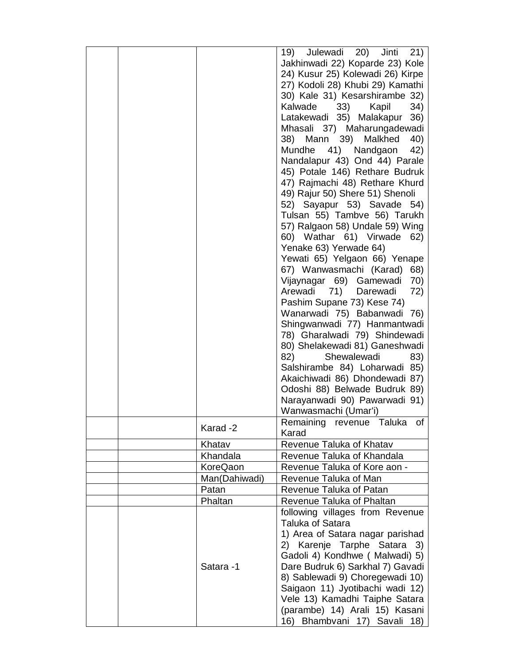|  |                 | Julewadi 20) Jinti<br>21)<br>19)                              |
|--|-----------------|---------------------------------------------------------------|
|  |                 | Jakhinwadi 22) Koparde 23) Kole                               |
|  |                 | 24) Kusur 25) Kolewadi 26) Kirpe                              |
|  |                 | 27) Kodoli 28) Khubi 29) Kamathi                              |
|  |                 | 30) Kale 31) Kesarshirambe 32)                                |
|  |                 | Kalwade<br>33)<br>Kapil<br>34)                                |
|  |                 | Latakewadi 35) Malakapur<br>36)                               |
|  |                 | Mhasali 37) Maharungadewadi                                   |
|  |                 | 38) Mann 39) Malkhed<br>40)                                   |
|  |                 | Mundhe 41) Nandgaon<br>42)                                    |
|  |                 | Nandalapur 43) Ond 44) Parale                                 |
|  |                 | 45) Potale 146) Rethare Budruk                                |
|  |                 | 47) Rajmachi 48) Rethare Khurd                                |
|  |                 | 49) Rajur 50) Shere 51) Shenoli                               |
|  |                 | 52) Sayapur 53) Savade 54)                                    |
|  |                 | Tulsan 55) Tambve 56) Tarukh                                  |
|  |                 | 57) Ralgaon 58) Undale 59) Wing<br>60) Wathar 61) Virwade 62) |
|  |                 | Yenake 63) Yerwade 64)                                        |
|  |                 | Yewati 65) Yelgaon 66) Yenape                                 |
|  |                 | 67) Wanwasmachi (Karad) 68)                                   |
|  |                 | Vijaynagar 69) Gamewadi<br>70)                                |
|  |                 | Arewadi 71) Darewadi<br>72)                                   |
|  |                 | Pashim Supane 73) Kese 74)                                    |
|  |                 | Wanarwadi 75) Babanwadi 76)                                   |
|  |                 | Shingwanwadi 77) Hanmantwadi                                  |
|  |                 | 78) Gharalwadi 79) Shindewadi                                 |
|  |                 | 80) Shelakewadi 81) Ganeshwadi                                |
|  |                 | 82)<br>Shewalewadi<br>83)                                     |
|  |                 | Salshirambe 84) Loharwadi 85)                                 |
|  |                 | Akaichiwadi 86) Dhondewadi 87)                                |
|  |                 | Odoshi 88) Belwade Budruk 89)                                 |
|  |                 | Narayanwadi 90) Pawarwadi 91)                                 |
|  |                 | Wanwasmachi (Umar'i)                                          |
|  |                 | Remaining revenue Taluka of                                   |
|  | Karad -2        | Karad                                                         |
|  | Khatav          | Revenue Taluka of Khatav                                      |
|  | Khandala        | Revenue Taluka of Khandala                                    |
|  | <b>KoreQaon</b> | Revenue Taluka of Kore aon -                                  |
|  | Man(Dahiwadi)   | Revenue Taluka of Man                                         |
|  | Patan           | Revenue Taluka of Patan                                       |
|  | Phaltan         | Revenue Taluka of Phaltan                                     |
|  |                 | following villages from Revenue                               |
|  |                 | Taluka of Satara                                              |
|  |                 | 1) Area of Satara nagar parishad                              |
|  | Satara -1       | 2) Karenje Tarphe Satara 3)                                   |
|  |                 | Gadoli 4) Kondhwe (Malwadi) 5)                                |
|  |                 | Dare Budruk 6) Sarkhal 7) Gavadi                              |
|  |                 | 8) Sablewadi 9) Choregewadi 10)                               |
|  |                 | Saigaon 11) Jyotibachi wadi 12)                               |
|  |                 | Vele 13) Kamadhi Taiphe Satara                                |
|  |                 | (parambe) 14) Arali 15) Kasani                                |
|  |                 | Bhambvani 17) Savali 18)<br>16)                               |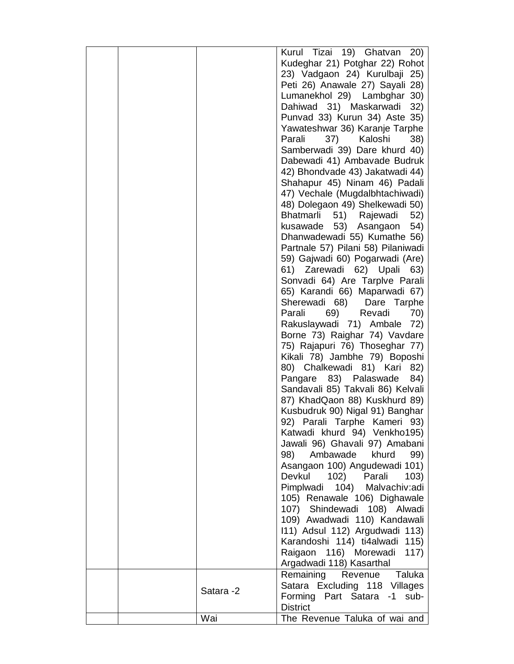|  |           | Kurul Tizai 19) Ghatvan<br><b>20</b> )<br>Kudeghar 21) Potghar 22) Rohot<br>23) Vadgaon 24) Kurulbaji 25)<br>Peti 26) Anawale 27) Sayali 28)<br>Lumanekhol 29) Lambghar 30)<br>Dahiwad 31) Maskarwadi 32)<br>Punvad 33) Kurun 34) Aste 35)<br>Yawateshwar 36) Karanje Tarphe<br>Parali<br>37)<br>Kaloshi<br>38)<br>Samberwadi 39) Dare khurd 40)<br>Dabewadi 41) Ambavade Budruk<br>42) Bhondvade 43) Jakatwadi 44)<br>Shahapur 45) Ninam 46) Padali<br>47) Vechale (Mugdalbhtachiwadi)<br>48) Dolegaon 49) Shelkewadi 50)<br>Bhatmarli 51) Rajewadi<br>52)<br>kusawade 53) Asangaon<br>54)<br>Dhanwadewadi 55) Kumathe 56)<br>Partnale 57) Pilani 58) Pilaniwadi<br>59) Gajwadi 60) Pogarwadi (Are)<br>61) Zarewadi 62) Upali<br>63)<br>Sonvadi 64) Are Tarplve Parali<br>65) Karandi 66) Maparwadi 67)<br>Sherewadi 68) Dare Tarphe<br>Parali<br>69) Revadi<br>70)<br>Rakuslaywadi 71) Ambale<br>72)<br>Borne 73) Raighar 74) Vavdare<br>75) Rajapuri 76) Thoseghar 77)<br>Kikali 78) Jambhe 79) Boposhi<br>80) Chalkewadi 81) Kari<br>82)<br>Pangare 83) Palaswade<br>84)<br>Sandavali 85) Takvali 86) Kelvali<br>87) KhadQaon 88) Kuskhurd 89)<br>Kusbudruk 90) Nigal 91) Banghar<br>92) Parali Tarphe Kameri 93)<br>Katwadi khurd 94) Venkho195)<br>Jawali 96) Ghavali 97) Amabani<br>Ambawade<br>khurd<br>98)<br>99)<br>Asangaon 100) Angudewadi 101)<br>Devkul<br>102) Parali<br>103)<br>Pimplwadi 104) Malvachiv:adi<br>105) Renawale 106) Dighawale<br>107) Shindewadi 108) Alwadi<br>109) Awadwadi 110) Kandawali<br>111) Adsul 112) Argudwadi 113)<br>Karandoshi 114) ti4alwadi 115)<br>Raigaon 116) Morewadi<br>117)<br>Argadwadi 118) Kasarthal |
|--|-----------|--------------------------------------------------------------------------------------------------------------------------------------------------------------------------------------------------------------------------------------------------------------------------------------------------------------------------------------------------------------------------------------------------------------------------------------------------------------------------------------------------------------------------------------------------------------------------------------------------------------------------------------------------------------------------------------------------------------------------------------------------------------------------------------------------------------------------------------------------------------------------------------------------------------------------------------------------------------------------------------------------------------------------------------------------------------------------------------------------------------------------------------------------------------------------------------------------------------------------------------------------------------------------------------------------------------------------------------------------------------------------------------------------------------------------------------------------------------------------------------------------------------------------------------------------------------------------------------------------------------------------------------------------------------|
|  | Satara -2 | Remaining Revenue Taluka<br>Satara Excluding 118 Villages<br>Forming Part Satara -1 sub-                                                                                                                                                                                                                                                                                                                                                                                                                                                                                                                                                                                                                                                                                                                                                                                                                                                                                                                                                                                                                                                                                                                                                                                                                                                                                                                                                                                                                                                                                                                                                                     |
|  | Wai       | <b>District</b><br>The Revenue Taluka of wai and                                                                                                                                                                                                                                                                                                                                                                                                                                                                                                                                                                                                                                                                                                                                                                                                                                                                                                                                                                                                                                                                                                                                                                                                                                                                                                                                                                                                                                                                                                                                                                                                             |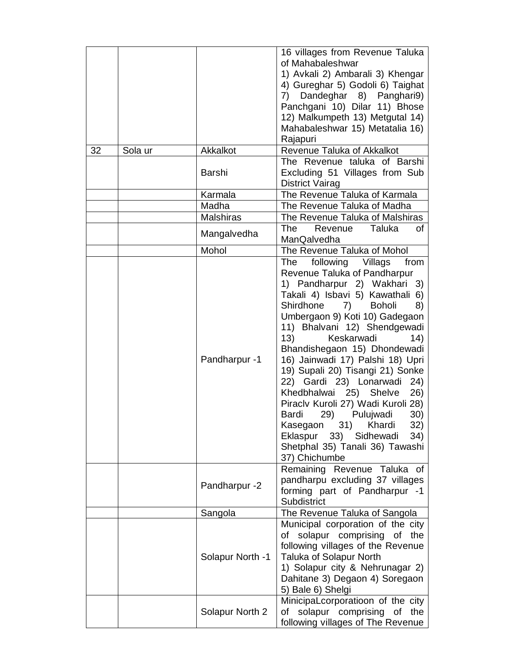|    |         |                  | 16 villages from Revenue Taluka<br>of Mahabaleshwar<br>1) Avkali 2) Ambarali 3) Khengar<br>4) Gureghar 5) Godoli 6) Taighat<br>Dandeghar 8) Panghari9)<br>7)                                                                                                                                                                                                                                                                                                                                                                                                                                                                                               |
|----|---------|------------------|------------------------------------------------------------------------------------------------------------------------------------------------------------------------------------------------------------------------------------------------------------------------------------------------------------------------------------------------------------------------------------------------------------------------------------------------------------------------------------------------------------------------------------------------------------------------------------------------------------------------------------------------------------|
|    |         |                  | Panchgani 10) Dilar 11) Bhose<br>12) Malkumpeth 13) Metgutal 14)<br>Mahabaleshwar 15) Metatalia 16)                                                                                                                                                                                                                                                                                                                                                                                                                                                                                                                                                        |
|    |         |                  | Rajapuri                                                                                                                                                                                                                                                                                                                                                                                                                                                                                                                                                                                                                                                   |
| 32 | Sola ur | Akkalkot         | Revenue Taluka of Akkalkot                                                                                                                                                                                                                                                                                                                                                                                                                                                                                                                                                                                                                                 |
|    |         | <b>Barshi</b>    | The Revenue taluka of Barshi<br>Excluding 51 Villages from Sub<br>District Vairag                                                                                                                                                                                                                                                                                                                                                                                                                                                                                                                                                                          |
|    |         | Karmala          | The Revenue Taluka of Karmala                                                                                                                                                                                                                                                                                                                                                                                                                                                                                                                                                                                                                              |
|    |         | Madha            | The Revenue Taluka of Madha                                                                                                                                                                                                                                                                                                                                                                                                                                                                                                                                                                                                                                |
|    |         | <b>Malshiras</b> | The Revenue Taluka of Malshiras                                                                                                                                                                                                                                                                                                                                                                                                                                                                                                                                                                                                                            |
|    |         | Mangalvedha      | The<br>Revenue<br>Taluka<br>Οf                                                                                                                                                                                                                                                                                                                                                                                                                                                                                                                                                                                                                             |
|    |         |                  | ManQalvedha                                                                                                                                                                                                                                                                                                                                                                                                                                                                                                                                                                                                                                                |
|    |         | Mohol            | The Revenue Taluka of Mohol                                                                                                                                                                                                                                                                                                                                                                                                                                                                                                                                                                                                                                |
|    |         | Pandharpur -1    | The<br>following Villags<br>from<br>Revenue Taluka of Pandharpur<br>1) Pandharpur 2) Wakhari 3)<br>Takali 4) Isbavi 5) Kawathali 6)<br>Shirdhone<br><b>Boholi</b><br>7)<br>8)<br>Umbergaon 9) Koti 10) Gadegaon<br>11) Bhalvani 12) Shendgewadi<br>13)<br>Keskarwadi<br>(14)<br>Bhandishegaon 15) Dhondewadi<br>16) Jainwadi 17) Palshi 18) Upri<br>19) Supali 20) Tisangi 21) Sonke<br>22) Gardi 23) Lonarwadi 24)<br>Khedbhalwai 25) Shelve<br>26)<br>Piraclv Kuroli 27) Wadi Kuroli 28)<br>Bardi<br>29)<br>Pulujwadi<br>30)<br>Kasegaon 31)<br>Khardi<br>32)<br>Eklaspur<br>33)<br>Sidhewadi<br>34)<br>Shetphal 35) Tanali 36) Tawashi<br>37) Chichumbe |
|    |         | Pandharpur -2    | Remaining Revenue Taluka of<br>pandharpu excluding 37 villages<br>forming part of Pandharpur -1<br>Subdistrict                                                                                                                                                                                                                                                                                                                                                                                                                                                                                                                                             |
|    |         | Sangola          | The Revenue Taluka of Sangola                                                                                                                                                                                                                                                                                                                                                                                                                                                                                                                                                                                                                              |
|    |         | Solapur North -1 | Municipal corporation of the city<br>solapur comprising<br>οf<br>the<br>of<br>following villages of the Revenue<br>Taluka of Solapur North<br>1) Solapur city & Nehrunagar 2)<br>Dahitane 3) Degaon 4) Soregaon<br>5) Bale 6) Shelgi                                                                                                                                                                                                                                                                                                                                                                                                                       |
|    |         | Solapur North 2  | MinicipaLcorporatioon of the city<br>of solapur comprising of the<br>following villages of The Revenue                                                                                                                                                                                                                                                                                                                                                                                                                                                                                                                                                     |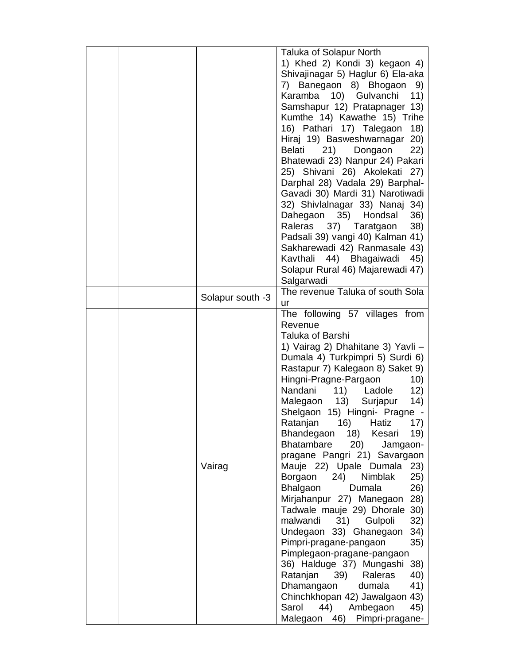|                  | Taluka of Solapur North<br>1) Khed 2) Kondi 3) kegaon 4)<br>Shivajinagar 5) Haglur 6) Ela-aka<br>7) Banegaon 8) Bhogaon<br>9)<br>Karamba<br>10) Gulvanchi<br>11)<br>Samshapur 12) Pratapnager 13)<br>Kumthe 14) Kawathe 15) Trihe<br>16) Pathari 17) Talegaon<br>18)<br>Hiraj 19) Basweshwarnagar 20)<br>Belati<br>21) Dongaon<br>22)<br>Bhatewadi 23) Nanpur 24) Pakari<br>25) Shivani 26) Akolekati 27)<br>Darphal 28) Vadala 29) Barphal-<br>Gavadi 30) Mardi 31) Narotiwadi                                                                                                                                                                                                                                                                                                                                                                                                                                                                                           |
|------------------|---------------------------------------------------------------------------------------------------------------------------------------------------------------------------------------------------------------------------------------------------------------------------------------------------------------------------------------------------------------------------------------------------------------------------------------------------------------------------------------------------------------------------------------------------------------------------------------------------------------------------------------------------------------------------------------------------------------------------------------------------------------------------------------------------------------------------------------------------------------------------------------------------------------------------------------------------------------------------|
| Solapur south -3 | 32) Shivlalnagar 33) Nanaj 34)<br>Dahegaon 35) Hondsal<br>36)<br>Raleras 37)<br>Taratgaon<br>38)<br>Padsali 39) vangi 40) Kalman 41)<br>Sakharewadi 42) Ranmasale 43)<br>Kavthali 44) Bhagaiwadi<br>45)<br>Solapur Rural 46) Majarewadi 47)<br>Salgarwadi<br>The revenue Taluka of south Sola                                                                                                                                                                                                                                                                                                                                                                                                                                                                                                                                                                                                                                                                             |
| Vairag           | ur<br>The following 57 villages from<br>Revenue<br>Taluka of Barshi<br>1) Vairag 2) Dhahitane 3) Yavli -<br>Dumala 4) Turkpimpri 5) Surdi 6)<br>Rastapur 7) Kalegaon 8) Saket 9)<br>Hingni-Pragne-Pargaon<br>10)<br>Nandani<br>12)<br>11) Ladole<br>Malegaon 13)<br>Surjapur<br>14)<br>Shelgaon 15) Hingni- Pragne -<br>Ratanjan 16) Hatiz 17)<br>Bhandegaon<br>18)<br>Kesari<br>19)<br>Bhatambare<br>20)<br>Jamgaon-<br>pragane Pangri 21) Savargaon<br>Mauje 22) Upale Dumala<br>23)<br>Borgaon<br>Nimblak<br>24)<br>25)<br>Bhalgaon<br>26)<br>Dumala<br>Mirjahanpur 27) Manegaon<br>28)<br>Tadwale mauje 29) Dhorale<br>30)<br>malwandi<br>31)<br>Gulpoli<br>32)<br>Undegaon 33) Ghanegaon<br>34)<br>Pimpri-pragane-pangaon<br>35)<br>Pimplegaon-pragane-pangaon<br>36) Halduge 37) Mungashi 38)<br>Ratanjan<br>Raleras<br>40)<br>39)<br>Dhamangaon<br>dumala<br>41)<br>Chinchkhopan 42) Jawalgaon 43)<br>Sarol<br>44) Ambegaon<br>45)<br>Malegaon 46) Pimpri-pragane- |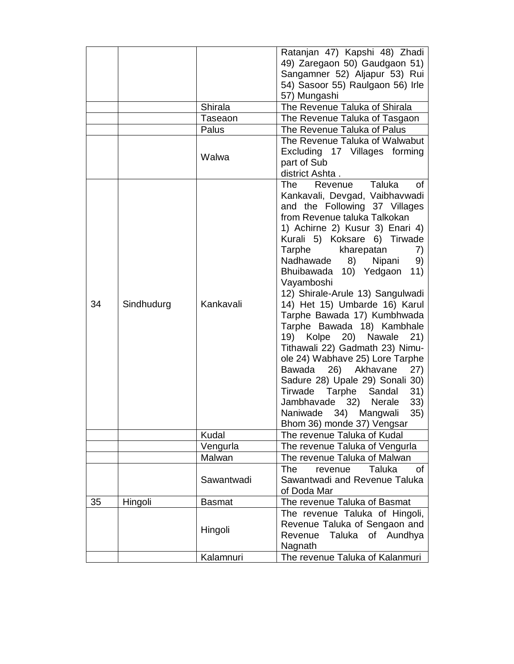|    |            |                | Ratanjan 47) Kapshi 48) Zhadi    |
|----|------------|----------------|----------------------------------|
|    |            |                | 49) Zaregaon 50) Gaudgaon 51)    |
|    |            |                | Sangamner 52) Aljapur 53) Rui    |
|    |            |                | 54) Sasoor 55) Raulgaon 56) Irle |
|    |            |                | 57) Mungashi                     |
|    |            | Shirala        | The Revenue Taluka of Shirala    |
|    |            | <b>Taseaon</b> | The Revenue Taluka of Tasgaon    |
|    |            | Palus          | The Revenue Taluka of Palus      |
|    |            |                | The Revenue Taluka of Walwabut   |
|    |            |                | Excluding 17 Villages forming    |
|    |            | Walwa          | part of Sub                      |
|    |            |                | district Ashta.                  |
|    |            |                | The<br>Revenue<br>Taluka<br>οf   |
|    |            |                |                                  |
|    |            |                | Kankavali, Devgad, Vaibhavwadi   |
|    |            |                | and the Following 37 Villages    |
|    |            |                | from Revenue taluka Talkokan     |
|    |            |                | 1) Achirne 2) Kusur 3) Enari 4)  |
|    |            |                | Kurali 5) Koksare 6) Tirwade     |
|    |            |                | kharepatan<br>Tarphe<br>7)       |
|    |            |                | Nadhawade<br>8) Nipani<br>9)     |
|    |            |                | Bhuibawada 10) Yedgaon<br>11)    |
|    |            |                | Vayamboshi                       |
|    |            |                | 12) Shirale-Arule 13) Sangulwadi |
| 34 | Sindhudurg | Kankavali      | 14) Het 15) Umbarde 16) Karul    |
|    |            |                | Tarphe Bawada 17) Kumbhwada      |
|    |            |                | Tarphe Bawada 18) Kambhale       |
|    |            |                | 19) Kolpe 20) Nawale<br>21)      |
|    |            |                | Tithawali 22) Gadmath 23) Nimu-  |
|    |            |                | ole 24) Wabhave 25) Lore Tarphe  |
|    |            |                | Bawada<br>Akhavane<br>26)<br>27) |
|    |            |                | Sadure 28) Upale 29) Sonali 30)  |
|    |            |                | Tirwade Tarphe Sandal<br>31)     |
|    |            |                | Jambhavade 32)<br>Nerale<br>33)  |
|    |            |                | Naniwade 34) Mangwali<br>35)     |
|    |            |                | Bhom 36) monde 37) Vengsar       |
|    |            | Kudal          | The revenue Taluka of Kudal      |
|    |            | Vengurla       | The revenue Taluka of Vengurla   |
|    |            | Malwan         | The revenue Taluka of Malwan     |
|    |            |                | The<br>Taluka<br>revenue<br>οf   |
|    |            | Sawantwadi     | Sawantwadi and Revenue Taluka    |
|    |            |                | of Doda Mar                      |
| 35 | Hingoli    | <b>Basmat</b>  | The revenue Taluka of Basmat     |
|    |            |                | The revenue Taluka of Hingoli,   |
|    |            |                | Revenue Taluka of Sengaon and    |
|    |            | Hingoli        | Taluka<br>of Aundhya<br>Revenue  |
|    |            |                | Nagnath                          |
|    |            |                | The revenue Taluka of Kalanmuri  |
|    |            | Kalamnuri      |                                  |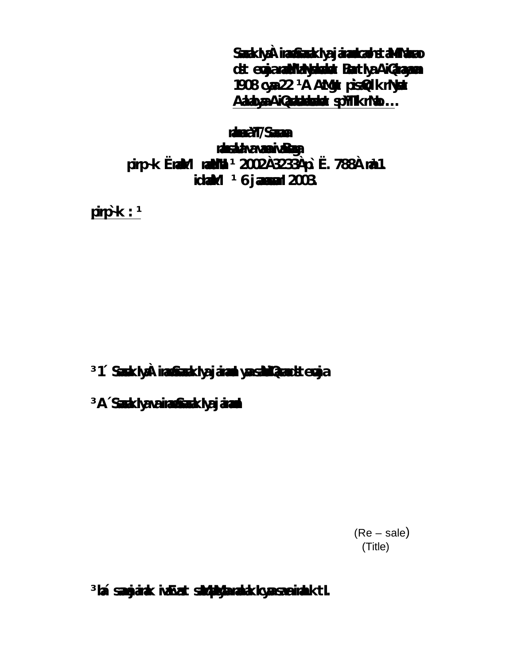Saasak Iya**À** inanaSaasakIya jainanalcadosta kvNaacao **dst eovaja naaoMdivaNyaabaabat BaartIya AiQainayama** 1908 cyaa 22<sup>1</sup>A Altgat pisald krNyaat Aala**byaa AiQasatahababat spYTIkrNao…** 

**maharaYT/ Saasana mahsaUla va vana ivaBaaga pirp~k Ë maaMk naaoMdNaI ¹ 2002À3233Àp`.Ë .788À ma¹1. idnak/** <sup>1</sup> 6 **janacar** 1 2003.

 $p$ **irp** $\geq$ **k** : <sup>1</sup>

- **³1´ SaasakIyaÀ inamaSaasakIya jaimanaI yaa saMbaiQacao dsteovaja**
- **³A´SaasakIya va inamaSaasakIya jaimanaI**

 $(Re - sale)$ iva I ha $\alpha$  is analyzabana ivakla $\alpha$  in the  $\alpha$ 

<sup>3</sup>ba´ saavajainak ivaEvast sa**SyahCyah** maalakIcyaa sava-imaLktI.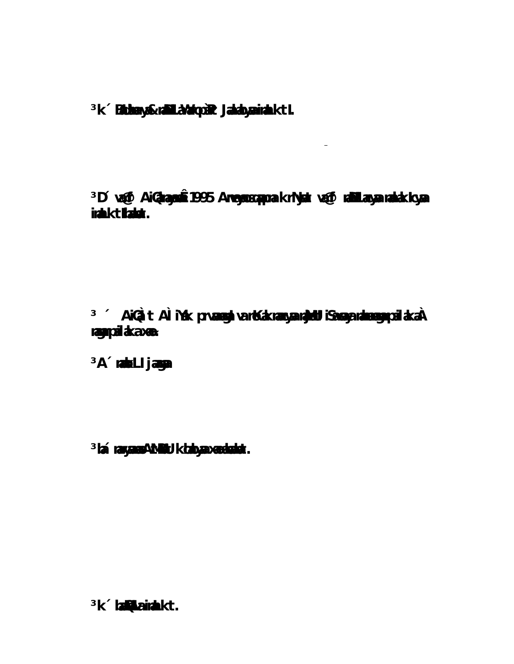**³k´ BaUdana ya& maMDLaWaro p`aPt Jaalaolyaa imaLktI.**

**³D´ va@f AiQainayamaÊ 1995 Anvayao sqaapna krNyaat va@f maMDLacyaa maalakIcyaa imaLktIbaabat.**

JaalaolaI Aaho AaiNa yaa AiQainayamaatIla klama 24 Anvayao jamaIna p`aPt JaalaolaI Asaola ASaa vya@tIsa

 $3$  *´***. AiQaÌ t AÌ iYak prvaanagal va risaknaacyaa majyaiQU iSavaaya mahanagarpailakaÀ nagarpailaka xao~.**

**³A´ maaokLI jaagaa**

<sup>3</sup>ba´ navyama**o A tSBbU-k kalyaa** xaexbaabat.

**³k´ baaMQaIva imaLkt.**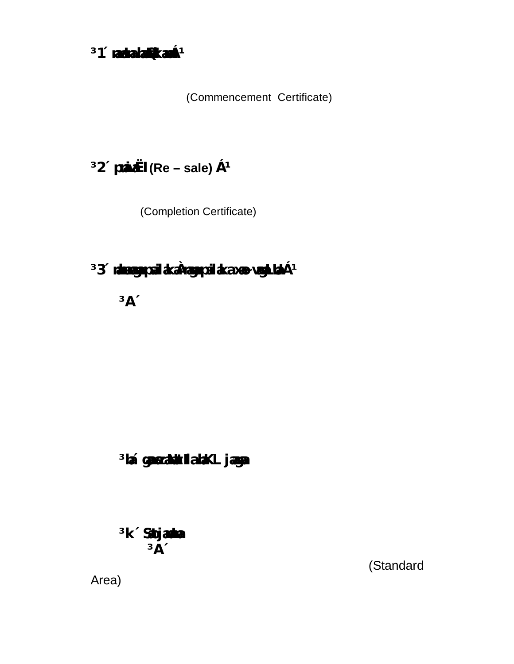**31´ navalna baaDa/k amá** <sup>1</sup>

(Commencement Certificate)

## $32$   $\hat{ }$  puivaË**|** (Re – sale)  $\AA$ <sup>1</sup>

(Completion Certificate)

## **33** mahanagar paailaka Ànagar pailaka xao vagaLtal Á <sup>1</sup>

**3A** is a sample of  $\overline{A}$  has  $\overline{A}$  if  $\overline{A}$  is a kinematic intervalse  $\overline{A}$  if  $\overline{A}$  is a kinematic intervalse of  $\overline{A}$  if  $\overline{A}$  is a kinematic intervalse of  $\overline{A}$  if  $\overline{A}$  is a kinematic interv

**³ba´ gaavazaNaatIla baKL jaagaa**

**³k´ SaotjamaIna 3A´** matched partnership  $\mathcal{L}$ 

Area) 1947 cyaa tradisional tradisional (Standard (Standard

Area) zrvaUna doNyaat Aalaolao Aaho. %yaanausaar SaotIkirta SaotkrI jamaIna KrodI krt AsatIla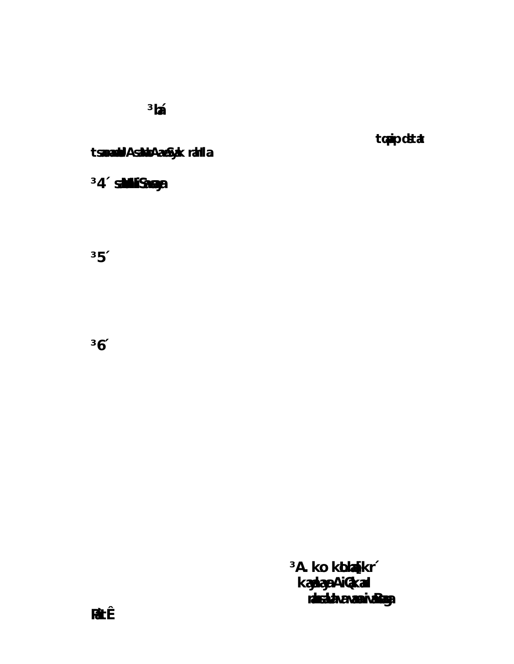**3ba q**aagaat rato European iyo Vutp $\mathcal{A}$  ivas azi ivas azi ivas azi sabaiya na sababasa zi sabaiya na sabaiya na sabaiya na sabaiya na sabaiya na sabaiya na sabaiya na sabaiya na sabaiya na sabaiya na sabaiya na saba

tqaaip dstat

## tsa**camaU** AsaNacAavaSyak rahIIa.

**³4´ saMmatIiSavaaya**

**35´** ivaksa krareê ilavh AD laayasansacaa krar yaa Waro imalkica krar yaa Waro ina haot nasalyaamau Lorentzian<br>Ad laayasansacaa krar yaa Waro ina haan waa Waro ina haan waa Waro ina haan waa Waro ina haan waa Waro ina haa

**36´** Aigast in the same  $\frac{1}{2}$ 

<sup>3</sup>A.ko kbbaa[kr´ **kaya-laya AiQakarI mahsaUla va vana ivaBaaga**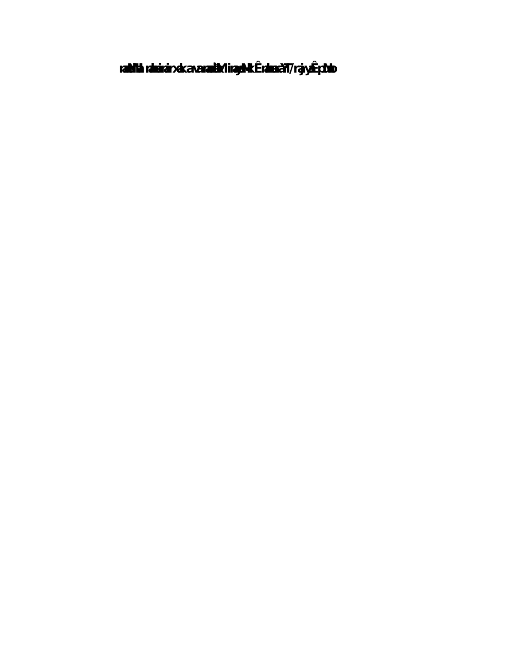**naa<b>čWaI** mahainairxaka va madàiR/linayaNK Ê maharaYT/rajyaÊ piNa $\circ$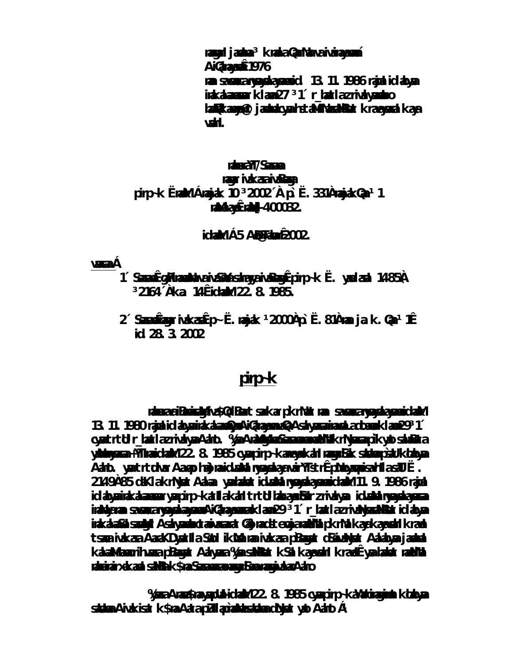**naagarI jamaIna ³ kmaala QaarNaa va ivainayamana´ AiQainayamaÊ 1976** maa. savaaexa nyaayaalayaana**oid. 13.11.1986 raojal idladyaa inakalaanausaar klama 27 ³1´ r\_baatla zrivalyaamauLo**  baa**QaKanaya@t jana**InaIcyaa hsta**ik/NaasaCi&a**at kravayaacaI kaya**vaahI.**

**maharaYT/ Saasana. nagar ivakasa ivaBaaga pirp~k Ë maaMk Á naajak 10 ³2002´À p`.Ë .331ÀnaajakQaa ¹ 1 maAalayaË malba/1-400032.** 

**idnaaMk Á 5 AÐa@TaobarÊ2002.**

**vaacaa Á**

- 1´ SaasanaÊ ga**Rhamal**ka va ivaSalca sahayya ivaBaagaÊ pirp~k Ë . yaellasal 1485 $\lambda$  **³2164´Àka. 14Ê idnaaMk 22.8.1985.**
- **2´ SaasanaÊnagar ivakasaÊ p~ Ë .naajak ¹2000Àp`.Ë .81Ànaa.ja.k.Qaa ¹ 1Ê id.28.3.2002**

## **pirp~k**

maharava iBamaisa**ha/i**va\$Qd Baart sarkar pikrNaat maa. savaaeoa nyaayaalayaanao chaak/l **13.11.1980 racal idlacyaa inakalaanaQyacAiQainayana vaQa Asalyaacaa inavaaLa docanaa klama 29<sup>3</sup>1´** cyaa trt**W** r\_baatla zrivalyaa Aahot. %yaa Ana**Yanadaa Sasanaanao aa8Wal**krNyaacaa pikyaot saulaBata i ya**khanyaacaa +YTInacio1naaR/22.8.1985 cyaa pirp~kanvayacikahI maagaeISak sabahaa psaUk <b>caloyaa** Aah**o**. yaa trt**d**Ivar Aaxap ha $\tilde{\textbf{\textit{q}}}$ na idvaaNaI nyaayaalaya vairYTstrĒp**Na** $\textbf{\textit{q}}$ **aqaad** $\textbf{\textit{q}}$ **a**baDE **2149À85 daKla krNyaat Aalaa. yaa baabat idvaaNaI nyaayaalayaanao idnaaMk 11.9.1986 raojaI idlaolyaa inakalaanausaar yaa pirp~katIla kahI trtUdI baokayadoSaIr zrivalyaa. idvaaNaI nyaayaalayaacaa** inaNaya maa. savaaesa nyaayaalaayaana $\triangle$ iQainayamacad $\triangle$ lama 29 <sup>3</sup>1´ r\_baatla zrivaNyaasa**NBa**at idlabyaa inakalaaSaI sa**sahad AsalyaanaLuctaci**vacaarat Ga $\delta$ na dste**vaja naadiwal** pikrNaI kaya kaya<del>vaa</del>hI kraval tsa**ca** ivakasa AaraKDyaatIIa Sa**o**l ik**Waa**lmaa ivakasa pBaagaat dSaivaNyaat Aala**o**yaa jamalmal kala**atyinao ihvasa pBaajaat Aalyaasa %aa sadiihat** kSaI kaya<del>waa</del>hi kravalÊ yaa baabat naa**dii**Wal **mahainairxakanaI saMdBa- k\$na Saasanaacao maaga-dSa-na maagaivalao Aaho.**

**%yaasa Anausa\$na yaapUvaI- idnaaMk 22.8.1985 cyaa pirp~kaWaro inagaoimat kolaolyaa** s**atahaa Aivakisat k\$na Aata p∑illapìnaNacsatahaa dibyaat yao Aahot Á<sup>1</sup>**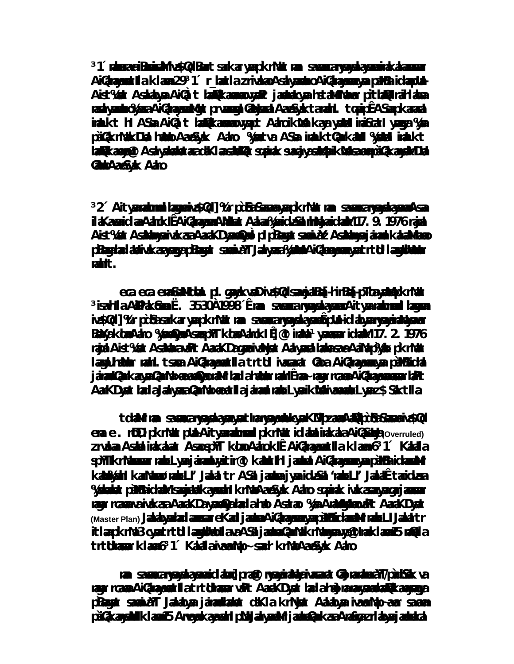**³1´ maharava iBamaisaMh iva\$Qd Baart sarkar yaa p`krNaat maa. savaao-cca nyaayaalayaanao inakalaanausaar**  AiQainayamatlla klama 29<sup>31</sup> r\_baatla zrivalaoAsalyaamuOAiQainayamacyaa paNBa idnaapual-Aist%aat Asalabyaa AiQaÌ t baa**Qakamana**oyaa<sup>p</sup>t jamalnalcyaa hstaltumaavar pitbaQa/Iraihlabaa nasalyaama**Lic w**aasa AiQainayamadoga t prvaanagal Gabbyaacal AavaSyakta naahl. tqaaipÊ ASaa pikaracal **imaLkt hI ASaa AiQaÌ t baaMQakamaanao vyaapt Aaho ikMvaa kaya yaaMcaI inaiScatI yaaogya %yaa** pàiQakrNaakD**ha hadao Aa**vaSyak Aaho %yaastva ASaa imaLktQaarkama*I* %yaada*I* imaLkt b**aaQaK anaya@t Asalyaabaabataca daKlaa saDaMUat sqaainak svarajya saSqaa ikWaa/saxana pàiQakanyaaR<b>.Dha**J **GaktacAavaSyak Aaho** 

<sup>3</sup>2´ Aityaa maa**loo mudi bagama iva\$0d ]%tr p`d&a Saasana** yaa pkrNaat maa. savaaezoa nyaayaalayaana*o*Asaa **ilaKavaa idlaa Aaho kIÊ AiQainayama AMmalaat Aalaa %yaa idvaSaI mhNajao idnaaMk 17.9.1976 raojaI Aist%vaat AsaNaanyaa ivakasa AaraKDyaamaQyao Ì pI p`Baagaat samaaivaYz AsaNaanyaa jaimanaI kalaaMtranao p`Baaga badlaUna ivakasayaaogya p`Baagaat samaaivaYT Jaalyaasa %yaaMnaa AiQaianayamaacyaa trtUdI laagaU haoNaar naahIt.**

eca. eca. ema Saa**lt Vd val.** pl. gaayak vaaD iva\$Qd saavajaIBaa[- hirBaa[- pT **ta** yaa**la4pi**krNaat <sup>3</sup>isavhlla AÐFlak**sana Ë. 3530À1998´Ê ma. savaesa nyaayaalayaana** $\alpha$ **Aityaa maabmmadI baqama iva\$Qd ]%tr p`doSa sarkar yaa p`krNaat maa. savaao-cca nyaayaalayaanaoÊ pUvaI- idlaolyaa nyaayainaNa-yaavar**  BaaYya k**olao Aaho. %aanaLyao Asao ay T kolao Aaho ki Ê**]@t inaNa-1 yaanasaar idnaa **k**/117. 2. 1976 ra**gal Aist%aat AsaNaara vaRt AaraKDa gaazivaNyaat Aalyaacal baaba sava-AaiNa p%aks pikrNaat** IaagaU haldaar naahi.tsaca AiQainayamaatila trtUu ivacaarat Gaota AiQainayamaacyaa pàrealidnal **jaimanaIQaarkacyaa QaarNa xa** $\epsilon$ **amaQya** $\epsilon$ **naltyibad Ia hakhaar naahIÊmaa~ nagar rcanaa AiQainayamaanasaar baFkt** AarKDyaat badla Jaalyaasa QaarNa xa $\epsilon$ atila jaimanaI maaksLyaa ikMaadiivanamaaksLyaa z\$ Saktila.

t dnaft**y'i** ma. savaaexa nyaayaal ayaacyaa tina nyaayamatuleyaa KDiybzanacAalaybd&a Saasana iva\$Qd ena.e . rDDJI pkrNaat p**tal** Aityaa maabmmadI pkrNaat idladal inakala AiQaSabua (Overruled) **zrvalaa Asaha inakalaat Asa** $\infty$ **pyT koa** $\infty$ **Aaho ki** $\hat{E}$  **AiQainayamatilla klama 6<sup>3</sup>1´ Kalalla** spYTIKrNaanasaar maaksLyaa jaimanalvyaitir@t kaldaatIhI jamalnal AiQainayamaacyaa pà**rBa** idnaanal**is/l** ka**ka%aahI karNaanao <b>'maa**kul' JaalaI tr ASaI jamalna jyaa idvaSaI 'maakull' JaalaIÊ ta $\dot{\rm o}$ dvasa i **%yaabaabat p`aMrBa idnaaMk samajaUna kayaovaahI krNao AavaSyak Aaho. sqaainak ivakasaacyaa garjaonausaar**  nagar rcanaa va ivakasa AaraKDa yaanaQya badla hao Asatao *%a*a Ana**Yaiyah**aoyaRt AaraKDyaat **(Master Plan) Jaalaolyaa badlaanuasaar eKadI jamaIna AiQainayamaacyaa p`aMrBaidnaanaMtr maaokLI JaalaI tr** itlaa p $k$ rNa 3 cyaa trt**üJ l**aagaWaabIla va ASaI jamalna QaarNa krNaanyaa vya@tInadxIama 15 maQaIla trt**ümasaar klama 6<sup>3</sup>1´ Kalalla ivavarNap~ saadr krNacAavaSyak Aaho.** 

**maa. savaaexa nyaayaalayaana** $\dot{\alpha}$ **di ada** $\dot{\beta}$  **pra©t nyaayainaNaya ivacaarat Ga** $\dot{\beta}$ **na maharaYT** $\dot{\gamma}$ **àdi** $\dot{\delta}$ **ak va** nagar rcanaa AiQainayamaatila trt**ül**masaar vaRt AaraKDyaat badla ha $\phi$ na navyaanadbaaQaKamayaaqpa pBaagaat samaivaYT Jaala**byaa jaimanalbaabat daKla krNyaat Aalabyaa** ivavarNap~avar saxama pàiQakanya**aha//klama 15 Anvayad kaya+aahI pNa-Jaalyaana/kv1 jamalnaQaarkasa Ana&oya zrlad yaa jamalnaIcal**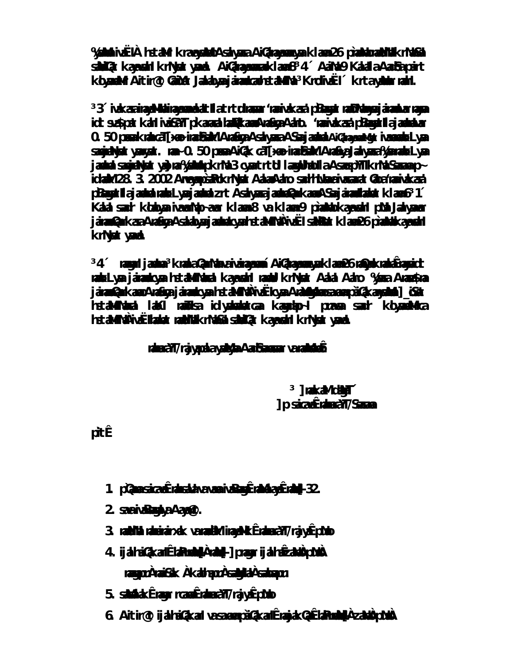**%yaaMnaa ivaË IÀ hstaMtr kravayaaMcao Asalyaasa AiQainayamaacyaa klama 26 p`maaNao naaoMdNaIkrNaaSaI**  sa**NaiQat kayaxahi krNyaat yaavai. AiQainayamacackiama 8<sup>34</sup> AaiNa 9 Kalalla Aad&a pairt** k**olyaanaltyi Aitir@t Gaaddat Jaalao yaa jaimanalcao hstaltyi Na <sup>3</sup> KrodivaË l´ krta yakbaar naahi.** 

<sup>33´</sup> ivakasa inaya NMa inayamaavalaltlla trt**ul**na saar 'naa ivakasa' pBaagaat maaDNaanyaa jaimanalvar mayaaidt sva\$pat kahI ivaiSaYT p karacaI baa**Dakama Ana&oya Aaho**. 'maa ivakasa' pBaagaatIIa jamaInaIvar **0.50 p.caa kmaI caT[xa** $\odot$  **inad&aaR/Ana&ga Asalyaasa ASaa janaInaI AiQainayamantgati ivanamaasLyaa** samajaNyaat yaavyaat. maa~ 0.50 p.**kaa AiQak caT**[xa $\odot$  inad **SaaR/IAna&ya Jaalyaasa %aa maaksLyaa janainai sanajaNyaat ya** $\delta$ **na %aamaa alpikrNa 3 cyaa trtUJ laaga Ubatila Asa** $\sigma$ **pYTIkrNa Saasana p** $\sim$ idnaa $\mathsf{k}/\mathsf{28}$ .3.2002 Anvaya $\bm{\mathsf{p}}$ saRd $\bm{\mathsf{k}}$ rNyaat Aala $\bm{\mathsf{a}}$ Aaho sadrhUdava ivacaarat Gadda 'naa ivakasa' **p`BaagaatIla jamaInaI maaokLyaa jamaInaI zrt Asalyaasa jamaInaQaarkanao ASaa jaimanaIbaabat klama 6³1´**  Kalal saadr k**olao**yaa ivavarNap~avar klama 8 va klama 9 pinaaNao kaya<del>va</del>ahi pNd-Jaalyaavar **jaimanaQaarkasa Ana&oga Asalabyaa jamaInaIcyaa hstaNxYNaÀivaËI saABAat klama 26 pimaaNackaya+aahI krNyaat yaavaI.**

<sup>34</sup> naagar 1 jamalna <sup>3</sup> kmaala QaarNaa va ivainayamana ´ AiQainayamaacyaa klama 26 maQyadxmaalaEmayaa<del>i</del>d t **maaokLyaa jaimanaIcyaa hstaMtrNaacaI kaya-vaahI namaUd krNyaat AalaI Aaho. %yaasa Anausa\$na jaimanaQaarkanao Ana&oya jaimanaIcyaa hstaNxYNaÀivaË Icyaa AnaVaNgahaosaxama pàiQakanyaaMnaa ]\_iSat** hsta**tvillaacaI laisi naa** $\overline{a}$ **isa idlyaabaabatcaa kagada** $\overline{a}$ **-I puwaa saadr ki<b>o**yaanaitvita hsta**lk/NaÀivaË Ibaabat naa<b>čWal**krNaaSaI salbaiQat kayawaahI krNyaat yaavaI.

**maharaYT/rajyapala yaaCyah Aad&aanasaar va naaWaafia** $\bar{E}$ 

**³ ]maakaMt daMgaT´ ]p saicavaÊ maharaYT/ Saasana.**

**p`itÊ**

- 1. **pQaana saicavaÊ mahsaUd va vana ivaBaagaÊ maNalayaÊ malda/l-32.**
- 2. sava-ivaBaagalya Aaya**gt**.
- **3. naadWaI mahainairxak va madàik/linayaN&É maharaYT/rajyaÉ pilla** $\circ$
- 4. ijalhaiQakarIÊ ba**Rmala/l**Àma**la/l-]**pnagar ijalhaÊzaNaÀp**Na**À  **naagapurÀnaaiSak ÀkaolhapurÀsaaMgalaIÀsaaolaapur.**
- **5.** sa**Caal** ak Ê nagar rcanaaÊ maharaYT/rajyaÊ pNa $\circ$
- 6. Aitir@t ijalhaiQakarI va saxama pàiQakarIÊ naajakQaaÊ ba**RomDa/l**ÀzaNa�p**Na<del>Ò</del>**